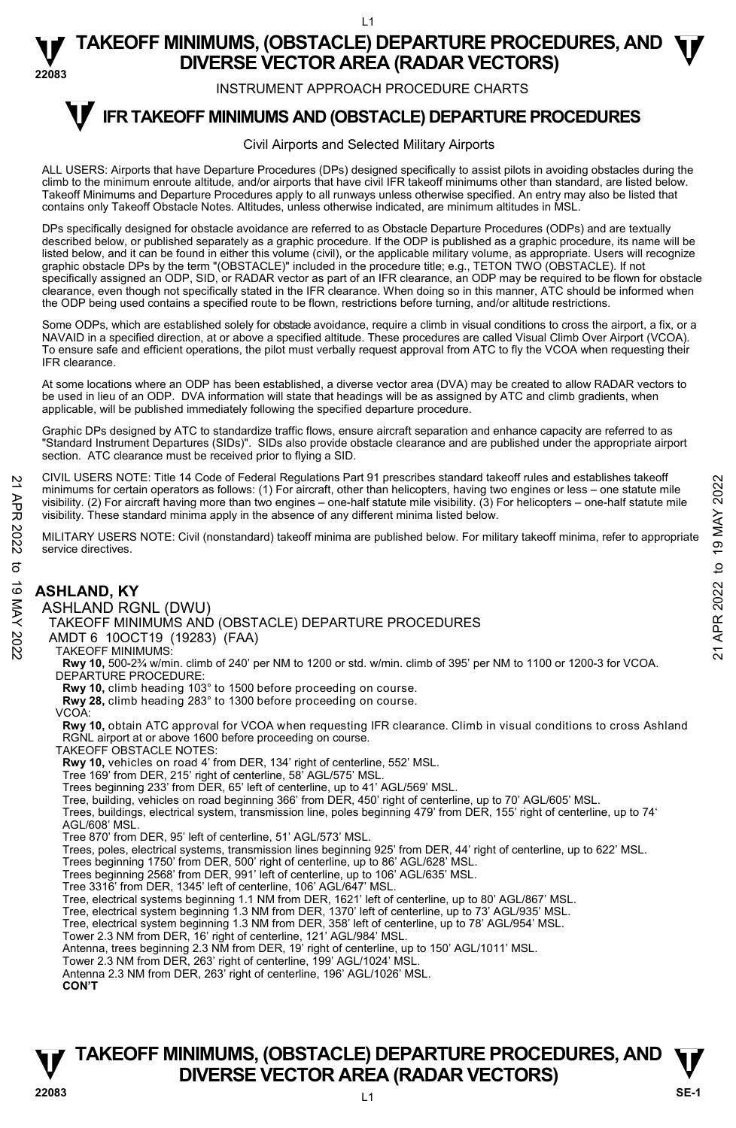INSTRUMENT APPROACH PROCEDURE CHARTS

#### **IFR TAKEOFF MINIMUMS AND (OBSTACLE) DEPARTURE PROCEDURES T**

#### Civil Airports and Selected Military Airports

ALL USERS: Airports that have Departure Procedures (DPs) designed specifically to assist pilots in avoiding obstacles during the climb to the minimum enroute altitude, and/or airports that have civil IFR takeoff minimums other than standard, are listed below. Takeoff Minimums and Departure Procedures apply to all runways unless otherwise specified. An entry may also be listed that contains only Takeoff Obstacle Notes. Altitudes, unless otherwise indicated, are minimum altitudes in MSL.

DPs specifically designed for obstacle avoidance are referred to as Obstacle Departure Procedures (ODPs) and are textually described below, or published separately as a graphic procedure. If the ODP is published as a graphic procedure, its name will be listed below, and it can be found in either this volume (civil), or the applicable military volume, as appropriate. Users will recognize graphic obstacle DPs by the term "(OBSTACLE)" included in the procedure title; e.g., TETON TWO (OBSTACLE). If not specifically assigned an ODP, SID, or RADAR vector as part of an IFR clearance, an ODP may be required to be flown for obstacle clearance, even though not specifically stated in the IFR clearance. When doing so in this manner, ATC should be informed when the ODP being used contains a specified route to be flown, restrictions before turning, and/or altitude restrictions.

Some ODPs, which are established solely for obstacle avoidance, require a climb in visual conditions to cross the airport, a fix, or a NAVAID in a specified direction, at or above a specified altitude. These procedures are called Visual Climb Over Airport (VCOA). To ensure safe and efficient operations, the pilot must verbally request approval from ATC to fly the VCOA when requesting their IFR clearance.

At some locations where an ODP has been established, a diverse vector area (DVA) may be created to allow RADAR vectors to<br>be used in lieu of an ODP. DVA information will state that headings will be as assigned by ATC and applicable, will be published immediately following the specified departure procedure.

Graphic DPs designed by ATC to standardize traffic flows, ensure aircraft separation and enhance capacity are referred to as "Standard Instrument Departures (SIDs)". SIDs also provide obstacle clearance and are published under the appropriate airport section. ATC clearance must be received prior to flying a SID.

CIVIL USERS NOTE: Title 14 Code of Federal Regulations Part 91 prescribes standard takeoff rules and establishes takeoff minimums for certain operators as follows: (1) For aircraft, other than helicopters, having two engines or less – one statute mile visibility. (2) For aircraft having more than two engines – one-half statute mile visibility. (3) For helicopters – one-half statute mile visibility. These standard minima apply in the absence of any different minima listed below.

MILITARY USERS NOTE: Civil (nonstandard) takeoff minima are published below. For military takeoff minima, refer to appropriate service directives.

#### **ASHLAND, KY**  ASHLAND RGNL (DWU) TAKEOFF MINIMUMS AND (OBSTACLE) DEPARTURE PROCEDURES AMDT 6 10OCT19 (19283) (FAA) TAKEOFF MINIMUMS: **Rwy 10,** 500-2¾ w/min. climb of 240' per NM to 1200 or std. w/min. climb of 395' per NM to 1100 or 1200-3 for VCOA. DEPARTURE PROCEDURE: **Rwy 10,** climb heading 103° to 1500 before proceeding on course. **Rwy 28,** climb heading 283° to 1300 before proceeding on course. VCOA: **Rwy 10,** obtain ATC approval for VCOA when requesting IFR clearance. Climb in visual conditions to cross Ashland RGNL airport at or above 1600 before proceeding on course. TAKEOFF OBSTACLE NOTES: **Rwy 10,** vehicles on road 4' from DER, 134' right of centerline, 552' MSL. Tree 169' from DER, 215' right of centerline, 58' AGL/575' MSL. Trees beginning 233' from DER, 65' left of centerline, up to 41' AGL/569' MSL. Tree, building, vehicles on road beginning 366' from DER, 450' right of centerline, up to 70' AGL/605' MSL. Trees, buildings, electrical system, transmission line, poles beginning 479' from DER, 155' right of centerline, up to 74' AGL/608' MSL. Tree 870' from DER, 95' left of centerline, 51' AGL/573' MSL. Trees, poles, electrical systems, transmission lines beginning 925' from DER, 44' right of centerline, up to 622' MSL. Trees beginning 1750' from DER, 500' right of centerline, up to 86' AGL/628' MSL. Trees beginning 2568' from DER, 991' left of centerline, up to 106' AGL/635' MSL. Tree 3316' from DER, 1345' left of centerline, 106' AGL/647' MSL. Tree, electrical systems beginning 1.1 NM from DER, 1621' left of centerline, up to 80' AGL/867' MSL. Tree, electrical system beginning 1.3 NM from DER, 1370' left of centerline, up to 73' AGL/935' MSL. Tree, electrical system beginning 1.3 NM from DER, 358' left of centerline, up to 78' AGL/954' MSL. Tower 2.3 NM from DER, 16' right of centerline, 121' AGL/984' MSL. Antenna, trees beginning 2.3 NM from DER, 19' right of centerline, up to 150' AGL/1011' MSL. Tower 2.3 NM from DER, 263' right of centerline, 199' AGL/1024' MSL. Antenna 2.3 NM from DER, 263' right of centerline, 196' AGL/1026' MSL. 21 CIVIL USERS NOTE: The 14 Code of Federal Regulations Part 91 prescinces standard takeoff minima is for certain operators as follows: (1) For aircraft, due than helicopters, having two engines or less – one-half statut

**CON'T**

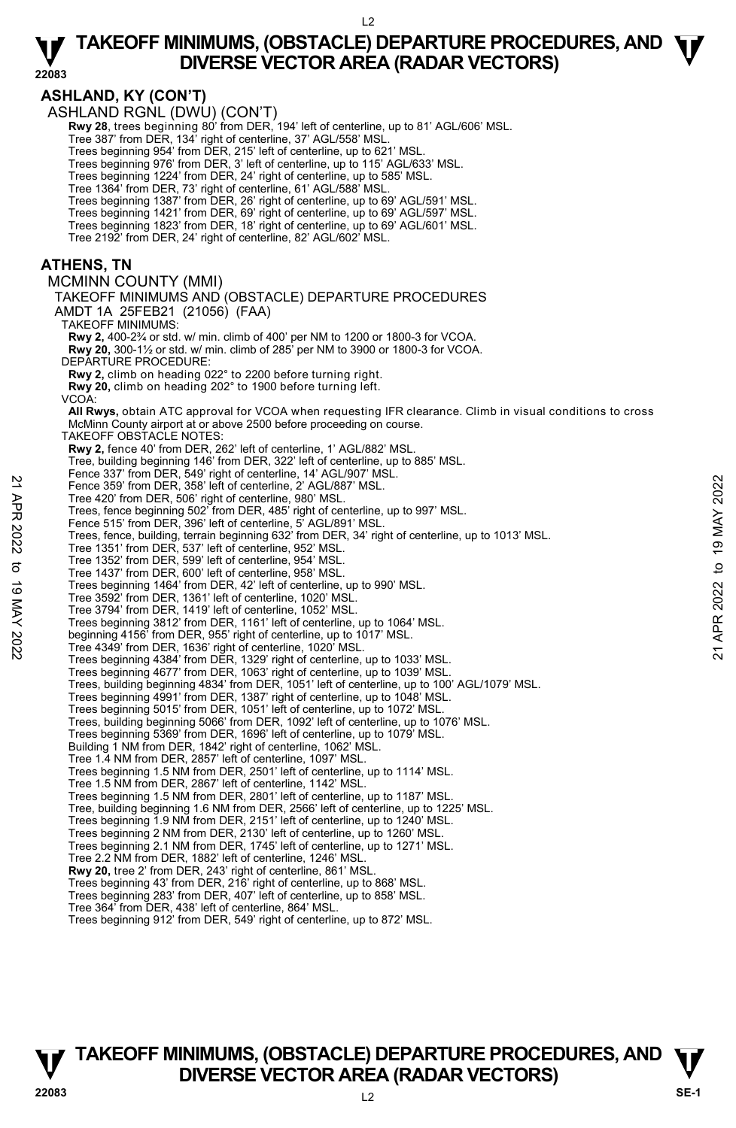**22083** 

**ASHLAND, KY (CON'T)**  ASHLAND RGNL (DWU) (CON'T)  **Rwy 28**, trees beginning 80' from DER, 194' left of centerline, up to 81' AGL/606' MSL. Tree 387' from DER, 134' right of centerline, 37' AGL/558' MSL. Trees beginning 954' from DER, 215' left of centerline, up to 621' MSL. Trees beginning 976' from DER, 3' left of centerline, up to 115' AGL/633' MSL. Trees beginning 1224' from DER, 24' right of centerline, up to 585' MSL. Tree 1364' from DER, 73' right of centerline, 61' AGL/588' MSL.<br>Trees beginning 1387' from DER, 26' right of centerline, up to 69' AGL/591' MSL.<br>Trees beginning 1421' from DER, 69' right of centerline, up to 69' AGL/597' M Tree 2192' from DER, 24' right of centerline, 82' AGL/602' MSL. **ATHENS, TN**  MCMINN COUNTY (MMI) TAKEOFF MINIMUMS AND (OBSTACLE) DEPARTURE PROCEDURES AMDT 1A 25FEB21 (21056) (FAA) TAKEOFF MINIMUMS: **Rwy 2,** 400-2¾ or std. w/ min. climb of 400' per NM to 1200 or 1800-3 for VCOA.  **Rwy 20,** 300-1½ or std. w/ min. climb of 285' per NM to 3900 or 1800-3 for VCOA. DEPARTURE PROCEDURE: **Rwy 2,** climb on heading 022° to 2200 before turning right. **Rwy 20,** climb on heading 202° to 1900 before turning left. VCOA:  **All Rwys,** obtain ATC approval for VCOA when requesting IFR clearance. Climb in visual conditions to cross McMinn County airport at or above 2500 before proceeding on course. TAKEOFF OBSTACLE NOTES: **Rwy 2,** fence 40' from DER, 262' left of centerline, 1' AGL/882' MSL. Tree, building beginning 146' from DER, 322' left of centerline, up to 885' MSL. Fence 337' from DER, 549' right of centerline, 14' AGL/907' MSL. Fence 359' from DER, 358' left of centerline, 2' AGL/887' MSL. Tree 420' from DER, 506' right of centerline, 980' MSL. Trees, fence beginning 502' from DER, 485' right of centerline, up to 997' MSL. Fence 515' from DER, 396' left of centerline, 5' AGL/891' MSL. Trees, fence, building, terrain beginning 632' from DER, 34' right of centerline, up to 1013' MSL. Tree 1351' from DER, 537' left of centerline, 952' MSL. Tree 1352' from DER, 599' left of centerline, 954' MSL. Tree 1437' from DER, 600' left of centerline, 958' MSL. Trees beginning 1464' from DER, 42' left of centerline, up to 990' MSL. Tree 3592' from DER, 1361' left of centerline, 1020' MSL. Tree 3794' from DER, 1419' left of centerline, 1052' MSL. Trees beginning 3812' from DER, 1161' left of centerline, up to 1064' MSL. beginning 4156' from DER, 955' right of centerline, up to 1017' MSL. Tree 4349' from DER, 1636' right of centerline, 1020' MSL. Trees beginning 4384' from DER, 1329' right of centerline, up to 1033' MSL. Trees beginning 4677' from DER, 1063' right of centerline, up to 1039' MSL.<br>Trees, building beginning 4834' from DER, 1051' left of centerline, up to 100' AGL/1079' MSL. Trees beginning 4991' from DER, 1387' right of centerline, up to 1048' MSL. Trees beginning 5015' from DER, 1051' left of centerline, up to 1072' MSL. Trees, building beginning 5066' from DER, 1092' left of centerline, up to 1076' MSL. Trees beginning 5369' from DER, 1696' left of centerline, up to 1079' MSL. Building 1 NM from DER, 1842' right of centerline, 1062' MSL. Tree 1.4 NM from DER, 2857' left of centerline, 1097' MSL. Trees beginning 1.5 NM from DER, 2501' left of centerline, up to 1114' MSL. Tree 1.5 NM from DER, 2867' left of centerline, 1142' MSL. Trees beginning 1.5 NM from DER, 2801' left of centerline, up to 1187' MSL. Tree, building beginning 1.6 NM from DER, 2566' left of centerline, up to 1225' MSL. Trees beginning 1.9 NM from DER, 2151' left of centerline, up to 1240' MSL. Trees beginning 2 NM from DER, 2130' left of centerline, up to 1260' MSL. Trees beginning 2.1 NM from DER, 1745' left of centerline, up to 1271' MSL. Tree 2.2 NM from DER, 1882' left of centerline, 1246' MSL. **Rwy 20,** tree 2' from DER, 243' right of centerline, 861' MSL. Trees beginning 43' from DER, 216' right of centerline, up to 868' MSL. Trees beginning 283' from DER, 407' left of centerline, up to 858' MSL. Tree 364' from DER, 438' left of centerline, 864' MSL. Trees beginning 912' from DER, 549' right of centerline, up to 872' MSL. 22 Fence 359 from DER, 358 left of centerline, 2/AGL/887 MSL.<br>
Tree 420' from DER, 368 left of centerline, 890' MSL.<br>
Trees, fence beginning 502' from DER, 485' right of centerline, up to 997' MSL.<br>
Tense, fence, building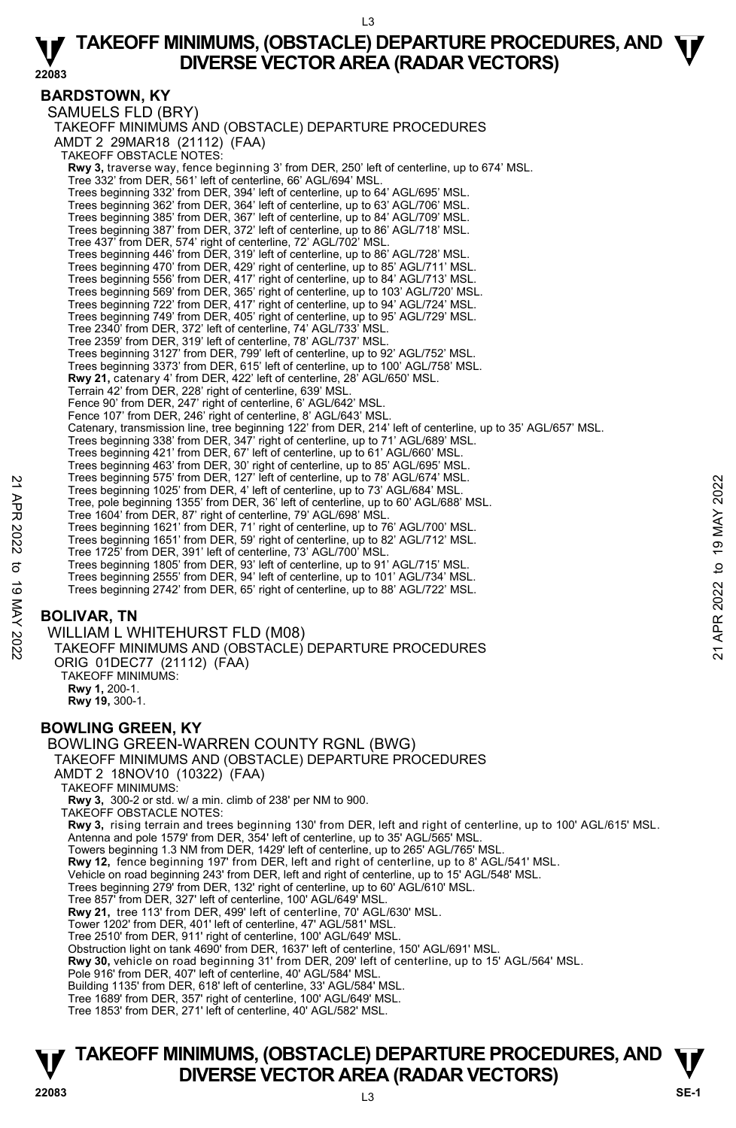**22083** 

#### **BARDSTOWN, KY**

SAMUELS FLD (BRY) TAKEOFF MINIMUMS AND (OBSTACLE) DEPARTURE PROCEDURES AMDT 2 29MAR18 (21112) (FAA) TAKEOFF OBSTACLE NOTES: **Rwy 3,** traverse way, fence beginning 3' from DER, 250' left of centerline, up to 674' MSL. Tree 332' from DER, 561' left of centerline, 66' AGL/694' MSL. Trees beginning 332' from DER, 394' left of centerline, up to 64' AGL/695' MSL. Trees beginning 362' from DER, 364' left of centerline, up to 63' AGL/706' MSL. Trees beginning 385' from DER, 367' left of centerline, up to 84' AGL/709' MSL. Trees beginning 387' from DER, 372' left of centerline, up to 86' AGL/718' MSL. Tree 437' from DER, 574' right of centerline, 72' AGL/702' MSL. Trees beginning 446' from DER, 319' left of centerline, up to 86' AGL/728' MSL. Trees beginning 470' from DER, 429' right of centerline, up to 85' AGL/711' MSL. Trees beginning 556' from DER, 417' right of centerline, up to 84' AGL/713' MSL. Trees beginning 569' from DER, 365' right of centerline, up to 103' AGL/720' MSL. Trees beginning 722' from DER, 417' right of centerline, up to 94' AGL/724' MSL. Trees beginning 749' from DER, 405' right of centerline, up to 95' AGL/729' MSL. Tree 2340' from DER, 372' left of centerline, 74' AGL/733' MSL. Tree 2359' from DER, 319' left of centerline, 78' AGL/737' MSL.<br>Trees beginning 3127' from DER, 799' left of centerline, up to 92' AGL/752' MSL.<br>Trees beginning 3373' from DER, 615' left of centerline, up to 100' AGL/758' **Rwy 21,** catenary 4' from DER, 422' left of centerline, 28' AGL/650' MSL.<br>Terrain 42' from DER, 228' right of centerline, 639' MSL. Fence 90' from DER, 247' right of centerline, 6' AGL/642' MSL. Fence 107' from DER, 246' right of centerline, 8' AGL/643' MSL. Catenary, transmission line, tree beginning 122' from DER, 214' left of centerline, up to 35' AGL/657' MSL.<br>Trees beginning 338' from DER, 347' right of centerline, up to 71' AGL/689' MSL. Trees beginning 421' from DER, 67' left of centerline, up to 61' AGL/660' MSL. Trees beginning 463' from DER, 30' right of centerline, up to 85' AGL/695' MSL. Trees beginning 575' from DER, 127' left of centerline, up to 78' AGL/674' MSL. Trees beginning 1025' from DER, 4' left of centerline, up to 73' AGL/684' MSL. Tree, pole beginning 1355' from DER, 36' left of centerline, up to 60' AGL/688' MSL. Tree 1604' from DER, 87' right of centerline, 79' AGL/698' MSL. Trees beginning 1621' from DER, 71' right of centerline, up to 76' AGL/700' MSL. Trees beginning 1651' from DER, 59' right of centerline, up to 82' AGL/712' MSL. Tree 1725' from DER, 391' left of centerline, 73' AGL/700' MSL. Trees beginning 1805' from DER, 93' left of centerline, up to 91' AGL/715' MSL. Trees beginning 2555' from DER, 94' left of centerline, up to 101' AGL/734' MSL. Trees beginning 2742' from DER, 65' right of centerline, up to 88' AGL/722' MSL. **BOLIVAR, TN**  WILLIAM L WHITEHURST FLD (M08) TAKEOFF MINIMUMS AND (OBSTACLE) DEPARTURE PROCEDURES ORIG 01DEC77 (21112) (FAA) TAKEOFF MINIMUMS: **Rwy 1,** 200-1. **Rwy 19,** 300-1. Trees beginning  $9/5$  from DER,  $4/1$  let of centerline, up to 73' AGL/684' MSL.<br>
Tree, pole beginning 1355' from DER,  $3^c$  left of centerline, up to 73' AGL/684' MSL.<br>
Tree 1604 from DER,  $3^c$  left of centerline, up to

### **BOWLING GREEN, KY**

BOWLING GREEN-WARREN COUNTY RGNL (BWG) TAKEOFF MINIMUMS AND (OBSTACLE) DEPARTURE PROCEDURES AMDT 2 18NOV10 (10322) (FAA) TAKEOFF MINIMUMS: **Rwy 3,** 300-2 or std. w/ a min. climb of 238' per NM to 900. TAKEOFF OBSTACLE NOTES: **Rwy 3,** rising terrain and trees beginning 130' from DER, left and right of centerline, up to 100' AGL/615' MSL. Antenna and pole 1579' from DER, 354' left of centerline, up to 35' AGL/565' MSL. Towers beginning 1.3 NM from DER, 1429' left of centerline, up to 265' AGL/765' MSL.<br>**Rwy 12,** fence beginning 197' from DER, left and right of centerline, up to 8' AGL/541' MSL. Vehicle on road beginning 243' from DER, left and right of centerline, up to 15' AGL/548' MSL. Trees beginning 279' from DER, 132' right of centerline, up to 60' AGL/610' MSL. Tree 857' from DER, 327' left of centerline, 100' AGL/649' MSL. **Rwy 21,** tree 113' from DER, 499' left of centerline, 70' AGL/630' MSL. Tower 1202' from DER, 401' left of centerline, 47' AGL/581' MSL. Tree 2510' from DER, 911' right of centerline, 100' AGL/649' MSL. Obstruction light on tank 4690' from DER, 1637' left of centerline, 150' AGL/691' MSL. **Rwy 30,** vehicle on road beginning 31' from DER, 209' left of centerline, up to 15' AGL/564' MSL. Pole 916' from DER, 407' left of centerline, 40' AGL/584' MSL. Building 1135' from DER, 618' left of centerline, 33' AGL/584' MSL. Tree 1689' from DER, 357' right of centerline, 100' AGL/649' MSL. Tree 1853' from DER, 271' left of centerline, 40' AGL/582' MSL.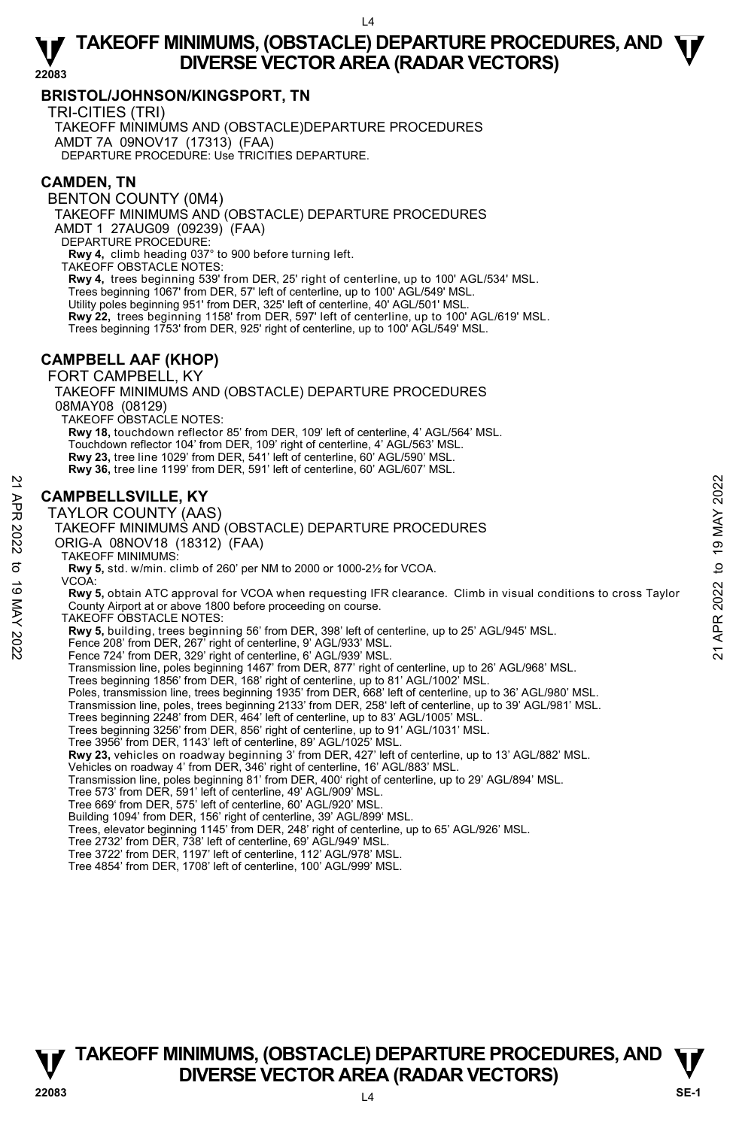#### **BRISTOL/JOHNSON/KINGSPORT, TN**

TRI-CITIES (TRI)

TAKEOFF MINIMUMS AND (OBSTACLE)DEPARTURE PROCEDURES AMDT 7A 09NOV17 (17313) (FAA) DEPARTURE PROCEDURE: Use TRICITIES DEPARTURE.

#### **CAMDEN, TN**

BENTON COUNTY (0M4)

TAKEOFF MINIMUMS AND (OBSTACLE) DEPARTURE PROCEDURES AMDT 1 27AUG09 (09239) (FAA)

DEPARTURE PROCEDURE:

**Rwy 4,** climb heading 037° to 900 before turning left. TAKEOFF OBSTACLE NOTES:

**Rwy 4,** trees beginning 539' from DER, 25' right of centerline, up to 100' AGL/534' MSL. Trees beginning 1067' from DER, 57' left of centerline, up to 100' AGL/549' MSL. Utility poles beginning 951' from DER, 325' left of centerline, 40' AGL/501' MSL. **Rwy 22,** trees beginning 1158' from DER, 597' left of centerline, up to 100' AGL/619' MSL. Trees beginning 1753' from DER, 925' right of centerline, up to 100' AGL/549' MSL.

#### **CAMPBELL AAF (KHOP)**

FORT CAMPBELL, KY

TAKEOFF MINIMUMS AND (OBSTACLE) DEPARTURE PROCEDURES TAKEOFF OBSTACLE NOTES: **Rwy 18,** touchdown reflector 85' from DER, 109' left of centerline, 4' AGL/564' MSL.

Touchdown reflector 104' from DER, 109' right of centerline, 4' AGL/563' MSL.

**Rwy 23,** tree line 1029' from DER, 541' left of centerline, 60' AGL/590' MSL.

**Rwy 36,** tree line 1199' from DER, 591' left of centerline, 60' AGL/607' MSL.

#### **CAMPBELLSVILLE, KY**

TAYLOR COUNTY (AAS) TAKEOFF MINIMUMS AND (OBSTACLE) DEPARTURE PROCEDURES ORIG-A 08NOV18 (18312) (FAA) TAKEOFF MINIMUMS: **Rwy 5,** std. w/min. climb of 260' per NM to 2000 or 1000-2½ for VCOA. VCOA: **Rwy 5,** obtain ATC approval for VCOA when requesting IFR clearance. Climb in visual conditions to cross Taylor County Airport at or above 1800 before proceeding on course. TAKEOFF OBSTACLE NOTES: **Rwy 5,** building, trees beginning 56' from DER, 398' left of centerline, up to 25' AGL/945' MSL.<br>Fence 208' from DER, 267' right of centerline, 9' AGL/933' MSL. Fence 724' from DER, 329' right of centerline, 6' AGL/939' MSL. Transmission line, poles beginning 1467' from DER, 877' right of centerline, up to 26' AGL/968' MSL. Trees beginning 1856' from DER, 168' right of centerline, up to 81' AGL/1002' MSL.<br>Poles, transmission line, trees beginning 1935' from DER, 668' left of centerline, up to 36' AGL/980' MSL. Transmission line, poles, trees beginning 2133' from DER, 258' left of centerline, up to 39' AGL/981' MSL. Trees beginning 2248' from DER, 464' left of centerline, up to 83' AGL/1005' MSL Trees beginning 3256' from DER, 856' right of centerline, up to 91' AGL/1031' MSL. Tree 3956' from DER, 1143' left of centerline, 89' AGL/1025' MSL. **Rwy 23,** vehicles on roadway beginning 3' from DER, 427' left of centerline, up to 13' AGL/882' MSL. Vehicles on roadway 4' from DER, 346' right of centerline, 16' AGL/883' MSL.<br>Transmission line, poles beginning 81' from DER, 400' right of centerline, up to 29' AGL/894' MSL. Tree 573' from DER, 591' left of centerline, 49' AGL/909' MSL. Tree 669' from DER, 575' left of centerline, 60' AGL/920' MSL. **CAMPBELLSVILLE, KY**<br>  $\frac{20}{20}$ <br>
TAYLOR COUNTY (AAS)<br>
TAKEOFF MINIMUMS AND (OBSTACLE) DEPARTURE PROCEDURES<br>
ORIG-A 08NOV18 (18312) (FAA)<br>
TAKEOFF MINIMUMS:<br>
TAKEOFF MINIMUMS:<br>
TAKEOFF MINIMUMS:<br>
COA:<br>
YOA:<br>
YOA:<br>
Ray 5,

Building 1094' from DER, 156' right of centerline, 39' AGL/899' MSL.

Trees, elevator beginning 1145' from DER, 248' right of centerline, up to 65' AGL/926' MSL.

Tree 2732' from DER, 738' left of centerline, 69' AGL/949' MSL.

Tree 3722' from DER, 1197' left of centerline, 112' AGL/978' MSL.

Tree 4854' from DER, 1708' left of centerline, 100' AGL/999' MSL.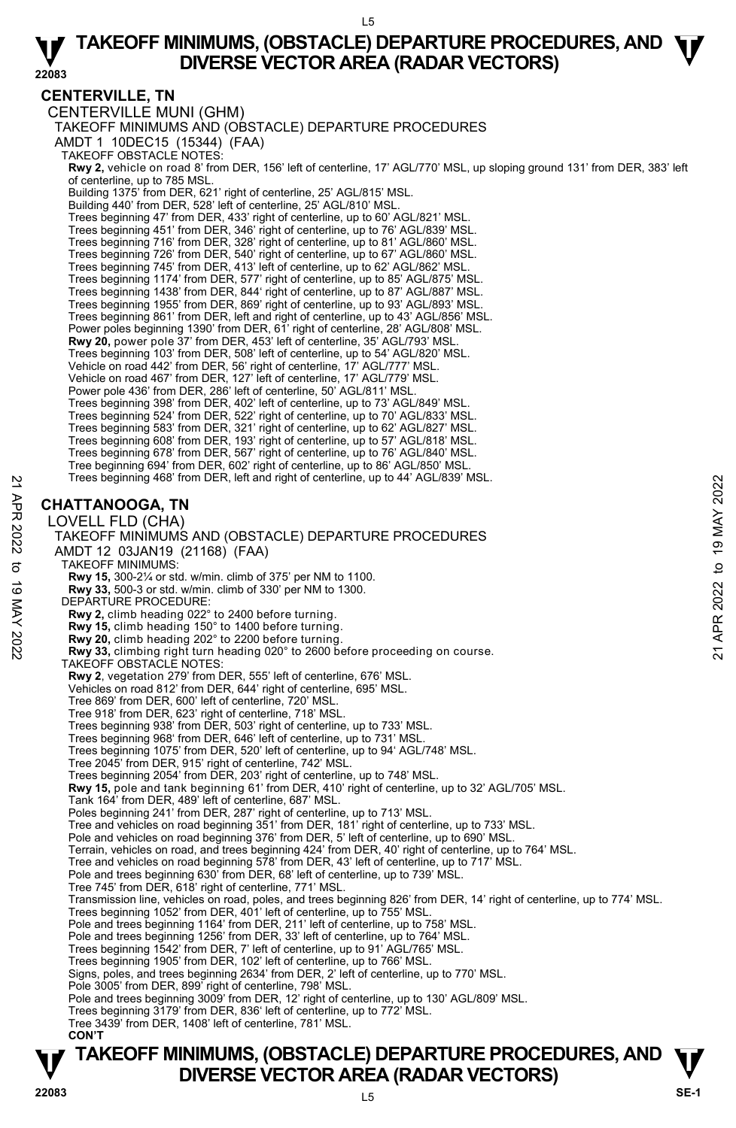#### **CENTERVILLE, TN**

CENTERVILLE MUNI (GHM) TAKEOFF MINIMUMS AND (OBSTACLE) DEPARTURE PROCEDURES AMDT 1 10DEC15 (15344) (FAA) TAKEOFF OBSTACLE NOTES: **Rwy 2,** vehicle on road 8' from DER, 156' left of centerline, 17' AGL/770' MSL, up sloping ground 131' from DER, 383' left of centerline, up to 785 MSL. Building 1375' from DER, 621' right of centerline, 25' AGL/815' MSL. Building 440' from DER, 528' left of centerline, 25' AGL/810' MSL. Trees beginning 47' from DER, 433' right of centerline, up to 60' AGL/821' MSL. Trees beginning 451' from DER, 346' right of centerline, up to 76' AGL/839' MSL. Trees beginning 716' from DER, 328' right of centerline, up to 81' AGL/860' MSL. Trees beginning 726' from DER, 540' right of centerline, up to 67' AGL/860' MSL. Trees beginning 745' from DER, 413' left of centerline, up to 62' AGL/862' MSL. Trees beginning 1174' from DER, 577' right of centerline, up to 85' AGL/875' MSL. Trees beginning 1438' from DER, 844' right of centerline, up to 87' AGL/887' MSL. Trees beginning 1955' from DER, 869' right of centerline, up to 93' AGL/893' MSL. Trees beginning 861' from DER, left and right of centerline, up to 43' AGL/856' MSL. Power poles beginning 1390' from DER, 61' right of centerline, 28' AGL/808' MSL. **Rwy 20,** power pole 37' from DER, 453' left of centerline, 35' AGL/793' MSL. Trees beginning 103' from DER, 508' left of centerline, up to 54' AGL/820' MSL. Vehicle on road 442' from DER, 56' right of centerline, 17' AGL/777' MSL. Vehicle on road 467' from DER, 127' left of centerline, 17' AGL/779' MSL. Power pole 436' from DER, 286' left of centerline, 50' AGL/811' MSL. Trees beginning 398' from DER, 402' left of centerline, up to 73' AGL/849' MSL. Trees beginning 524' from DER, 522' right of centerline, up to 70' AGL/833' MSL. Trees beginning 583' from DER, 321' right of centerline, up to 62' AGL/827' MSL. Trees beginning 608' from DER, 193' right of centerline, up to 57' AGL/818' MSL. Trees beginning 678' from DER, 567' right of centerline, up to 76' AGL/840' MSL. Tree beginning 694' from DER, 602' right of centerline, up to 86' AGL/850' MSL. Trees beginning 468' from DER, left and right of centerline, up to 44' AGL/839' MSL. **CHATTANOOGA, TN**  LOVELL FLD (CHA) TAKEOFF MINIMUMS AND (OBSTACLE) DEPARTURE PROCEDURES AMDT 12 03JAN19 (21168) (FAA) TAKEOFF MINIMUMS: **Rwy 15,** 300-2¼ or std. w/min. climb of 375' per NM to 1100. **Rwy 33,** 500-3 or std. w/min. climb of 330' per NM to 1300. DEPARTURE PROCEDURE: **Rwy 2,** climb heading 022° to 2400 before turning. **Rwy 15,** climb heading 150° to 1400 before turning. Trees beginning 468' from DER, left and right of centerline, up to 44' AGL/839' MSL.<br> **CHATTANOOGA, TN**<br>
LOVELL FLD (CHA)<br>
TAKEOFF MINIMUMS AND (OBSTACLE) DEPARTURE PROCEDURES<br>
AMDT 12 03JAN19 (21168) (FAA)<br> **RWY 33**, 500-TAKEOFF OBSTACLE NOTES: **Rwy 2**, vegetation 279' from DER, 555' left of centerline, 676' MSL. Vehicles on road 812' from DER, 644' right of centerline, 695' MSL. Tree 869' from DER, 600' left of centerline, 720' MSL. Tree 918' from DER, 623' right of centerline, 718' MSL. Trees beginning 938' from DER, 503' right of centerline, up to 733' MSL. Trees beginning 968' from DER, 646' left of centerline, up to 731' MSL. Trees beginning 1075' from DER, 520' left of centerline, up to 94' AGL/748' MSL. Tree 2045' from DER, 915' right of centerline, 742' MSL. Trees beginning 2054' from DER, 203' right of centerline, up to 748' MSL. **Rwy 15,** pole and tank beginning 61' from DER, 410' right of centerline, up to 32' AGL/705' MSL. Tank 164' from DER, 489' left of centerline, 687' MSL. Poles beginning 241' from DER, 287' right of centerline, up to 713' MSL. Tree and vehicles on road beginning 351' from DER, 181' right of centerline, up to 733' MSL. Pole and vehicles on road beginning 376' from DER, 5' left of centerline, up to 690' MSL. Terrain, vehicles on road, and trees beginning 424' from DER, 40' right of centerline, up to 764' MSL.<br>Tree and vehicles on road beginning 578' from DER, 43' left of centerline, up to 717' MSL. Pole and trees beginning 630' from DER, 68' left of centerline, up to 739' MSL. Tree 745' from DER, 618' right of centerline, 771' MSL. Transmission line, vehicles on road, poles, and trees beginning 826' from DER, 14' right of centerline, up to 774' MSL. Trees beginning 1052' from DER, 401' left of centerline, up to 755' MSL. Pole and trees beginning 1164' from DER, 211' left of centerline, up to 758' MSL. Pole and trees beginning 1256' from DER, 33' left of centerline, up to 764' MSL. Trees beginning 1542' from DER, 7' left of centerline, up to 91' AGL/765' MSL. Trees beginning 1905' from DER, 102' left of centerline, up to 766' MSL. Signs, poles, and trees beginning 2634' from DER, 2' left of centerline, up to 770' MSL. Pole 3005' from DER, 899' right of centerline, 798' MSL. Pole and trees beginning 3009' from DER, 12' right of centerline, up to 130' AGL/809' MSL. Trees beginning 3179' from DER, 836' left of centerline, up to 772' MSL. Tree 3439' from DER, 1408' left of centerline, 781' MSL.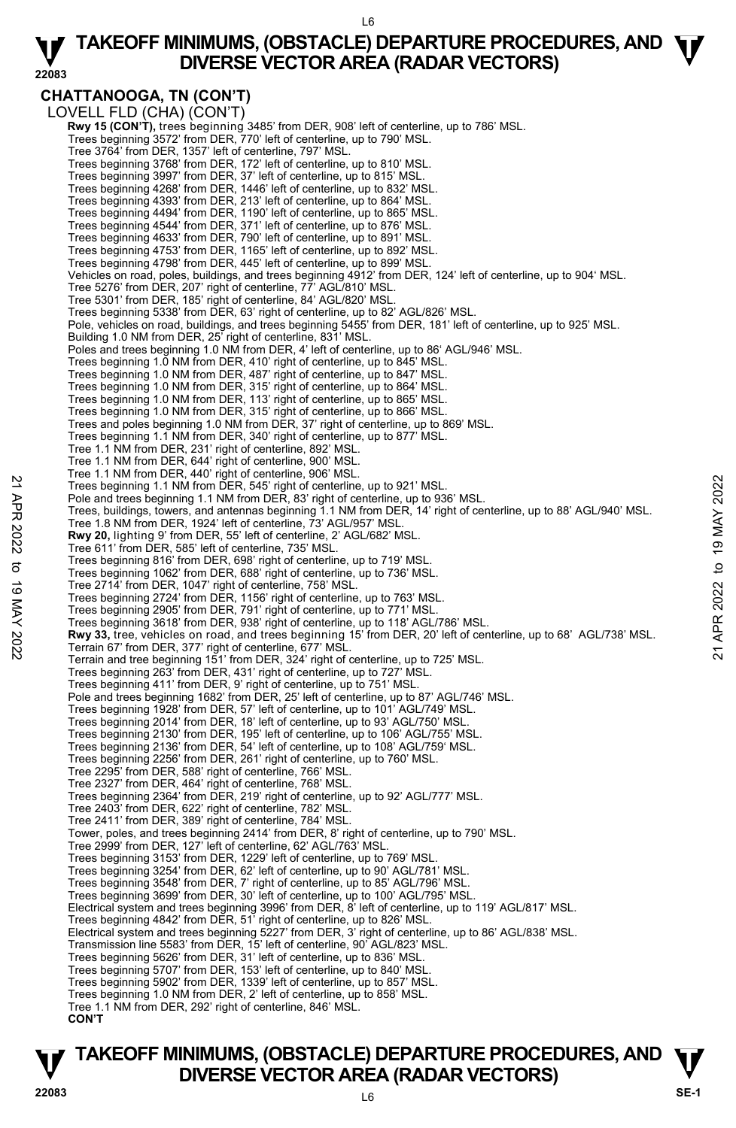L6

#### **22083 TAKEOFF MINIMUMS, (OBSTACLE) DEPARTURE PROCEDURES, AND**  $\Psi$ **<br>DIVERSE VECTOR AREA (RADAR VECTORS) DIVERSE VECTOR AREA (RADAR VECTORS)**

**CHATTANOOGA, TN (CON'T)**  LOVELL FLD (CHA) (CON'T) **Rwy 15 (CON'T),** trees beginning 3485' from DER, 908' left of centerline, up to 786' MSL.<br>Trees beginning 3572' from DER, 770' left of centerline, up to 790' MSL. Tree 3764' from DER, 1357' left of centerline, 797' MSL. Trees beginning 3768' from DER, 172' left of centerline, up to 810' MSL. Trees beginning 3997' from DER, 37' left of centerline, up to 815' MSL. Trees beginning 4268' from DER, 1446' left of centerline, up to 832' MSL. Trees beginning 4393' from DER, 213' left of centerline, up to 864' MSL. Trees beginning 4494' from DER, 1190' left of centerline, up to 865' MSL. Trees beginning 4544' from DER, 371' left of centerline, up to 876' MSL. Trees beginning 4633' from DER, 790' left of centerline, up to 891' MSL. Trees beginning 4753' from DER, 1165' left of centerline, up to 892' MSL. Trees beginning 4798' from DER, 445' left of centerline, up to 899' MSL. Vehicles on road, poles, buildings, and trees beginning 4912' from DER, 124' left of centerline, up to 904' MSL. Tree 5276' from DER, 207' right of centerline, 77' AGL/810' MSL. Tree 5301' from DER, 185' right of centerline, 84' AGL/820' MSL. Trees beginning 5338' from DER, 63' right of centerline, up to 82' AGL/826' MSL. Pole, vehicles on road, buildings, and trees beginning 5455' from DER, 181' left of centerline, up to 925' MSL. Building 1.0 NM from DER, 25<sup>7</sup> right of centerline, 831' MSL. Poles and trees beginning 1.0 NM from DER, 4' left of centerline, up to 86' AGL/946' MSL. Trees beginning 1.0 NM from DER, 410' right of centerline, up to 845' MSL. Trees beginning 1.0 NM from DER, 487' right of centerline, up to 847' MSL. Trees beginning 1.0 NM from DER, 315' right of centerline, up to 864' MSL. Trees beginning 1.0 NM from DER, 113' right of centerline, up to 865' MSL. Trees beginning 1.0 NM from DER, 315' right of centerline, up to 866' MSL. Trees and poles beginning 1.0 NM from DER, 37' right of centerline, up to 869' MSL. Trees beginning 1.1 NM from DER, 340' right of centerline, up to 877' MSL. Tree 1.1 NM from DER, 231' right of centerline, 892' MSL. Tree 1.1 NM from DER, 644' right of centerline, 900' MSL. Tree 1.1 NM from DER, 440' right of centerline, 906' MSL. Trees beginning 1.1 NM from DER, 545' right of centerline, up to 921' MSL. Pole and trees beginning 1.1 NM from DER, 83' right of centerline, up to 936' MSL. Trees, buildings, towers, and antennas beginning 1.1 NM from DER, 14' right of centerline, up to 88' AGL/940' MSL. Tree 1.8 NM from DER, 1924' left of centerline, 73' AGL/957' MSL.  **Rwy 20,** lighting 9' from DER, 55' left of centerline, 2' AGL/682' MSL. Tree 611' from DER, 585' left of centerline, 735' MSL. Trees beginning 816' from DER, 698' right of centerline, up to 719' MSL. Trees beginning 1062' from DER, 688' right of centerline, up to 736' MSL. Tree 2714' from DER, 1047' right of centerline, 758' MSL. Trees beginning 2724' from DER, 1156' right of centerline, up to 763' MSL. Trees beginning 2905' from DER, 791' right of centerline, up to 771' MSL. Trees beginning 3618' from DER, 938' right of centerline, up to 118' AGL/786' MSL. Trees beginning 1:1 NM from DER, 545 right of centerline, up to 921' MSL.<br>These beginning 1:1 NM from DER, 83' right of centerline, up to 936' MSL.<br>The and trees beginning 1:1 NM from DER, 83' right of centerline, up to 93 Terrain and tree beginning 151' from DER, 324' right of centerline, up to 725' MSL. Trees beginning 263' from DER, 431' right of centerline, up to 727' MSL. Trees beginning 411' from DER, 9' right of centerline, up to 751' MSL. Pole and trees beginning 1682' from DER, 25' left of centerline, up to 87' AGL/746' MSL. Trees beginning 1928' from DER, 57' left of centerline, up to 101' AGL/749' MSL. Trees beginning 2014' from DER, 18' left of centerline, up to 93' AGL/750' MSL. Trees beginning 2130' from DER, 195' left of centerline, up to 106' AGL/755' MSL. Trees beginning 2136' from DER, 54' left of centerline, up to 108' AGL/759' MSL. Trees beginning 2256' from DER, 261' right of centerline, up to 760' MSL. Tree 2295' from DER, 588' right of centerline, 766' MSL. Tree 2327' from DER, 464' right of centerline, 768' MSL. Trees beginning 2364' from DER, 219' right of centerline, up to 92' AGL/777' MSL. Tree 2403' from DER, 622' right of centerline, 782' MSL. Tree 2411' from DER, 389' right of centerline, 784' MSL. Tower, poles, and trees beginning 2414' from DER, 8' right of centerline, up to 790' MSL. Tree 2999' from DER, 127' left of centerline, 62' AGL/763' MSL. Trees beginning 3153' from DER, 1229' left of centerline, up to 769' MSL. Trees beginning 3254' from DER, 62' left of centerline, up to 90' AGL/781' MSL. Trees beginning 3548' from DER, 7' right of centerline, up to 85' AGL/796' MSL. Trees beginning 3699' from DER, 30' left of centerline, up to 100' AGL/795' MSL. Electrical system and trees beginning 3996' from DER, 8' left of centerline, up to 119' AGL/817' MSL. Trees beginning 4842' from DER, 51' right of centerline, up to 826' MSL. Electrical system and trees beginning 5227' from DER, 3' right of centerline, up to 86' AGL/838' MSL.<br>Transmission line 5583' from DER, 15' left of centerline, 90' AGL/823' MSL. Trees beginning 5626' from DER, 31' left of centerline, up to 836' MSL. Trees beginning 5707' from DER, 153' left of centerline, up to 840' MSL. Trees beginning 5902' from DER, 1339' left of centerline, up to 857' MSL. Trees beginning 1.0 NM from DER, 2' left of centerline, up to 858' MSL. Tree 1.1 NM from DER, 292' right of centerline, 846' MSL. **CON'T**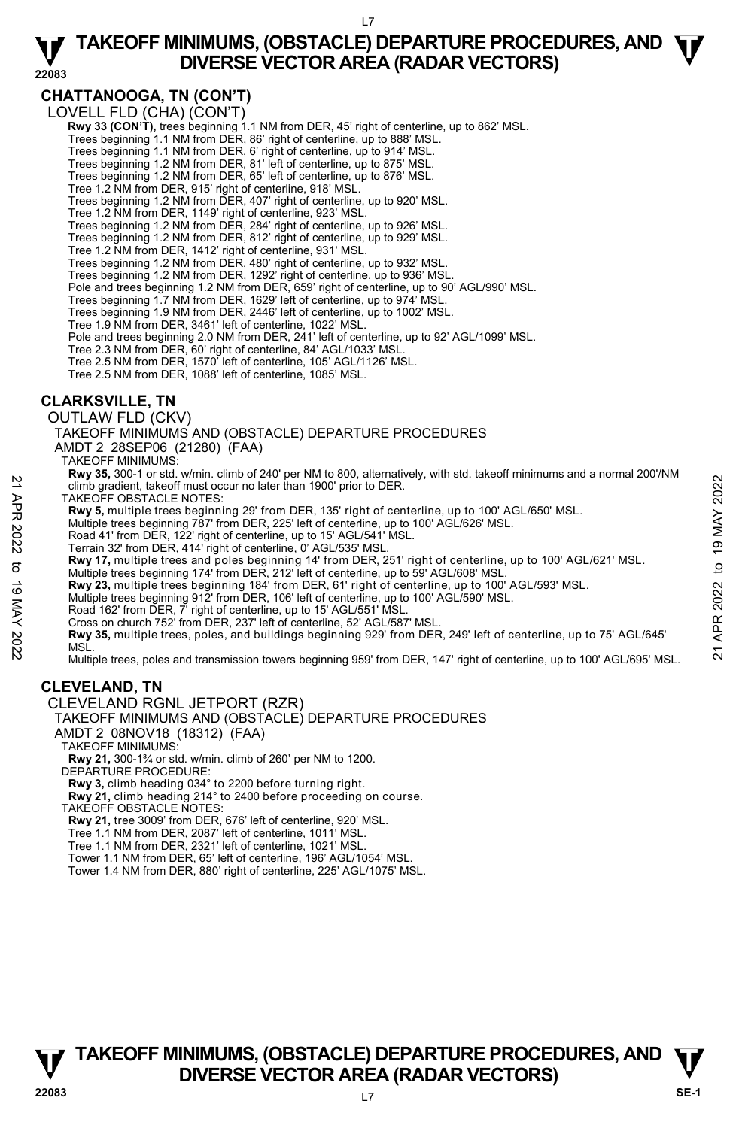L7

#### **22083 TAKEOFF MINIMUMS, (OBSTACLE) DEPARTURE PROCEDURES, AND**  $\Psi$ **<br>DIVERSE VECTOR AREA (RADAR VECTORS) DIVERSE VECTOR AREA (RADAR VECTORS)**

### **CHATTANOOGA, TN (CON'T)**

LOVELL FLD (CHA) (CON'T)

- **Rwy 33 (CON'T),** trees beginning 1.1 NM from DER, 45' right of centerline, up to 862' MSL.<br>Trees beginning 1.1 NM from DER, 86' right of centerline, up to 888' MSL.
- 
- Trees beginning 1.1 NM from DER, 6' right of centerline, up to 914' MSL. Trees beginning 1.2 NM from DER, 81' left of centerline, up to 875' MSL.
- 
- Trees beginning 1.2 NM from DER, 65' left of centerline, up to 876' MSL.
- Tree 1.2 NM from DER, 915' right of centerline, 918' MSL.
- Trees beginning 1.2 NM from DER, 407' right of centerline, up to 920' MSL.
- Tree 1.2 NM from DER, 1149' right of centerline, 923' MSL.
- Trees beginning 1.2 NM from DER, 284' right of centerline, up to 926' MSL. Trees beginning 1.2 NM from DER, 812' right of centerline, up to 929' MSL.
- Tree 1.2 NM from DER, 1412' right of centerline, 931' MSL.
- Trees beginning 1.2 NM from DER, 480' right of centerline, up to 932' MSL.
- Trees beginning 1.2 NM from DER, 1292' right of centerline, up to 936' MSL.
- Pole and trees beginning 1.2 NM from DER, 659' right of centerline, up to 90' AGL/990' MSL.
- 
- Trees beginning 1.7 NM from DER, 1629' left of centerline, up to 974' MSL. Trees beginning 1.9 NM from DER, 2446' left of centerline, up to 1002' MSL.
- Tree 1.9 NM from DER, 3461' left of centerline, 1022' MSL.
- Pole and trees beginning 2.0 NM from DER, 241' left of centerline, up to 92' AGL/1099' MSL.
- Tree 2.3 NM from DER, 60' right of centerline, 84' AGL/1033' MSL.
- Tree 2.5 NM from DER, 1570' left of centerline, 105' AGL/1126' MSL.
- Tree 2.5 NM from DER, 1088' left of centerline, 1085' MSL.

#### **CLARKSVILLE, TN**

OUTLAW FLD (CKV)

TAKEOFF MINIMUMS AND (OBSTACLE) DEPARTURE PROCEDURES

AMDT 2 28SEP06 (21280) (FAA)

- TAKEOFF MINIMUMS:
	- **Rwy 35,** 300-1 or std. w/min. climb of 240' per NM to 800, alternatively, with std. takeoff minimums and a normal 200'/NM climb gradient, takeoff must occur no later than 1900' prior to DER.
- TAKEOFF OBSTACLE NOTES:
- **Rwy 5,** multiple trees beginning 29' from DER, 135' right of centerline, up to 100' AGL/650' MSL.<br>Multiple trees beginning 787' from DER, 225' left of centerline, up to 100' AGL/626' MSL.
- 
- Road 41' from DER, 122' right of centerline, up to 15' AGL/541' MSL.
- Terrain 32' from DER, 414' right of centerline, 0' AGL/535' MSL.
- **Rwy 17,** multiple trees and poles beginning 14' from DER, 251' right of centerline, up to 100' AGL/621' MSL.
- Multiple trees beginning 174' from DER, 212' left of centerline, up to 59' AGL/608' MSL.
- **Rwy 23,** multiple trees beginning 184' from DER, 61' right of centerline, up to 100' AGL/593' MSL.<br>Multiple trees beginning 912' from DER, 106' left of centerline, up to 100' AGL/590' MSL.
- 
- Road 162' from DER, 7' right of centerline, up to 15' AGL/551' MSL.
- Cross on church 752' from DER, 237' left of centerline, 52' AGL/587' MSL.

**Rwy 35,** multiple trees, poles, and buildings beginning 929' from DER, 249' left of centerline, up to 75' AGL/645' MSL. 22<br>
22 Climb gradient, takeoff must occur no later than 1900' prior to DER.<br>
TAKEOFF OBSTACLE NOTES:<br>
TAKEOFF OBSTACLE NOTES:<br>
22 Tight of centerline, up to 100' AGL/626' MSL.<br>
22 Multiple trees beginning 787' from DER, 22

Multiple trees, poles and transmission towers beginning 959' from DER, 147' right of centerline, up to 100' AGL/695' MSL.

#### **CLEVELAND, TN**

#### CLEVELAND RGNL JETPORT (RZR)

TAKEOFF MINIMUMS AND (OBSTACLE) DEPARTURE PROCEDURES

- AMDT 2 08NOV18 (18312) (FAA)
- TAKEOFF MINIMUMS:

**Rwy 21,** 300-1¾ or std. w/min. climb of 260' per NM to 1200. DEPARTURE PROCEDURE:

**Rwy 3,** climb heading 034° to 2200 before turning right.

**Rwy 21,** climb heading 214° to 2400 before proceeding on course.

TAKEOFF OBSTACLE NOTES:

- **Rwy 21,** tree 3009' from DER, 676' left of centerline, 920' MSL.
- Tree 1.1 NM from DER, 2087' left of centerline, 1011' MSL.
- Tree 1.1 NM from DER, 2321' left of centerline, 1021' MSL.
- Tower 1.1 NM from DER, 65' left of centerline, 196' AGL/1054' MSL.
- Tower 1.4 NM from DER, 880' right of centerline, 225' AGL/1075' MSL.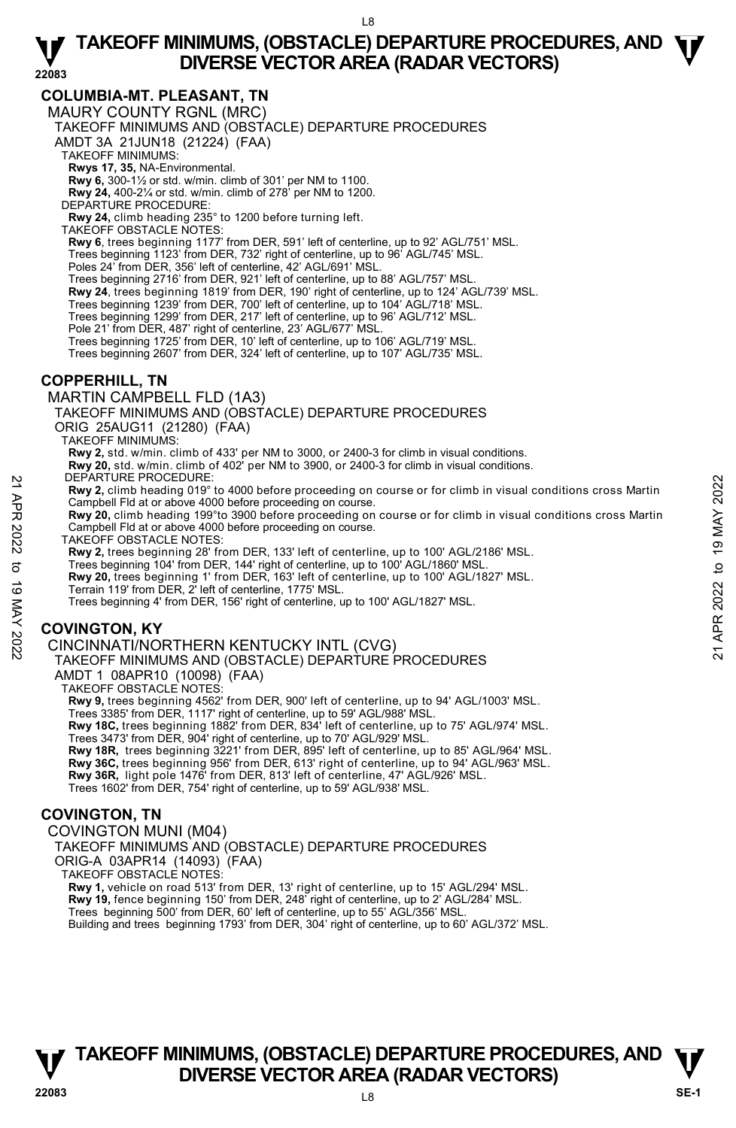#### **COLUMBIA-MT. PLEASANT, TN**

MAURY COUNTY RGNL (MRC)

TAKEOFF MINIMUMS AND (OBSTACLE) DEPARTURE PROCEDURES

AMDT 3A 21JUN18 (21224) (FAA)

TAKEOFF MINIMUMS:

**Rwys 17, 35,** NA-Environmental.

**Rwy 6,** 300-1½ or std. w/min. climb of 301' per NM to 1100.

**Rwy 24,** 400-2¼ or std. w/min. climb of 278' per NM to 1200.

DEPARTURE PROCEDURE:

**Rwy 24,** climb heading 235° to 1200 before turning left. TAKEOFF OBSTACLE NOTES:

**Rwy 6**, trees beginning 1177' from DER, 591' left of centerline, up to 92' AGL/751' MSL.

Trees beginning 1123' from DER, 732' right of centerline, up to 96' AGL/745' MSL. Poles 24' from DER, 356' left of centerline, 42' AGL/691' MSL.

Trees beginning 2716' from DER, 921' left of centerline, up to 88' AGL/757' MSL.

**Rwy 24**, trees beginning 1819' from DER, 190' right of centerline, up to 124' AGL/739' MSL.

Trees beginning 1239' from DER, 700' left of centerline, up to 104' AGL/718' MSL.

Trees beginning 1299' from DER, 217' left of centerline, up to 96' AGL/712' MSL.

Pole 21' from DER, 487' right of centerline, 23' AGL/677' MSL.

Trees beginning 1725' from DER, 10' left of centerline, up to 106' AGL/719' MSL. Trees beginning 2607' from DER, 324' left of centerline, up to 107' AGL/735' MSL.

#### **COPPERHILL, TN**

MARTIN CAMPBELL FLD (1A3) TAKEOFF MINIMUMS AND (OBSTACLE) DEPARTURE PROCEDURES ORIG 25AUG11 (21280) (FAA) TAKEOFF MINIMUMS: **Rwy 2,** std. w/min. climb of 433' per NM to 3000, or 2400-3 for climb in visual conditions.

**Rwy 20,** std. w/min. climb of 402' per NM to 3900, or 2400-3 for climb in visual conditions. DEPARTURE PROCEDURE:

**Rwy 2,** climb heading 019° to 4000 before proceeding on course or for climb in visual conditions cross Martin Campbell Fld at or above 4000 before proceeding on course. PLEAR IVE PROCEDURE:<br> **21 APR 2022 TO APR 2022 TO APP 2022**<br> **221 APR 2022** To 19 to 4000 before proceeding on course or for climb in visual conditions cross Martin<br> **221 APR 20** climb heading 199° to 3000 before proceedi

**Rwy 20,** climb heading 199°to 3900 before proceeding on course or for climb in visual conditions cross Martin Campbell Fld at or above 4000 before proceeding on course.

TAKEOFF OBSTACLE NOTES:

**Rwy 2,** trees beginning 28' from DER, 133' left of centerline, up to 100' AGL/2186' MSL.<br>Trees beginning 104' from DER, 144' right of centerline, up to 100' AGL/1860' MSL.

**Rwy 20,** trees beginning 1' from DER, 163' left of centerline, up to 100' AGL/1827' MSL. Terrain 119' from DER, 2' left of centerline, 1775' MSL.

Trees beginning 4' from DER, 156' right of centerline, up to 100' AGL/1827' MSL.

#### **COVINGTON, KY**

CINCINNATI/NORTHERN KENTUCKY INTL (CVG)

TAKEOFF MINIMUMS AND (OBSTACLE) DEPARTURE PROCEDURES AMDT 1 08APR10 (10098) (FAA)

TAKEOFF OBSTACLE NOTES:

**Rwy 9,** trees beginning 4562' from DER, 900' left of centerline, up to 94' AGL/1003' MSL.

Trees 3385' from DER, 1117' right of centerline, up to 59' AGL/988' MSL. **Rwy 18C,** trees beginning 1882' from DER, 834' left of centerline, up to 75' AGL/974' MSL.

Trees 3473' from DER, 904' right of centerline, up to 70' AGL/929' MSL.

 **Rwy 18R,** trees beginning 3221' from DER, 895' left of centerline, up to 85' AGL/964' MSL. **Rwy 36C,** trees beginning 956' from DER, 613' right of centerline, up to 94' AGL/963' MSL. **Rwy 36R,** light pole 1476' from DER, 813' left of centerline, 47' AGL/926' MSL.

Trees 1602' from DER, 754' right of centerline, up to 59' AGL/938' MSL.

#### **COVINGTON, TN**

COVINGTON MUNI (M04)

TAKEOFF MINIMUMS AND (OBSTACLE) DEPARTURE PROCEDURES ORIG-A 03APR14 (14093) (FAA)

TAKEOFF OBSTACLE NOTES:

**Rwy 1,** vehicle on road 513' from DER, 13' right of centerline, up to 15' AGL/294' MSL.<br>**Rwy 19,** fence beginning 150' from DER, 248' right of centerline, up to 2' AGL/284' MSL.

Trees beginning 500' from DER, 60' left of centerline, up to 55' AGL/356' MSL.

Building and trees beginning 1793' from DER, 304' right of centerline, up to 60' AGL/372' MSL.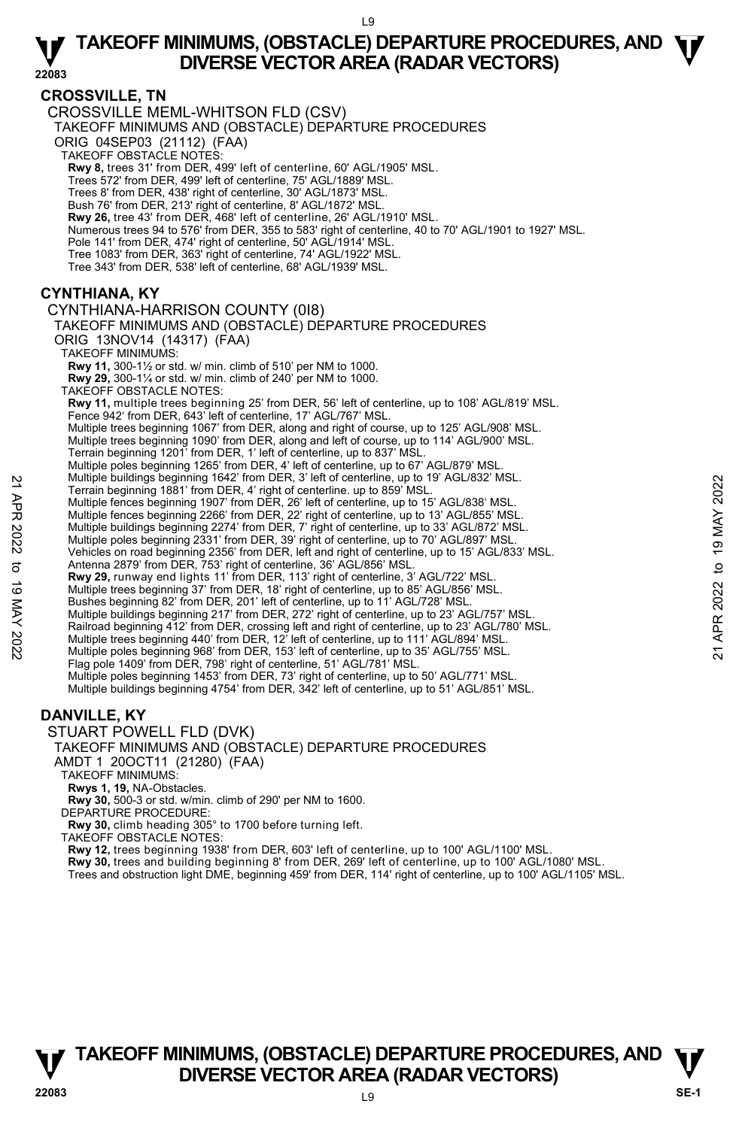**22083** 

#### **CROSSVILLE, TN**

CROSSVILLE MEML-WHITSON FLD (CSV)

TAKEOFF MINIMUMS AND (OBSTACLE) DEPARTURE PROCEDURES

ORIG 04SEP03 (21112) (FAA)

TAKEOFF OBSTACLE NOTES:

**Rwy 8,** trees 31' from DER, 499' left of centerline, 60' AGL/1905' MSL.

Trees 572' from DER, 499' left of centerline, 75' AGL/1889' MSL.

Trees 8' from DER, 438' right of centerline, 30' AGL/1873' MSL.

Bush 76' from DER, 213' right of centerline, 8' AGL/1872' MSL. **Rwy 26,** tree 43' from DER, 468' left of centerline, 26' AGL/1910' MSL.

Numerous trees 94 to 576' from DER, 355 to 583' right of centerline, 40 to 70' AGL/1901 to 1927' MSL.

Pole 141' from DER, 474' right of centerline, 50' AGL/1914' MSL.

Tree 1083' from DER, 363' right of centerline, 74' AGL/1922' MSL.

Tree 343' from DER, 538' left of centerline, 68' AGL/1939' MSL.

#### **CYNTHIANA, KY**

CYNTHIANA-HARRISON COUNTY (0I8)

TAKEOFF MINIMUMS AND (OBSTACLE) DEPARTURE PROCEDURES ORIG 13NOV14 (14317) (FAA)

TAKEOFF MINIMUMS:

**Rwy 11,** 300-1½ or std. w/ min. climb of 510' per NM to 1000.

**Rwy 29,** 300-1¼ or std. w/ min. climb of 240' per NM to 1000. TAKEOFF OBSTACLE NOTES:

**Rwy 11,** multiple trees beginning 25' from DER, 56' left of centerline, up to 108' AGL/819' MSL. Fence 942' from DER, 643' left of centerline, 17' AGL/767' MSL.

Multiple trees beginning 1067' from DER, along and right of course, up to 125' AGL/908' MSL. Multiple trees beginning 1090' from DER, along and left of course, up to 114' AGL/900' MSL.

Terrain beginning 1201' from DER, 1' left of centerline, up to 837' MSL.

Multiple poles beginning 1265' from DER, 4' left of centerline, up to 67' AGL/879' MSL. Multiple buildings beginning 1642' from DER, 3' left of centerline, up to 19' AGL/832' MSL.

Terrain beginning 1881' from DER, 4' right of centerline. up to 859' MSL.

Multiple fences beginning 1907' from DER, 26' left of centerline, up to 15' AGL/838' MSL.<br>Multiple fences beginning 2266' from DER, 22' right of centerline, up to 13' AGL/855' MSL.

Multiple buildings beginning 2274' from DER, 7' right of centerline, up to 33' AGL/872' MSL.

Multiple poles beginning 2331' from DER, 39' right of centerline, up to 70' AGL/897' MSL. Vehicles on road beginning 2356' from DER, left and right of centerline, up to 15' AGL/833' MSL.<br>Antenna 2879' from DER, 753' right of centerline, 36' AGL/856' MSL. Nultiple buildings beginning 1942' from DER, 4' right of center and the S59' MSL.<br>
Terrain beginning 1881' from DER, 4' right of center line, up to 15' AGL/838' MSL.<br>
Multiple fences beginning 2206' from DER, 26' right of

**Rwy 29,** runway end lights 11' from DER, 113' right of centerline, 3' AGL/722' MSL.

Multiple trees beginning 37' from DER, 18' right of centerline, up to 85' AGL/856' MSL.

Bushes beginning 82' from DER, 201' left of centerline, up to 11' AGL/728' MSL. Multiple buildings beginning 217' from DER, 272' right of centerline, up to 23' AGL/757' MSL.

Railroad beginning 412' from DER, crossing left and right of centerline, up to 23' AGL/780' MSL.

Multiple trees beginning 440' from DER, 12' left of centerline, up to 111' AGL/894' MSL. Multiple poles beginning 968' from DER, 153' left of centerline, up to 35' AGL/755' MSL.

Flag pole 1409' from DER, 798' right of centerline, 51' AGL/781' MSL.

Multiple poles beginning 1453' from DER, 73' right of centerline, up to 50' AGL/771' MSL.<br>Multiple buildings beginning 4754' from DER, 342' left of centerline, up to 51' AGL/851' MSL.

#### **DANVILLE, KY**

STUART POWELL FLD (DVK)

#### TAKEOFF MINIMUMS AND (OBSTACLE) DEPARTURE PROCEDURES

AMDT 1 20OCT11 (21280) (FAA)

TAKEOFF MINIMUMS:

**Rwys 1, 19,** NA-Obstacles.

**Rwy 30,** 500-3 or std. w/min. climb of 290' per NM to 1600. DEPARTURE PROCEDURE:

**Rwy 30,** climb heading 305° to 1700 before turning left.

TAKEOFF OBSTACLE NOTES:

**Rwy 12,** trees beginning 1938' from DER, 603' left of centerline, up to 100' AGL/1100' MSL.<br>**Rwy 30,** trees and building beginning 8' from DER, 269' left of centerline, up to 100' AGL/1080' MSL.

Trees and obstruction light DME, beginning 459' from DER, 114' right of centerline, up to 100' AGL/1105' MSL.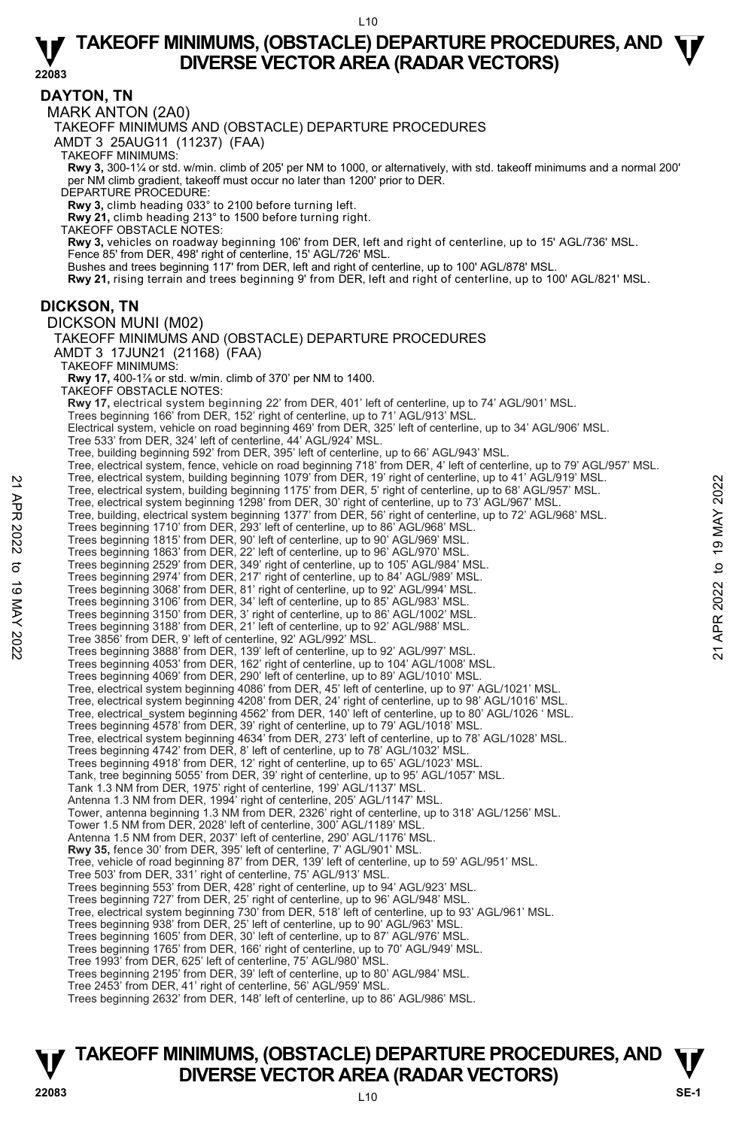**22083** 

**DAYTON, TN**  MARK ANTON (2A0) TAKEOFF MINIMUMS AND (OBSTACLE) DEPARTURE PROCEDURES AMDT 3 25AUG11 (11237) (FAA) TAKEOFF MINIMUMS: **Rwy 3,** 300-1¼ or std. w/min. climb of 205' per NM to 1000, or alternatively, with std. takeoff minimums and a normal 200' per NM climb gradient, takeoff must occur no later than 1200' prior to DER. DEPARTURE PROCEDURE: **Rwy 3,** climb heading 033° to 2100 before turning left. **Rwy 21,** climb heading 213° to 1500 before turning right. TAKEOFF OBSTACLE NOTES: **Rwy 3,** vehicles on roadway beginning 106' from DER, left and right of centerline, up to 15' AGL/736' MSL. Fence 85' from DER, 498' right of centerline, 15' AGL/726' MSL. Bushes and trees beginning 117' from DER, left and right of centerline, up to 100' AGL/878' MSL. **Rwy 21,** rising terrain and trees beginning 9' from DER, left and right of centerline, up to 100' AGL/821' MSL. **DICKSON, TN**  DICKSON MUNI (M02) TAKEOFF MINIMUMS AND (OBSTACLE) DEPARTURE PROCEDURES AMDT 3 17JUN21 (21168) (FAA) TAKEOFF MINIMUMS: **Rwy 17,** 400-1½ or std. w/min. climb of 370' per NM to 1400.<br>TAKEOFF OBSTACLE NOTES: **Rwy 17,** electrical system beginning 22' from DER, 401' left of centerline, up to 74' AGL/901' MSL. Trees beginning 166' from DER, 152' right of centerline, up to 71' AGL/913' MSL. Electrical system, vehicle on road beginning 469' from DER, 325' left of centerline, up to 34' AGL/906' MSL.<br>Tree 533' from DER, 324' left of centerline, 44' AGL/924' MSL. Tree, building beginning 592' from DER, 395' left of centerline, up to 66' AGL/943' MSL. Tree, electrical system, fence, vehicle on road beginning 718' from DER, 4' left of centerline, up to 79' AGL/957' MSL.<br>Tree, electrical system, building beginning 1079' from DER, 19' right of centerline, up to 41' AGL/919 Tree, electrical system, building beginning 1175' from DER, 5' right of centerline, up to 68' AGL/957' MSL. Tree, electrical system beginning 1298' from DER, 30' right of centerline, up to 73' AGL/967' MSL. Tree, building, electrical system beginning 1377' from DER, 56' right of centerline, up to 72' AGL/968' MSL. Trees beginning 1710' from DER, 293' left of centerline, up to 86' AGL/968' MSL. Trees beginning 1815' from DER, 90' left of centerline, up to 90' AGL/969' MSL. Trees beginning 1863' from DER, 22' left of centerline, up to 96' AGL/970' MSL.<br>Trees beginning 2529' from DER, 349' right of centerline, up to 105' AGL/984' MSL.<br>Trees beginning 2974' from DER, 217' right of centerline, u Trees beginning 3068' from DER, 81' right of centerline, up to 92' AGL/994' MSL. Trees beginning 3106' from DER, 34' left of centerline, up to 85' AGL/983' MSL. Trees beginning 3150' from DER, 3' right of centerline, up to 86' AGL/1002' MSL. Trees beginning 3188' from DER, 21' left of centerline, up to 92' AGL/988' MSL. Tree 3856' from DER, 9' left of centerline, 92' AGL/992' MSL. Trees beginning 3888' from DER, 139' left of centerline, up to 92' AGL/997' MSL. Trees beginning 4053' from DER, 162' right of centerline, up to 104' AGL/1008' MSL. Trees beginning 4069' from DER, 290' left of centerline, up to 89' AGL/1010' MSL. Tree, electrical system beginning 4086' from DER, 45' left of centerline, up to 97' AGL/1021' MSL. Tree, electrical system beginning 4208' from DER, 24' right of centerline, up to 98' AGL/1016' MSL. Tree, electrical\_system beginning 4562' from DER, 140' left of centerline, up to 80' AGL/1026 ' MSL.<br>Trees beginning 4578' from DER, 39' right of centerline, up to 79' AGL/1018' MSL. Tree, electrical system beginning 4634' from DER, 273' left of centerline, up to 78' AGL/1028' MSL. Trees beginning 4742' from DER, 8' left of centerline, up to 78' AGL/1032' MSL. Trees beginning 4918' from DER, 12' right of centerline, up to 65' AGL/1023' MSL. Tank, tree beginning 5055' from DER, 39' right of centerline, up to 95' AGL/1057' MSL. Tank 1.3 NM from DER, 1975' right of centerline, 199' AGL/1137' MSL. Antenna 1.3 NM from DER, 1994' right of centerline, 205' AGL/1147' MSL. Tower, antenna beginning 1.3 NM from DER, 2326' right of centerline, up to 318' AGL/1256' MSL. Tower 1.5 NM from DER, 2028' left of centerline, 300' AGL/1189' MSL. Antenna 1.5 NM from DER, 2037' left of centerline, 290' AGL/1176' MSL. **Rwy 35,** fence 30' from DER, 395' left of centerline, 7' AGL/901' MSL.<br>Tree, vehicle of road beginning 87' from DER, 139' left of centerline, up to 59' AGL/951' MSL. Tree 503' from DER, 331' right of centerline, 75' AGL/913' MSL. Trees beginning 553' from DER, 428' right of centerline, up to 94' AGL/923' MSL. Trees beginning 727' from DER, 25' right of centerline, up to 96' AGL/948' MSL. Tree, electrical system beginning 730' from DER, 518' left of centerline, up to 93' AGL/961' MSL. Trees beginning 938' from DER, 25' left of centerline, up to 90' AGL/963' MSL. Trees beginning 1605' from DER, 30' left of centerline, up to 87' AGL/976' MSL. Trees beginning 1765' from DER, 166' right of centerline, up to 70' AGL/949' MSL. Tree 1993' from DER, 625' left of centerline, 75' AGL/980' MSL. Trees beginning 2195' from DER, 39' left of centerline, up to 80' AGL/984' MSL. Tree 2453' from DER, 41' right of centerline, 56' AGL/959' MSL. Trees beginning 2632' from DER, 148' left of centerline, up to 86' AGL/986' MSL. Tree, electrical system, building beginning 1175' from DER, 5' right of centerline, up to 68' AGL/957' MSL.<br>
Tree, electrical system beginning 11979' from DER, 5' right of centerline, up to 68' AGL/957' MSL.<br>
Tree, belocit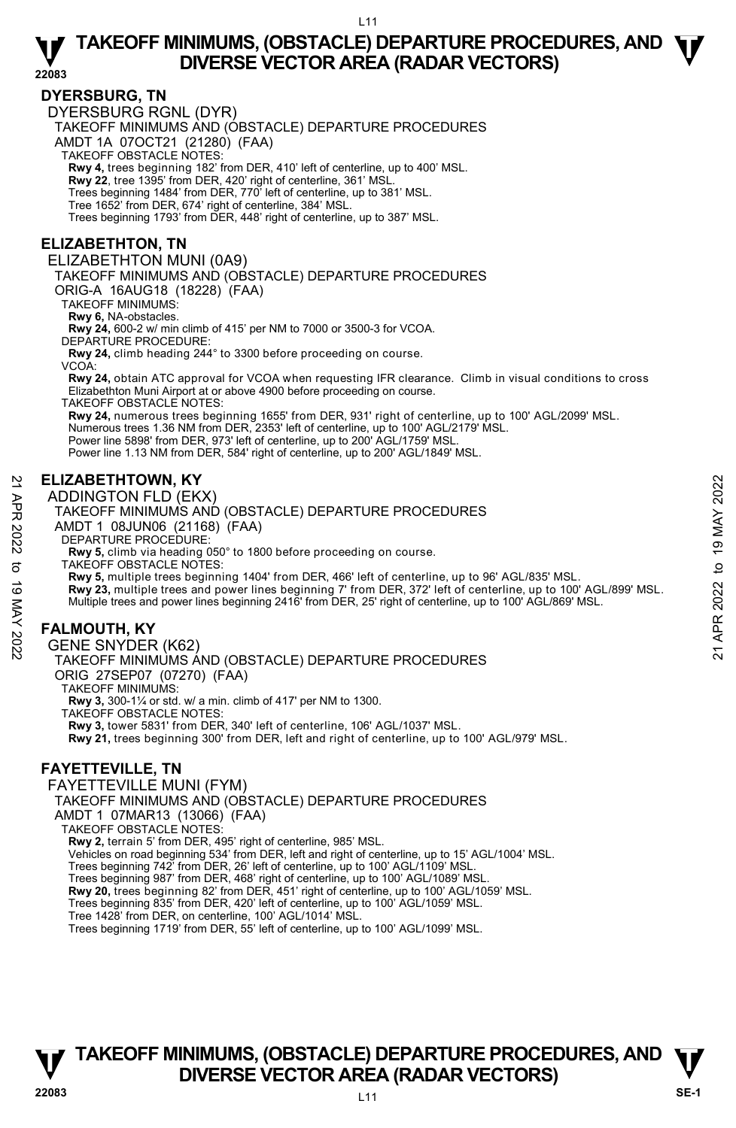**22083** 

#### **DYERSBURG, TN**

DYERSBURG RGNL (DYR)

TAKEOFF MINIMUMS AND (OBSTACLE) DEPARTURE PROCEDURES

AMDT 1A 07OCT21 (21280) (FAA)

TAKEOFF OBSTACLE NOTES:

**Rwy 4,** trees beginning 182' from DER, 410' left of centerline, up to 400' MSL.

**Rwy 22**, tree 1395' from DER, 420' right of centerline, 361' MSL. Trees beginning 1484' from DER, 770' left of centerline, up to 381' MSL.

Tree 1652' from DER, 674' right of centerline, 384' MSL.

Trees beginning 1793' from DER, 448' right of centerline, up to 387' MSL.

#### **ELIZABETHTON, TN**

ELIZABETHTON MUNI (0A9)

TAKEOFF MINIMUMS AND (OBSTACLE) DEPARTURE PROCEDURES

ORIG-A 16AUG18 (18228) (FAA)

TAKEOFF MINIMUMS:

**Rwy 6,** NA-obstacles.

**Rwy 24,** 600-2 w/ min climb of 415' per NM to 7000 or 3500-3 for VCOA.

DEPARTURE PROCEDURE

**Rwy 24,** climb heading 244° to 3300 before proceeding on course.

VCOA:

**Rwy 24,** obtain ATC approval for VCOA when requesting IFR clearance. Climb in visual conditions to cross Elizabethton Muni Airport at or above 4900 before proceeding on course.

TAKEOFF OBSTACLE NOTES:

**Rwy 24,** numerous trees beginning 1655' from DER, 931' right of centerline, up to 100' AGL/2099' MSL. Numerous trees 1.36 NM from DER, 2353' left of centerline, up to 100' AGL/2179' MSL. Power line 5898' from DER, 973' left of centerline, up to 200' AGL/1759' MSL. Power line 1.13 NM from DER, 584' right of centerline, up to 200' AGL/1849' MSL.

#### **ELIZABETHTOWN, KY**

#### ADDINGTON FLD (EKX)

TAKEOFF MINIMUMS AND (OBSTACLE) DEPARTURE PROCEDURES

- AMDT 1 08JUN06 (21168) (FAA)
- DEPARTURE PROCEDURE:

**Rwy 5,** climb via heading 050° to 1800 before proceeding on course. TAKEOFF OBSTACLE NOTES:

**Rwy 5,** multiple trees beginning 1404' from DER, 466' left of centerline, up to 96' AGL/835' MSL. **ELIZABETHTOWN, KY**<br>
ADDINGTON FLD (EKX)<br>
TAKEOFF MINIMUMS AND (OBSTACLE) DEPARTURE PROCEDURES<br>
AND T 1 08JUN06 (21168) (FAA)<br>
DEPARTURE PROCEDURE:<br>
AND T 1 08JUN06 (21168) (FAA)<br>
DEPARTURE PROCEDURE:<br>
AND T 1 08JUN06 (21

**Rwy 23,** multiple trees and power lines beginning 7' from DER, 372' left of centerline, up to 100' AGL/899' MSL.<br>Multiple trees and power lines beginning 2416' from DER, 25' right of centerline, up to 100' AGL/869' MSL.

#### **FALMOUTH, KY**

GENE SNYDER (K62)

TAKEOFF MINIMUMS AND (OBSTACLE) DEPARTURE PROCEDURES

ORIG 27SEP07 (07270) (FAA)

TAKEOFF MINIMUMS:

**Rwy 3,** 300-1¼ or std. w/ a min. climb of 417' per NM to 1300.

TAKEOFF OBSTACLE NOTES:

**Rwy 3,** tower 5831' from DER, 340' left of centerline, 106' AGL/1037' MSL.

**Rwy 21,** trees beginning 300' from DER, left and right of centerline, up to 100' AGL/979' MSL.

#### **FAYETTEVILLE, TN**

FAYETTEVILLE MUNI (FYM) TAKEOFF MINIMUMS AND (OBSTACLE) DEPARTURE PROCEDURES AMDT 1 07MAR13 (13066) (FAA) TAKEOFF OBSTACLE NOTES: **Rwy 2,** terrain 5' from DER, 495' right of centerline, 985' MSL. Vehicles on road beginning 534' from DER, left and right of centerline, up to 15' AGL/1004' MSL. Trees beginning 742' from DER, 26' left of centerline, up to 100' AGL/1109' MSL. Trees beginning 987' from DER, 468' right of centerline, up to 100' AGL/1089' MSL. **Rwy 20,** trees beginning 82' from DER, 451' right of centerline, up to 100' AGL/1059' MSL.<br>Trees beginning 835' from DER, 420' left of centerline, up to 100' AGL/1059' MSL.

Tree 1428' from DER, on centerline, 100' AGL/1014' MSL.

Trees beginning 1719' from DER, 55' left of centerline, up to 100' AGL/1099' MSL.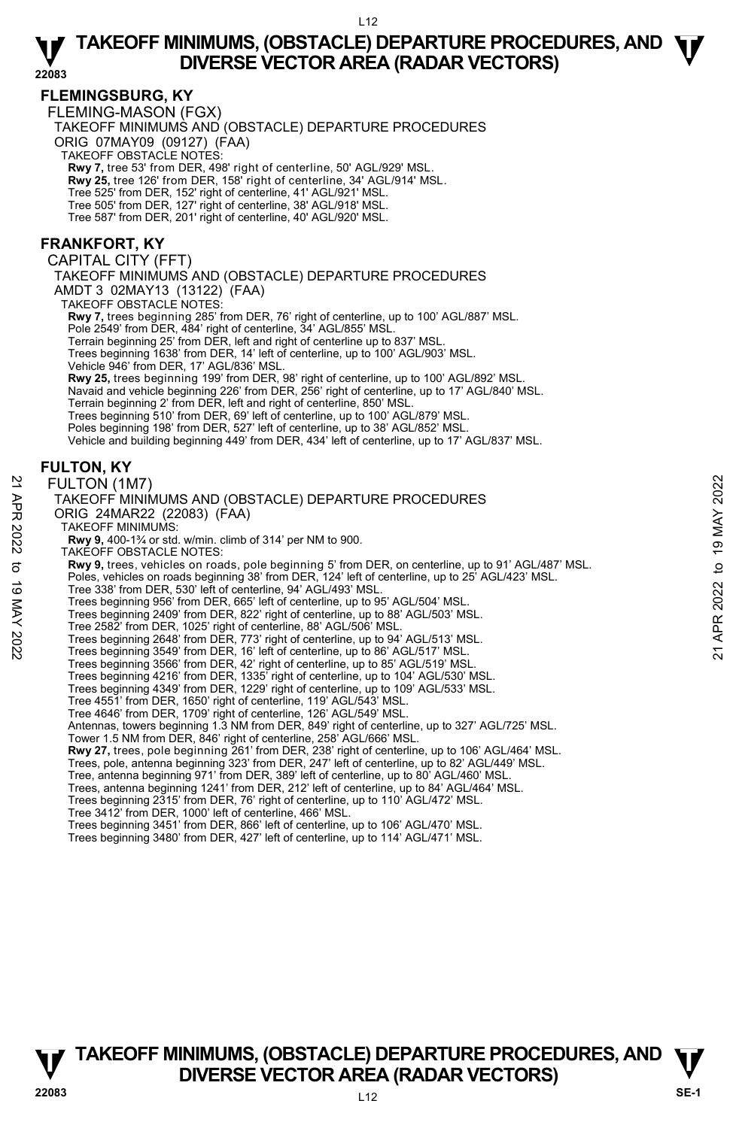#### **FLEMINGSBURG, KY**

FLEMING-MASON (FGX)

TAKEOFF MINIMUMS AND (OBSTACLE) DEPARTURE PROCEDURES

ORIG 07MAY09 (09127) (FAA)

TAKEOFF OBSTACLE NOTES:

**Rwy 7,** tree 53' from DER, 498' right of centerline, 50' AGL/929' MSL. **Rwy 25,** tree 126' from DER, 158' right of centerline, 34' AGL/914' MSL.

Tree 525' from DER, 152' right of centerline, 41' AGL/921' MSL.

Tree 505' from DER, 127' right of centerline, 38' AGL/918' MSL. Tree 587' from DER, 201' right of centerline, 40' AGL/920' MSL.

#### **FRANKFORT, KY**

CAPITAL CITY (FFT)

TAKEOFF MINIMUMS AND (OBSTACLE) DEPARTURE PROCEDURES AMDT 3 02MAY13 (13122) (FAA)

TAKEOFF OBSTACLE NOTES:

**Rwy 7,** trees beginning 285' from DER, 76' right of centerline, up to 100' AGL/887' MSL.

Pole 2549' from DER, 484' right of centerline, 34' AGL/855' MSL.

Terrain beginning 25' from DER, left and right of centerline up to 837' MSL. Trees beginning 1638' from DER, 14' left of centerline, up to 100' AGL/903' MSL.

Vehicle 946' from DER, 17' AGL/836' MSL.

**Rwy 25,** trees beginning 199' from DER, 98' right of centerline, up to 100' AGL/892' MSL.<br>Navaid and vehicle beginning 226' from DER, 256' right of centerline, up to 17' AGL/840' MSL.

Terrain beginning 2' from DER, left and right of centerline, 850' MSL.

Trees beginning 510' from DER, 69' left of centerline, up to 100' AGL/879' MSL.

Poles beginning 198' from DER, 527' left of centerline, up to 38' AGL/852' MSL. Vehicle and building beginning 449' from DER, 434' left of centerline, up to 17' AGL/837' MSL.

#### **FULTON, KY**

FULTON (1M7)

#### TAKEOFF MINIMUMS AND (OBSTACLE) DEPARTURE PROCEDURES ORIG 24MAR22 (22083) (FAA) TAKEOFF MINIMUMS: **Rwy 9,** 400-1¾ or std. w/min. climb of 314' per NM to 900. TAKEOFF OBSTACLE NOTES:  **Rwy 9,** trees, vehicles on roads, pole beginning 5' from DER, on centerline, up to 91' AGL/487' MSL. Poles, vehicles on roads beginning 38' from DER, 124' left of centerline, up to 25' AGL/423' MSL. Tree 338' from DER, 530' left of centerline, 94' AGL/493' MSL. Trees beginning 956' from DER, 665' left of centerline, up to 95' AGL/504' MSL. Trees beginning 2409' from DER, 822' right of centerline, up to 88' AGL/503' MSL. Tree 2582' from DER, 1025' right of centerline, 88' AGL/506' MSL. Trees beginning 2648' from DER, 773' right of centerline, up to 94' AGL/513' MSL. Trees beginning 3549' from DER, 16' left of centerline, up to 86' AGL/517' MSL. Trees beginning 3566' from DER, 42' right of centerline, up to 85' AGL/519' MSL. Trees beginning 4216' from DER, 1335' right of centerline, up to 104' AGL/530' MSL. Trees beginning 4349' from DER, 1229' right of centerline, up to 109' AGL/533' MSL. Tree 4551' from DER, 1650' right of centerline, 119' AGL/543' MSL. Tree 4646' from DER, 1709' right of centerline, 126' AGL/549' MSL. Antennas, towers beginning 1.3 NM from DER, 849' right of centerline, up to 327' AGL/725' MSL. Tower 1.5 NM from DER, 846' right of centerline, 258' AGL/666' MSL. **Rwy 27,** trees, pole beginning 261' from DER, 238' right of centerline, up to 106' AGL/464' MSL. Trees, pole, antenna beginning 323' from DER, 247' left of centerline, up to 82' AGL/449' MSL.<br>Tree, antenna beginning 971' from DER, 389' left of centerline, up to 80' AGL/460' MSL. Trees, antenna beginning 1241' from DER, 212' left of centerline, up to 84' AGL/464' MSL. Trees beginning 2315' from DER, 76' right of centerline, up to 110' AGL/472' MSL.<br>Tree 3412' from DER, 1000' left of centerline, 466' MSL.<br>Trees beginning 3451' from DER, 866' left of centerline, up to 106' AGL/470' MSL. Trees beginning 3480' from DER, 427' left of centerline, up to 114' AGL/471' MSL. FULTON (1M7)<br>
TAKEOFF MINIMUMS AND (OBSTACLE) DEPARTURE PROCEDURES<br>
ORIG 24MAR22 (22083) (FAA)<br>
NAY 3, 400-1<sup>3</sup>/<sub>4</sub> or std. w/min. climb of 314' per NM to 900.<br>
TAKEOFF MINIMUMS:<br>
TAKEOFF MINIMUMS:<br>
TAKEOFF MINIMUMS:<br>
TAK

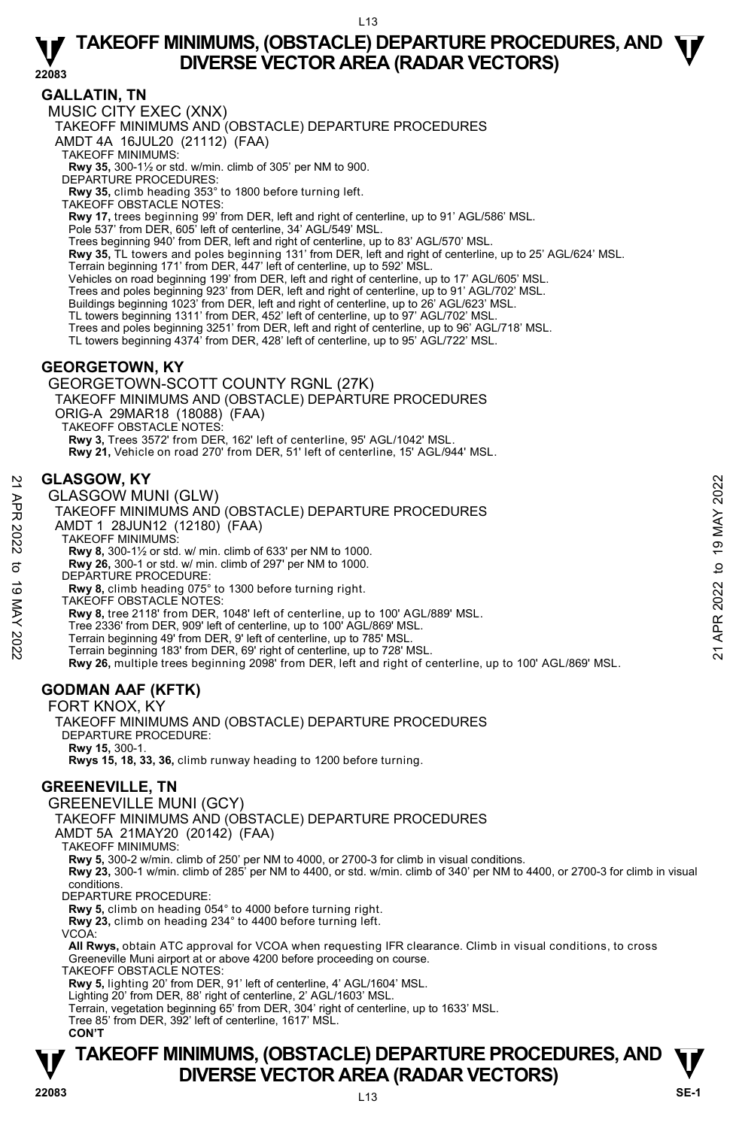#### **GALLATIN, TN**

MUSIC CITY EXEC (XNX)

TAKEOFF MINIMUMS AND (OBSTACLE) DEPARTURE PROCEDURES

AMDT 4A 16JUL20 (21112) (FAA)

TAKEOFF MINIMUMS:

**Rwy 35,** 300-1½ or std. w/min. climb of 305' per NM to 900.

DEPARTURE PROCEDURES:

**Rwy 35,** climb heading 353° to 1800 before turning left. TAKEOFF OBSTACLE NOTES:

**Rwy 17,** trees beginning 99' from DER, left and right of centerline, up to 91' AGL/586' MSL.

Pole 537' from DER, 605' left of centerline, 34' AGL/549' MSL.

Trees beginning 940' from DER, left and right of centerline, up to 83' AGL/570' MSL.

**Rwy 35,** TL towers and poles beginning 131' from DER, left and right of centerline, up to 25' AGL/624' MSL.

Terrain beginning 171' from DER, 447' left of centerline, up to 592' MSL.

Vehicles on road beginning 199' from DER, left and right of centerline, up to 17' AGL/605' MSL. Trees and poles beginning 923' from DER, left and right of centerline, up to 91' AGL/702' MSL.

Buildings beginning 1023' from DER, left and right of centerline, up to 26' AGL/623' MSL.

- TL towers beginning 1311' from DER, 452' left of centerline, up to 97' AGL/702' MSL.<br>Trees and poles beginning 3251' from DER, left and right of centerline, up to 96' AGL/718' MSL.
- 

TL towers beginning 4374' from DER, 428' left of centerline, up to 95' AGL/722' MSL.

#### **GEORGETOWN, KY**

GEORGETOWN-SCOTT COUNTY RGNL (27K)

TAKEOFF MINIMUMS AND (OBSTACLE) DEPARTURE PROCEDURES

ORIG-A 29MAR18 (18088) (FAA)

TAKEOFF OBSTACLE NOTES:

**Rwy 3,** Trees 3572' from DER, 162' left of centerline, 95' AGL/1042' MSL.

**Rwy 21,** Vehicle on road 270' from DER, 51' left of centerline, 15' AGL/944' MSL.

#### **GLASGOW, KY**

GLASGOW MUNI (GLW)

TAKEOFF MINIMUMS AND (OBSTACLE) DEPARTURE PROCEDURES GLASGOW, KY<br>  $\geq$  GLASGOW MUNI (GLW)<br>
TAKEOFF MINIMUMS AND (OBSTACLE) DEPARTURE PROCEDURES<br>
AMDT 1 28JUN12 (12180) (FAA)<br>
TAKEOFF MINIMUMS:<br>
RWY 8, 300-1 or std. w/ min. climb of 633' per NM to 1000.<br> **EVALUATE PROCEDURE** 

AMDT 1 28JUN12 (12180) (FAA)

TAKEOFF MINIMUMS:

**Rwy 8,** 300-1½ or std. w/ min. climb of 633' per NM to 1000.

**Rwy 26,** 300-1 or std. w/ min. climb of 297' per NM to 1000.

DEPARTURE PROCEDURE:

**Rwy 8,** climb heading 075° to 1300 before turning right.

TAKEOFF OBSTACLE NOTES:

**Rwy 8,** tree 2118' from DER, 1048' left of centerline, up to 100' AGL/889' MSL.

Tree 2336' from DER, 909' left of centerline, up to 100' AGL/869' MSL.

Terrain beginning 49' from DER, 9' left of centerline, up to 785' MSL.

Terrain beginning 183' from DER, 69' right of centerline, up to 728' MSL.

**Rwy 26,** multiple trees beginning 2098' from DER, left and right of centerline, up to 100' AGL/869' MSL.

### **GODMAN AAF (KFTK)**

FORT KNOX, KY TAKEOFF MINIMUMS AND (OBSTACLE) DEPARTURE PROCEDURES DEPARTURE PROCEDURE: **Rwy 15,** 300-1. **Rwys 15, 18, 33, 36,** climb runway heading to 1200 before turning.

#### **GREENEVILLE, TN**

GREENEVILLE MUNI (GCY)

TAKEOFF MINIMUMS AND (OBSTACLE) DEPARTURE PROCEDURES

AMDT 5A 21MAY20 (20142) (FAA)

TAKEOFF MINIMUMS:

**Rwy 5,** 300-2 w/min. climb of 250' per NM to 4000, or 2700-3 for climb in visual conditions.

**Rwy 23,** 300-1 w/min. climb of 285' per NM to 4400, or std. w/min. climb of 340' per NM to 4400, or 2700-3 for climb in visual conditions.

DEPARTURE PROCEDURE:

**Rwy 5,** climb on heading 054° to 4000 before turning right.

**Rwy 23,** climb on heading 234° to 4400 before turning left.

VCOA:

**All Rwys,** obtain ATC approval for VCOA when requesting IFR clearance. Climb in visual conditions, to cross Greeneville Muni airport at or above 4200 before proceeding on course.

TAKEOFF OBSTACLE NOTES:

**Rwy 5,** lighting 20' from DER, 91' left of centerline, 4' AGL/1604' MSL. Lighting 20' from DER, 88' right of centerline, 2' AGL/1603' MSL.

Terrain, vegetation beginning 65' from DER, 304' right of centerline, up to 1633' MSL.

Tree 85' from DER, 392' left of centerline, 1617' MSL.

**CON'T**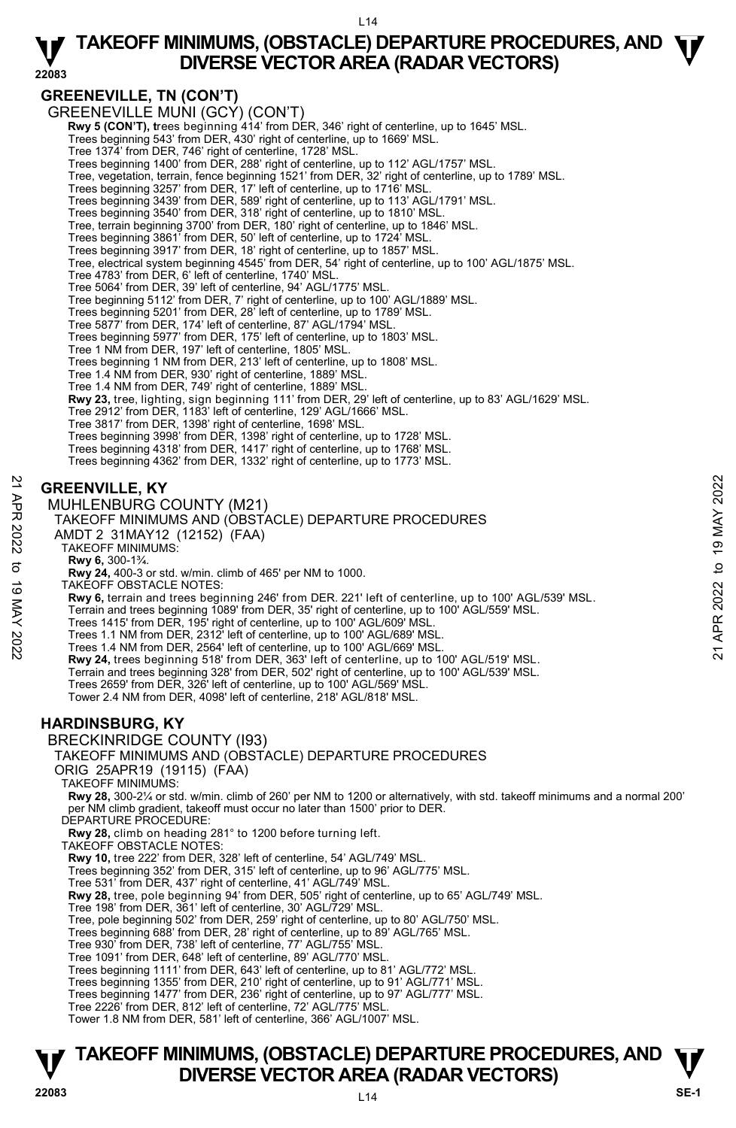### **GREENEVILLE, TN (CON'T)**

GREENEVILLE MUNI (GCY) (CON'T)

 **Rwy 5 (CON'T), t**rees beginning 414' from DER, 346' right of centerline, up to 1645' MSL. Trees beginning 543' from DER, 430' right of centerline, up to 1669' MSL.

Tree 1374' from DER, 746' right of centerline, 1728' MSL.

Trees beginning 1400' from DER, 288' right of centerline, up to 112' AGL/1757' MSL.

Tree, vegetation, terrain, fence beginning 1521' from DER, 32' right of centerline, up to 1789' MSL.

Trees beginning 3257' from DER, 17' left of centerline, up to 1716' MSL.<br>Trees beginning 3439' from DER, 589' right of centerline, up to 113' AGL/1791' MSL.<br>Trees beginning 3540' from DER, 318' right of centerline, up to 1

Trees beginning 3917' from DER, 18' right of centerline, up to 1857' MSL.<br>Tree, electrical system beginning 4545' from DER, 54' right of centerline, up to 100' AGL/1875' MSL.

Tree 4783' from DER, 6' left of centerline, 1740' MSL.

Tree 5064' from DER, 39' left of centerline, 94' AGL/1775' MSL.

Tree beginning 5112' from DER, 7' right of centerline, up to 100' AGL/1889' MSL. Trees beginning 5201' from DER, 28' left of centerline, up to 1789' MSL.

Tree 5877' from DER, 174' left of centerline, 87' AGL/1794' MSL.

Trees beginning 5977' from DER, 175' left of centerline, up to 1803' MSL. Tree 1 NM from DER, 197' left of centerline, 1805' MSL.

Trees beginning 1 NM from DER, 213' left of centerline, up to 1808' MSL.

Tree 1.4 NM from DER, 930' right of centerline, 1889' MSL. Tree 1.4 NM from DER, 749' right of centerline, 1889' MSL.

**Rwy 23,** tree, lighting, sign beginning 111' from DER, 29' left of centerline, up to 83' AGL/1629' MSL.

Tree 2912' from DER, 1183' left of centerline, 129' AGL/1666' MSL.

Tree 3817' from DER, 1398' right of centerline, 1698' MSL. Trees beginning 3998' from DER, 1398' right of centerline, up to 1728' MSL.

Trees beginning 4318' from DER, 1417' right of centerline, up to 1768' MSL.

Trees beginning 4362' from DER, 1332' right of centerline, up to 1773' MSL.

#### **GREENVILLE, KY**

MUHLENBURG COUNTY (M21)

TAKEOFF MINIMUMS AND (OBSTACLE) DEPARTURE PROCEDURES

AMDT 2 31MAY12 (12152) (FAA)

TAKEOFF MINIMUMS:

**Rwy 6,** 300-1¾.

**Rwy 24,** 400-3 or std. w/min. climb of 465' per NM to 1000.

TAKEOFF OBSTACLE NOTES:

**Rwy 6,** terrain and trees beginning 246' from DER. 221' left of centerline, up to 100' AGL/539' MSL. **GREENVILLE, KY**<br> **21** MUHLENBURG COUNTY (M21)<br>
TAKEOFF MINIMUMS AND (OBSTACLE) DEPARTURE PROCEDURES<br>
22<br>
AMDT 2 31MAY12 (12152) (FAA)<br>
TAKEOFF MINIMUMS.<br>
TAKEOFF MINIMUMS.<br>
TAKEOFF MINIMUMS.<br>
TAKEOFF OBSTACLE NOTES:<br> **32** 

Terrain and trees beginning 1089' from DER, 35' right of centerline, up to 100' AGL/559' MSL. Trees 1415' from DER, 195' right of centerline, up to 100' AGL/609' MSL.

Trees 1.1 NM from DER, 2312' left of centerline, up to 100' AGL/689' MSL. Trees 1.4 NM from DER, 2564' left of centerline, up to 100' AGL/669' MSL.

**Rwy 24,** trees beginning 518' from DER, 363' left of centerline, up to 100' AGL/519' MSL.

Terrain and trees beginning 328' from DER, 502' right of centerline, up to 100' AGL/539' MSL. Trees 2659' from DER, 326' left of centerline, up to 100' AGL/569' MSL.

Tower 2.4 NM from DER, 4098' left of centerline, 218' AGL/818' MSL.

#### **HARDINSBURG, KY**

BRECKINRIDGE COUNTY (I93)

TAKEOFF MINIMUMS AND (OBSTACLE) DEPARTURE PROCEDURES

ORIG 25APR19 (19115) (FAA)

TAKEOFF MINIMUMS:

**Rwy 28,** 300-2¼ or std. w/min. climb of 260' per NM to 1200 or alternatively, with std. takeoff minimums and a normal 200' per NM climb gradient, takeoff must occur no later than 1500' prior to DER.

DEPARTURE PROCEDURE:

**Rwy 28,** climb on heading 281° to 1200 before turning left.

TAKEOFF OBSTACLE NOTES:

**Rwy 10,** tree 222' from DER, 328' left of centerline, 54' AGL/749' MSL.

Trees beginning 352' from DER, 315' left of centerline, up to 96' AGL/775' MSL.

Tree 531' from DER, 437' right of centerline, 41' AGL/749' MSL.

**Rwy 28,** tree, pole beginning 94' from DER, 505' right of centerline, up to 65' AGL/749' MSL.<br>Tree 198' from DER, 361' left of centerline, 30' AGL/729' MSL.

Tree, pole beginning 502' from DER, 259' right of centerline, up to 80' AGL/750' MSL.

Trees beginning 688' from DER, 28' right of centerline, up to 89' AGL/765' MSL. Tree 930' from DER, 738' left of centerline, 77' AGL/755' MSL.

Tree 1091' from DER, 648' left of centerline, 89' AGL/770' MSL.

Trees beginning 1111' from DER, 643' left of centerline, up to 81' AGL/772' MSL. Trees beginning 1355' from DER, 210' right of centerline, up to 91' AGL/771' MSL.

Trees beginning 1477' from DER, 236' right of centerline, up to 97' AGL/777' MSL.

Tree 2226' from DER, 812' left of centerline, 72' AGL/775' MSL.

Tower 1.8 NM from DER, 581' left of centerline, 366' AGL/1007' MSL.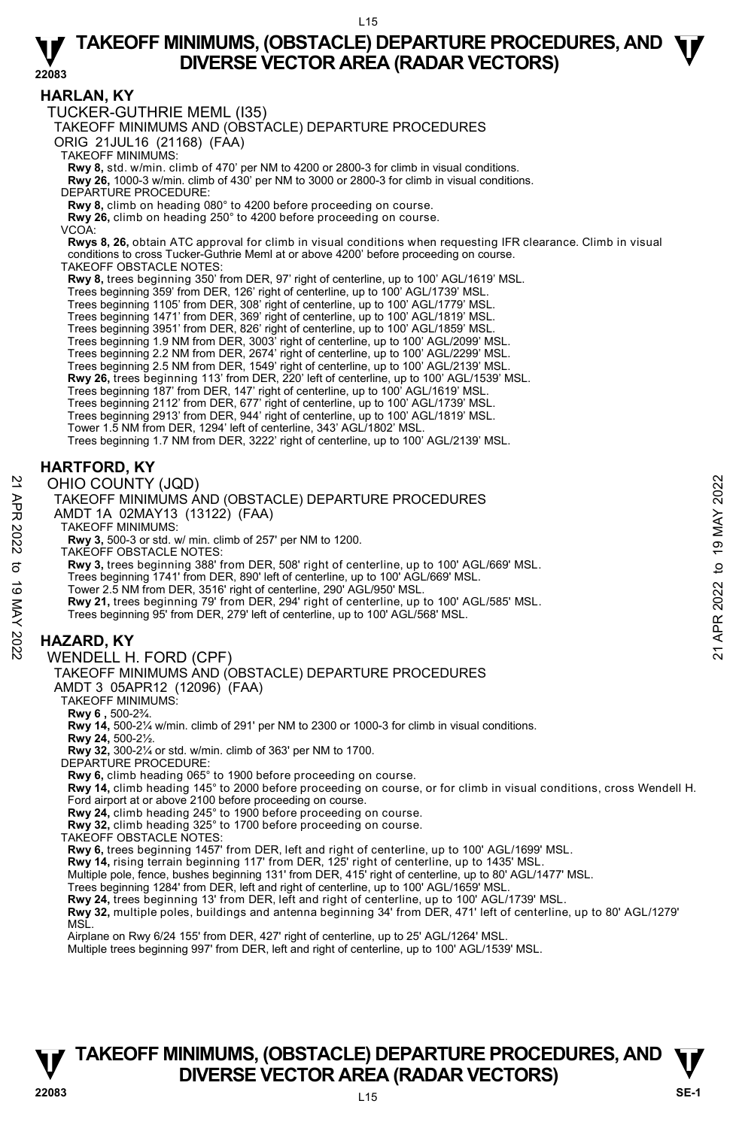**HARLAN, KY**  TUCKER-GUTHRIE MEML (I35) TAKEOFF MINIMUMS AND (OBSTACLE) DEPARTURE PROCEDURES ORIG 21JUL16 (21168) (FAA) TAKEOFF MINIMUMS: **Rwy 8,** std. w/min. climb of 470' per NM to 4200 or 2800-3 for climb in visual conditions.<br>**Rwy 26,** 1000-3 w/min. climb of 430' per NM to 3000 or 2800-3 for climb in visual conditions. DEPARTURE PROCEDURE: **Rwy 8,** climb on heading 080° to 4200 before proceeding on course. **Rwy 26,** climb on heading 250° to 4200 before proceeding on course. VCOA: **Rwys 8, 26,** obtain ATC approval for climb in visual conditions when requesting IFR clearance. Climb in visual conditions to cross Tucker-Guthrie Meml at or above 4200' before proceeding on course. TAKEOFF OBSTACLE NOTES: **Rwy 8,** trees beginning 350' from DER, 97' right of centerline, up to 100' AGL/1619' MSL. Trees beginning 359' from DER, 126' right of centerline, up to 100' AGL/1739' MSL. Trees beginning 1105' from DER, 308' right of centerline, up to 100' AGL/1779' MSL. Trees beginning 1471' from DER, 369' right of centerline, up to 100' AGL/1819' MSL. Trees beginning 3951' from DER, 826' right of centerline, up to 100' AGL/1859' MSL. Trees beginning 1.9 NM from DER, 3003' right of centerline, up to 100' AGL/2099' MSL.<br>Trees beginning 2.2 NM from DER, 2674' right of centerline, up to 100' AGL/2299' MSL.<br>Trees beginning 2.5 NM from DER, 1549' right of ce **Rwy 26,** trees beginning 113' from DER, 220' left of centerline, up to 100' AGL/1539' MSL. Trees beginning 187' from DER, 147' right of centerline, up to 100' AGL/1619' MSL. Trees beginning 2112' from DER, 677' right of centerline, up to 100' AGL/1739' MSL. Trees beginning 2913' from DER, 944' right of centerline, up to 100' AGL/1819' MSL. Tower 1.5 NM from DER, 1294' left of centerline, 343' AGL/1802' MSL. Trees beginning 1.7 NM from DER, 3222' right of centerline, up to 100' AGL/2139' MSL. **HARTFORD, KY**  OHIO COUNTY (JQD) TAKEOFF MINIMUMS AND (OBSTACLE) DEPARTURE PROCEDURES AMDT 1A 02MAY13 (13122) (FAA) TAKEOFF MINIMUMS: **Rwy 3,** 500-3 or std. w/ min. climb of 257' per NM to 1200. TAKEOFF OBSTACLE NOTES: **Rwy 3,** trees beginning 388' from DER, 508' right of centerline, up to 100' AGL/669' MSL. Trees beginning 1741' from DER, 890' left of centerline, up to 100' AGL/669' MSL. Tower 2.5 NM from DER, 3516' right of centerline, 290' AGL/950' MSL. **Rwy 21,** trees beginning 79' from DER, 294' right of centerline, up to 100' AGL/585' MSL. Trees beginning 95' from DER, 279' left of centerline, up to 100' AGL/568' MSL. **HAZARD, KY**  WENDELL H. FORD (CPF) TAKEOFF MINIMUMS AND (OBSTACLE) DEPARTURE PROCEDURES AMDT 3 05APR12 (12096) (FAA) TAKEOFF MINIMUMS: **Rwy 6 ,** 500-2¾. **Rwy 14,** 500-2¼ w/min. climb of 291' per NM to 2300 or 1000-3 for climb in visual conditions. **Rwy 24,** 500-2½. **Rwy 32,** 300-2¼ or std. w/min. climb of 363' per NM to 1700. DEPARTURE PROCEDURE: **Rwy 6,** climb heading 065° to 1900 before proceeding on course. **Rwy 14,** climb heading 145° to 2000 before proceeding on course, or for climb in visual conditions, cross Wendell H. Ford airport at or above 2100 before proceeding on course. **Rwy 24,** climb heading 245° to 1900 before proceeding on course. **Rwy 32,** climb heading 325° to 1700 before proceeding on course. TAKEOFF OBSTACLE NOTES: **Rwy 6,** trees beginning 1457' from DER, left and right of centerline, up to 100' AGL/1699' MSL. **Rwy 14,** rising terrain beginning 117' from DER, 125' right of centerline, up to 1435' MSL. Multiple pole, fence, bushes beginning 131' from DER, 415' right of centerline, up to 80' AGL/1477' MSL. OHIO COUNTY (JQD)<br>
TAKEOFF MINIMUMS AND (OBSTACLE) DEPARTURE PROCEDURES<br>
TAKEOFF MINIMUMS (13122) (FAA)<br>
NOT 1A 0220AY 13 (13122) (FAA)<br>
TAKEOFF MINIMUMS:<br>
TAKEOFF MINIMUMS:<br>
TAKEOFF MINIMUMS:<br>
TAKEOFF MINIMUMS:<br>
TAKEOFF

Trees beginning 1284' from DER, left and right of centerline, up to 100' AGL/1659' MSL.<br>**Rwy 24,** trees beginning 13' from DER, left and right of centerline, up to 100' AGL/1739' MSL.

**Rwy 32,** multiple poles, buildings and antenna beginning 34' from DER, 471' left of centerline, up to 80' AGL/1279' **MS** 

Airplane on Rwy 6/24 155' from DER, 427' right of centerline, up to 25' AGL/1264' MSL.

Multiple trees beginning 997' from DER, left and right of centerline, up to 100' AGL/1539' MSL.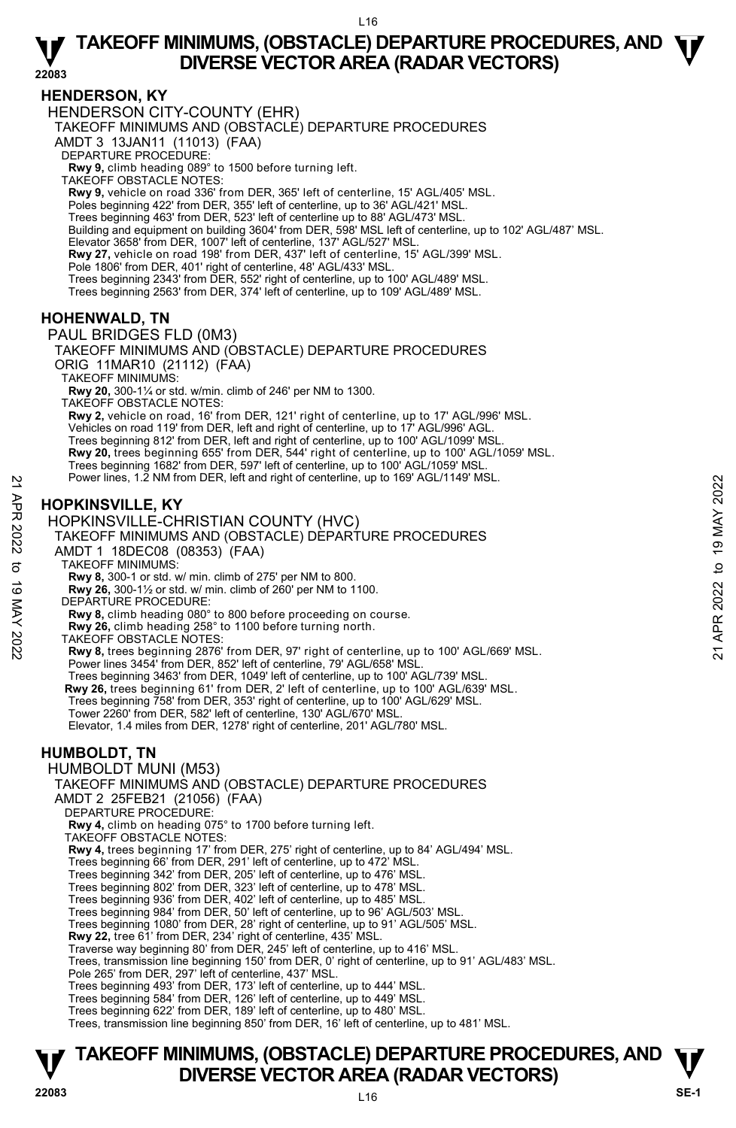#### **HENDERSON, KY**

HENDERSON CITY-COUNTY (EHR)

TAKEOFF MINIMUMS AND (OBSTACLE) DEPARTURE PROCEDURES

AMDT 3 13JAN11 (11013) (FAA)

DEPARTURE PROCEDURE:

**Rwy 9,** climb heading 089° to 1500 before turning left. TAKEOFF OBSTACLE NOTES:

**Rwy 9,** vehicle on road 336' from DER, 365' left of centerline, 15' AGL/405' MSL.

Poles beginning 422' from DER, 355' left of centerline, up to 36' AGL/421' MSL.

Trees beginning 463' from DER, 523' left of centerline up to 88' AGL/473' MSL. Building and equipment on building 3604' from DER, 598' MSL left of centerline, up to 102' AGL/487' MSL.

Elevator 3658' from DER, 1007' left of centerline, 137' AGL/527' MSL.

**Rwy 27,** vehicle on road 198' from DER, 437' left of centerline, 15' AGL/399' MSL.

Pole 1806' from DER, 401' right of centerline, 48' AGL/433' MSL.

Trees beginning 2343' from DER, 552' right of centerline, up to 100' AGL/489' MSL.

Trees beginning 2563' from DER, 374' left of centerline, up to 109' AGL/489' MSL.

#### **HOHENWALD, TN**

PAUL BRIDGES FLD (0M3)

TAKEOFF MINIMUMS AND (OBSTACLE) DEPARTURE PROCEDURES ORIG 11MAR10 (21112) (FAA)

TAKEOFF MINIMUMS:

**Rwy 20,** 300-1¼ or std. w/min. climb of 246' per NM to 1300.

TAKEOFF OBSTACLE NOTES:

**Rwy 2,** vehicle on road, 16' from DER, 121' right of centerline, up to 17' AGL/996' MSL. Vehicles on road 119' from DER, left and right of centerline, up to 17' AGL/996' AGL. Trees beginning 812' from DER, left and right of centerline, up to 100' AGL/1099' MSL. **Rwy 20,** trees beginning 655' from DER, 544' right of centerline, up to 100' AGL/1059' MSL. Trees beginning 1682' from DER, 597' left of centerline, up to 100' AGL/1059' MSL. Power lines, 1.2 NM from DER, left and right of centerline, up to 169' AGL/1149' MSL.

### **HOPKINSVILLE, KY**

HOPKINSVILLE-CHRISTIAN COUNTY (HVC)

# TAKEOFF MINIMUMS AND (OBSTACLE) DEPARTURE PROCEDURES AMDT 1 18DEC08 (08353) (FAA) Power lines, 1.2 NM from DER, left and right of centerline, up to 169' AGL/1149' MSL.<br> **HOPKINSVILLE, KY**<br>
HOPKINSVILLE-CHRISTIAN COUNTY (HVC)<br>
TAKEOFF MINIMUMS AND (OBSTACLE) DEPARTURE PROCEDURES<br>
AMDT 1 18DEC08 (08353)

TAKEOFF MINIMUMS:

**Rwy 8,** 300-1 or std. w/ min. climb of 275' per NM to 800.

**Rwy 26,** 300-1½ or std. w/ min. climb of 260' per NM to 1100. DEPARTURE PROCEDURE:

**Rwy 8,** climb heading 080° to 800 before proceeding on course.

**Rwy 26,** climb heading 258° to 1100 before turning north.

TAKEOFF OBSTACLE NOTES:

**Rwy 8,** trees beginning 2876' from DER, 97' right of centerline, up to 100' AGL/669' MSL. Power lines 3454' from DER, 852' left of centerline, 79' AGL/658' MSL.

Trees beginning 3463' from DER, 1049' left of centerline, up to 100' AGL/739' MSL.  **Rwy 26,** trees beginning 61' from DER, 2' left of centerline, up to 100' AGL/639' MSL.

- Trees beginning 758' from DER, 353' right of centerline, up to 100' AGL/629' MSL.
- Tower 2260' from DER, 582' left of centerline, 130' AGL/670' MSL.

Elevator, 1.4 miles from DER, 1278' right of centerline, 201' AGL/780' MSL.

#### **HUMBOLDT, TN**

HUMBOLDT MUNI (M53) TAKEOFF MINIMUMS AND (OBSTACLE) DEPARTURE PROCEDURES

AMDT 2 25FEB21 (21056) (FAA)

DEPARTURE PROCEDURE:

 **Rwy 4,** climb on heading 075° to 1700 before turning left.

TAKEOFF OBSTACLE NOTES:

**Rwy 4,** trees beginning 17' from DER, 275' right of centerline, up to 84' AGL/494' MSL. Trees beginning 66' from DER, 291' left of centerline, up to 472' MSL.

Trees beginning 342' from DER, 205' left of centerline, up to 476' MSL.

Trees beginning 802' from DER, 323' left of centerline, up to 478' MSL. Trees beginning 936' from DER, 402' left of centerline, up to 485' MSL.

Trees beginning 984' from DER, 50' left of centerline, up to 96' AGL/503' MSL.

Trees beginning 1080' from DER, 28' right of centerline, up to 91' AGL/505' MSL. **Rwy 22,** tree 61' from DER, 234' right of centerline, 435' MSL.

Traverse way beginning 80' from DER, 245' left of centerline, up to 416' MSL.

Trees, transmission line beginning 150' from DER, 0' right of centerline, up to 91' AGL/483' MSL.

Pole 265' from DER, 297' left of centerline, 437' MSL.

Trees beginning 493' from DER, 173' left of centerline, up to 444' MSL.

Trees beginning 584' from DER, 126' left of centerline, up to 449' MSL.

Trees beginning 622' from DER, 189' left of centerline, up to 480' MSL.

Trees, transmission line beginning 850' from DER, 16' left of centerline, up to 481' MSL.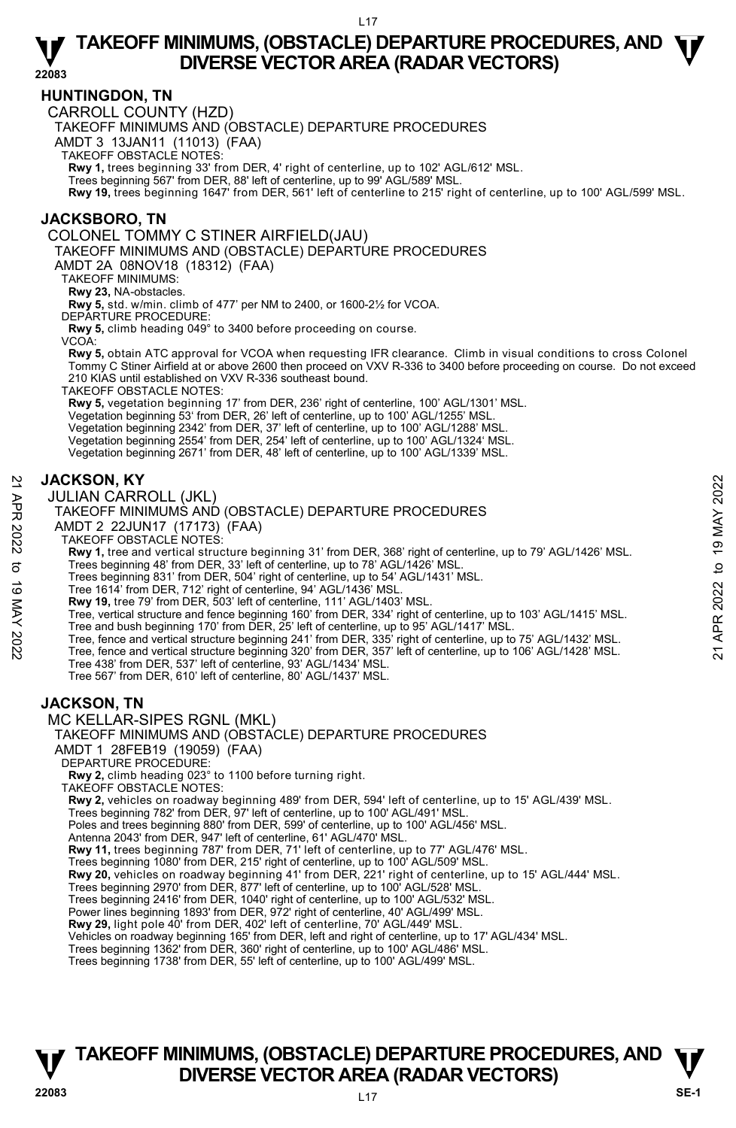**22083** 

#### **HUNTINGDON, TN**

CARROLL COUNTY (HZD)

TAKEOFF MINIMUMS AND (OBSTACLE) DEPARTURE PROCEDURES

AMDT 3 13JAN11 (11013) (FAA)

TAKEOFF OBSTACLE NOTES:

**Rwy 1,** trees beginning 33' from DER, 4' right of centerline, up to 102' AGL/612' MSL.<br>Trees beginning 567' from DER, 88' left of centerline, up to 99' AGL/589' MSL.

**Rwy 19,** trees beginning 1647' from DER, 561' left of centerline to 215' right of centerline, up to 100' AGL/599' MSL.

#### **JACKSBORO, TN**

COLONEL TOMMY C STINER AIRFIELD(JAU)

TAKEOFF MINIMUMS AND (OBSTACLE) DEPARTURE PROCEDURES

AMDT 2A 08NOV18 (18312) (FAA)

TAKEOFF MINIMUMS:

**Rwy 23,** NA-obstacles.

**Rwy 5,** std. w/min. climb of 477' per NM to 2400, or 1600-2½ for VCOA.

DEPARTURE PROCEDURE:

**Rwy 5,** climb heading 049° to 3400 before proceeding on course.

VCOA:

**Rwy 5,** obtain ATC approval for VCOA when requesting IFR clearance. Climb in visual conditions to cross Colonel Tommy C Stiner Airfield at or above 2600 then proceed on VXV R-336 to 3400 before proceeding on course. Do not exceed 210 KIAS until established on VXV R-336 southeast bound.

TAKEOFF OBSTACLE NOTES:

**Rwy 5,** vegetation beginning 17' from DER, 236' right of centerline, 100' AGL/1301' MSL.

Vegetation beginning 53' from DER, 26' left of centerline, up to 100' AGL/1255' MSL.

Vegetation beginning 2342' from DER, 37' left of centerline, up to 100' AGL/1288' MSL. Vegetation beginning 2554' from DER, 254' left of centerline, up to 100' AGL/1324' MSL.

Vegetation beginning 2671' from DER, 48' left of centerline, up to 100' AGL/1339' MSL.

#### **JACKSON, KY**

JULIAN CARROLL (JKL)

#### TAKEOFF MINIMUMS AND (OBSTACLE) DEPARTURE PROCEDURES

AMDT 2 22JUN17 (17173) (FAA)

TAKEOFF OBSTACLE NOTES:

**Rwy 1,** tree and vertical structure beginning 31' from DER, 368' right of centerline, up to 79' AGL/1426' MSL.

Trees beginning 48' from DER, 33' left of centerline, up to 78' AGL/1426' MSL.

Trees beginning 831' from DER, 504' right of centerline, up to 54' AGL/1431' MSL.

Tree 1614' from DER, 712' right of centerline, 94' AGL/1436' MSL. **Rwy 19,** tree 79' from DER, 503' left of centerline, 111' AGL/1403' MSL.

- Tree, vertical structure and fence beginning 160' from DER, 334' right of centerline, up to 103' AGL/1415' MSL. Tree and bush beginning 170' from DER, 25' left of centerline, up to 95' AGL/1417' MSL. 3 JACKSON, KY<br>
JULIAN CARROLL (JKL)<br>
TAKEOFF MINIMUMS AND (OBSTACLE) DEPARTURE PROCEDURES<br>
TAKEOFF OBSTACLE NOTES:<br>
AMDT 2 22JUN17 (17173) (FAA)<br>
TAKEOFF OBSTACLE NOTES:<br>
Revy 1, tree and vertical structure beginning 31
	-
	-
	-
	- Tree 438' from DER, 537' left of centerline, 93' AGL/1434' MSL.
	- Tree 567' from DER, 610' left of centerline, 80' AGL/1437' MSL.

#### **JACKSON, TN**

MC KELLAR-SIPES RGNL (MKL)



AMDT 1 28FEB19 (19059) (FAA)

DEPARTURE PROCEDURE:

**Rwy 2,** climb heading 023° to 1100 before turning right.

TAKEOFF OBSTACLE NOTES:

**Rwy 2,** vehicles on roadway beginning 489' from DER, 594' left of centerline, up to 15' AGL/439' MSL.<br>Trees beginning 782' from DER, 97' left of centerline, up to 100' AGL/491' MSL.

Poles and trees beginning 880' from DER, 599' of centerline, up to 100' AGL/456' MSL.

Antenna 2043' from DER, 947' left of centerline, 61' AGL/470' MSL.

**Rwy 11,** trees beginning 787' from DER, 71' left of centerline, up to 77' AGL/476' MSL.<br>Trees beginning 1080' from DER, 215' right of centerline, up to 100' AGL/509' MSL.

**Rwy 20,** vehicles on roadway beginning 41' from DER, 221' right of centerline, up to 15' AGL/444' MSL.

Trees beginning 2970' from DER, 877' left of centerline, up to 100' AGL/528' MSL. Trees beginning 2416' from DER, 1040' right of centerline, up to 100' AGL/532' MSL.

Power lines beginning 1893' from DER, 972' right of centerline, 40' AGL/499' MSL.<br>**Rwy 29,** light pole 40' from DER, 402' left of centerline, 70' AGL/449' MSL.

Vehicles on roadway beginning 165' from DER, left and right of centerline, up to 17' AGL/434' MSL.

Trees beginning 1362' from DER, 360' right of centerline, up to 100' AGL/486' MSL.

Trees beginning 1738' from DER, 55' left of centerline, up to 100' AGL/499' MSL.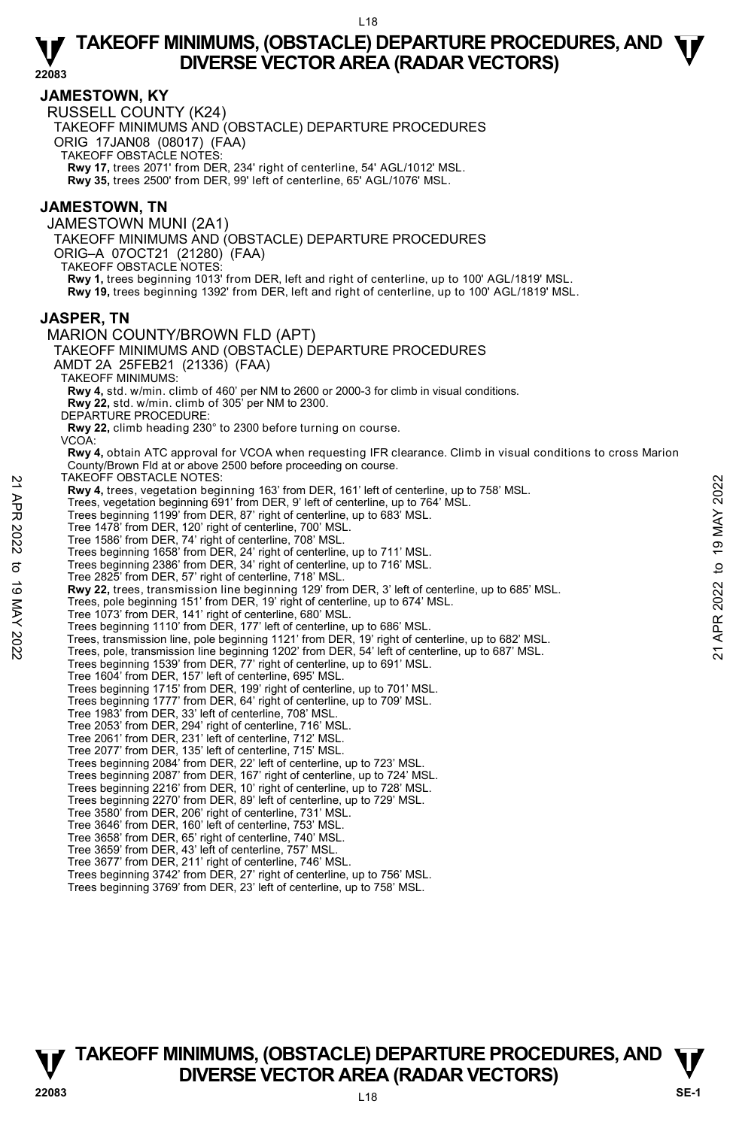**22083** 

#### **JAMESTOWN, KY**

RUSSELL COUNTY (K24)

TAKEOFF MINIMUMS AND (OBSTACLE) DEPARTURE PROCEDURES

ORIG 17JAN08 (08017) (FAA)

TAKEOFF OBSTACLE NOTES:

**Rwy 17,** trees 2071' from DER, 234' right of centerline, 54' AGL/1012' MSL. **Rwy 35,** trees 2500' from DER, 99' left of centerline, 65' AGL/1076' MSL.

#### **JAMESTOWN, TN**

JAMESTOWN MUNI (2A1) TAKEOFF MINIMUMS AND (OBSTACLE) DEPARTURE PROCEDURES ORIG–A 07OCT21 (21280) (FAA) TAKEOFF OBSTACLE NOTES: **Rwy 1,** trees beginning 1013' from DER, left and right of centerline, up to 100' AGL/1819' MSL. **Rwy 19,** trees beginning 1392' from DER, left and right of centerline, up to 100' AGL/1819' MSL.

#### **JASPER, TN**

MARION COUNTY/BROWN FLD (APT) TAKEOFF MINIMUMS AND (OBSTACLE) DEPARTURE PROCEDURES AMDT 2A 25FEB21 (21336) (FAA) TAKEOFF MINIMUMS: **Rwy 4,** std. w/min. climb of 460' per NM to 2600 or 2000-3 for climb in visual conditions. **Rwy 22,** std. w/min. climb of 305' per NM to 2300. DEPARTURE PROCEDURE: **Rwy 22,** climb heading 230° to 2300 before turning on course. VCOA:  **Rwy 4,** obtain ATC approval for VCOA when requesting IFR clearance. Climb in visual conditions to cross Marion County/Brown Fld at or above 2500 before proceeding on course. TAKEOFF OBSTACLE NOTES: **Rwy 4,** trees, vegetation beginning 163' from DER, 161' left of centerline, up to 758' MSL. Trees, vegetation beginning 691' from DER, 9' left of centerline, up to 764' MSL. Trees beginning 1199' from DER, 87' right of centerline, up to 683' MSL. Tree 1478' from DER, 120' right of centerline, 700' MSL. Tree 1586' from DER, 74' right of centerline, 708' MSL. Trees beginning 1658' from DER, 24' right of centerline, up to 711' MSL. Trees beginning 2386' from DER, 34' right of centerline, up to 716' MSL. Tree 2825' from DER, 57' right of centerline, 718' MSL. **Rwy 22,** trees, transmission line beginning 129' from DER, 3' left of centerline, up to 685' MSL.<br>Trees, pole beginning 151' from DER, 19' right of centerline, up to 674' MSL. Tree 1073' from DER, 141' right of centerline, 680' MSL. Trees beginning 1110' from DER, 177' left of centerline, up to 686' MSL. NAKLOV- OBSTACLE NOTES:<br>
Trees, vegetation beginning 163' from DER, 161' left of centerline, up to 758' MSL.<br>
Trees beginning 691' from DER, 9' left of centerline, up to 764' MSL.<br>
Trees beginning 1999' from DER, 16' left Trees beginning 1539' from DER, 77' right of centerline, up to 691' MSL. Tree 1604' from DER, 157' left of centerline, 695' MSL. Trees beginning 1715' from DER, 199' right of centerline, up to 701' MSL. Trees beginning 1777' from DER, 64' right of centerline, up to 709' MSL. Tree 1983' from DER, 33' left of centerline, 708' MSL. Tree 2053' from DER, 294' right of centerline, 716' MSL. Tree 2061' from DER, 231' left of centerline, 712' MSL. Tree 2077' from DER, 135' left of centerline, 715' MSL. Trees beginning 2084' from DER, 22' left of centerline, up to 723' MSL. Trees beginning 2087' from DER, 167' right of centerline, up to 724' MSL. Trees beginning 2216' from DER, 10' right of centerline, up to 728' MSL. Trees beginning 2270' from DER, 89' left of centerline, up to 729' MSL. Tree 3580' from DER, 206' right of centerline, 731' MSL. Tree 3646' from DER, 160' left of centerline, 753' MSL. Tree 3658' from DER, 65' right of centerline, 740' MSL. Tree 3659' from DER, 43' left of centerline, 757' MSL. Tree 3677' from DER, 211' right of centerline, 746' MSL. Trees beginning 3742' from DER, 27' right of centerline, up to 756' MSL. Trees beginning 3769' from DER, 23' left of centerline, up to 758' MSL.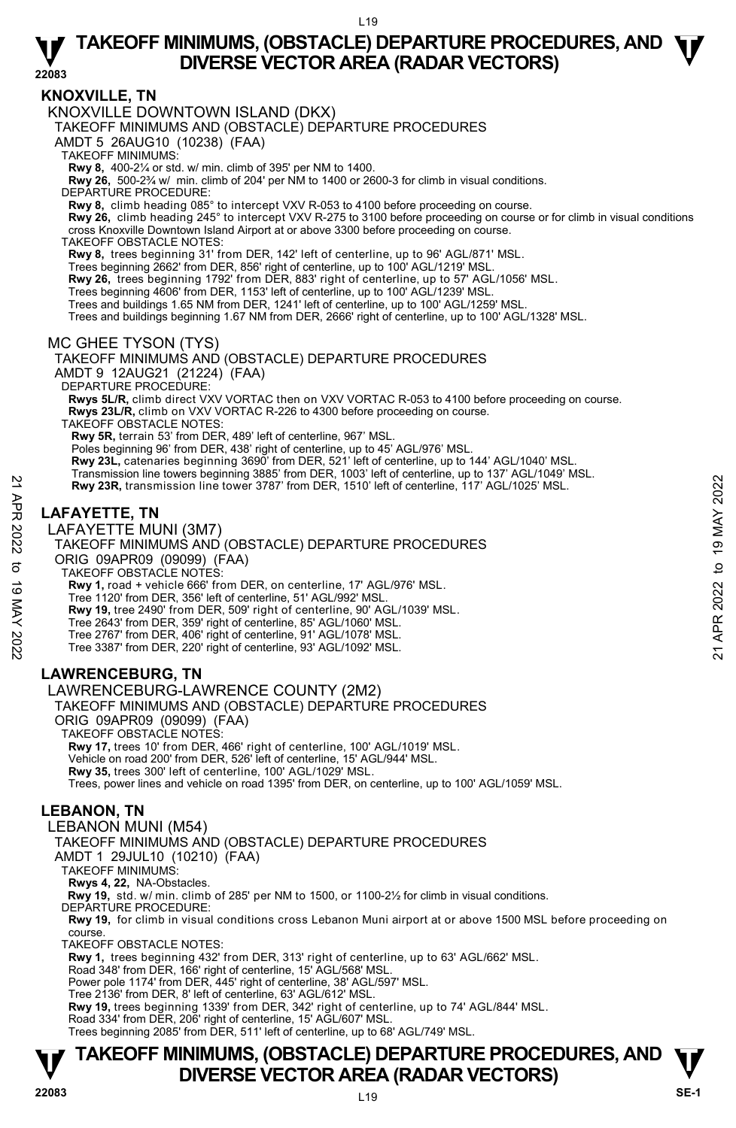**22083** 

#### **KNOXVILLE, TN**

KNOXVILLE DOWNTOWN ISLAND (DKX)

TAKEOFF MINIMUMS AND (OBSTACLE) DEPARTURE PROCEDURES

AMDT 5 26AUG10 (10238) (FAA)

TAKEOFF MINIMUMS:

**Rwy 8,** 400-2¼ or std. w/ min. climb of 395' per NM to 1400.

**Rwy 26,** 500-2¾ w/ min. climb of 204' per NM to 1400 or 2600-3 for climb in visual conditions.

DEPARTURE PROCEDURE:

**Rwy 8,** climb heading 085° to intercept VXV R-053 to 4100 before proceeding on course.

**Rwy 26,** climb heading 245° to intercept VXV R-275 to 3100 before proceeding on course or for climb in visual conditions cross Knoxville Downtown Island Airport at or above 3300 before proceeding on course.

TAKEOFF OBSTACLE NOTES:

**Rwy 8,** trees beginning 31' from DER, 142' left of centerline, up to 96' AGL/871' MSL. Trees beginning 2662' from DER, 856' right of centerline, up to 100' AGL/1219' MSL.

**Rwy 26,** trees beginning 1792' from DER, 883' right of centerline, up to 57' AGL/1056' MSL.

Trees beginning 4606' from DER, 1153' left of centerline, up to 100' AGL/1239' MSL.

Trees and buildings 1.65 NM from DER, 1241' left of centerline, up to 100' AGL/1259' MSL.

Trees and buildings beginning 1.67 NM from DER, 2666' right of centerline, up to 100' AGL/1328' MSL.

MC GHEE TYSON (TYS)

TAKEOFF MINIMUMS AND (OBSTACLE) DEPARTURE PROCEDURES AMDT 9 12AUG21 (21224) (FAA) DEPARTURE PROCEDURE: **Rwys 5L/R,** climb direct VXV VORTAC then on VXV VORTAC R-053 to 4100 before proceeding on course.  **Rwys 23L/R,** climb on VXV VORTAC R-226 to 4300 before proceeding on course. TAKEOFF OBSTACLE NOTES: **Rwy 5R,** terrain 53' from DER, 489' left of centerline, 967' MSL. Poles beginning 96' from DER, 438' right of centerline, up to 45' AGL/976' MSL. **Rwy 23L,** catenaries beginning 3690' from DER, 521' left of centerline, up to 144' AGL/1040' MSL. Transmission line towers beginning 3885' from DER, 1003' left of centerline, up to 137' AGL/1049' MSL.

 **Rwy 23R,** transmission line tower 3787' from DER, 1510' left of centerline, 117' AGL/1025' MSL.

### **LAFAYETTE, TN**

LAFAYETTE MUNI (3M7)



TAKEOFF OBSTACLE NOTES:

**Rwy 1,** road + vehicle 666' from DER, on centerline, 17' AGL/976' MSL.

Tree 1120' from DER, 356' left of centerline, 51' AGL/992' MSL.

**Rwy 19,** tree 2490' from DER, 509' right of centerline, 90' AGL/1039' MSL.

Tree 2643' from DER, 359' right of centerline, 85' AGL/1060' MSL.

Tree 2767' from DER, 406' right of centerline, 91' AGL/1078' MSL. Tree 3387' from DER, 220' right of centerline, 93' AGL/1092' MSL.

#### **LAWRENCEBURG, TN**

LAWRENCEBURG-LAWRENCE COUNTY (2M2)

TAKEOFF MINIMUMS AND (OBSTACLE) DEPARTURE PROCEDURES

ORIG 09APR09 (09099) (FAA) TAKEOFF OBSTACLE NOTES:

**Rwy 17,** trees 10' from DER, 466' right of centerline, 100' AGL/1019' MSL.

Vehicle on road 200' from DER, 526' left of centerline, 15' AGL/944' MSL.

**Rwy 35,** trees 300' left of centerline, 100' AGL/1029' MSL.

Trees, power lines and vehicle on road 1395' from DER, on centerline, up to 100' AGL/1059' MSL.

#### **LEBANON, TN**

LEBANON MUNI (M54)

TAKEOFF MINIMUMS AND (OBSTACLE) DEPARTURE PROCEDURES

AMDT 1 29JUL10 (10210) (FAA)

TAKEOFF MINIMUMS:

**Rwys 4, 22,** NA-Obstacles.

**Rwy 19,** std. w/ min. climb of 285' per NM to 1500, or 1100-2½ for climb in visual conditions. DEPARTURE PROCEDURE:

**Rwy 19,** for climb in visual conditions cross Lebanon Muni airport at or above 1500 MSL before proceeding on course.

TAKEOFF OBSTACLE NOTES:

**Rwy 1,** trees beginning 432' from DER, 313' right of centerline, up to 63' AGL/662' MSL.

Road 348' from DER, 166' right of centerline, 15' AGL/568' MSL. Power pole 1174' from DER, 445' right of centerline, 38' AGL/597' MSL.

Tree 2136' from DER, 8' left of centerline, 63' AGL/612' MSL.

**Rwy 19,** trees beginning 1339' from DER, 342' right of centerline, up to 74' AGL/844' MSL. Road 334' from DER, 206' right of centerline, 15' AGL/607' MSL.

Trees beginning 2085' from DER, 511' left of centerline, up to 68' AGL/749' MSL.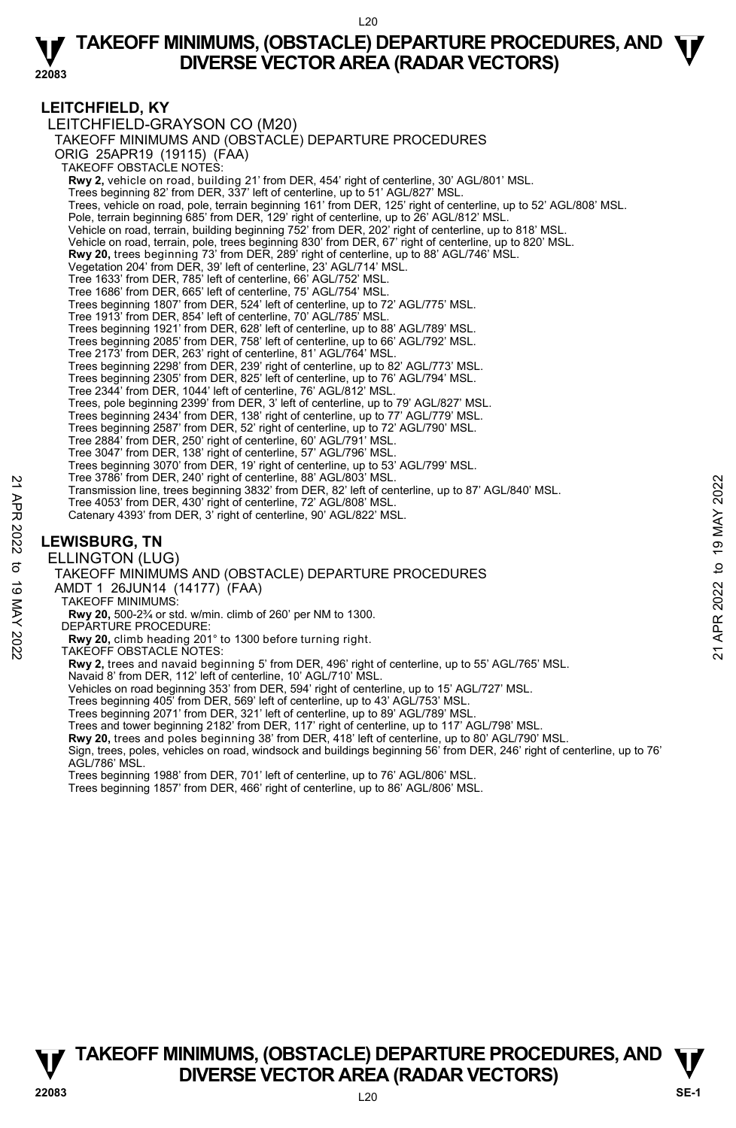#### **LEITCHFIELD, KY**

LEITCHFIELD-GRAYSON CO (M20) TAKEOFF MINIMUMS AND (OBSTACLE) DEPARTURE PROCEDURES ORIG 25APR19 (19115) (FAA) TAKEOFF OBSTACLE NOTES: **Rwy 2,** vehicle on road, building 21' from DER, 454' right of centerline, 30' AGL/801' MSL. Trees beginning 82' from DER, 337' left of centerline, up to 51' AGL/827' MSL. Trees, vehicle on road, pole, terrain beginning 161' from DER, 125' right of centerline, up to 52' AGL/808' MSL. Pole, terrain beginning 685' from DER, 129' right of centerline, up to 26' AGL/812' MSL. Vehicle on road, terrain, building beginning 752' from DER, 202' right of centerline, up to 818' MSL. Vehicle on road, terrain, pole, trees beginning 830' from DER, 67' right of centerline, up to 820' MSL. **Rwy 20,** trees beginning 73' from DER, 289' right of centerline, up to 88' AGL/746' MSL.<br>Vegetation 204' from DER, 39' left of centerline, 23' AGL/714' MSL. Tree 1633' from DER, 785' left of centerline, 66' AGL/752' MSL. Tree 1686' from DER, 665' left of centerline, 75' AGL/754' MSL. Trees beginning 1807' from DER, 524' left of centerline, up to 72' AGL/775' MSL. Tree 1913' from DER, 854' left of centerline, 70' AGL/785' MSL. Trees beginning 1921' from DER, 628' left of centerline, up to 88' AGL/789' MSL. Trees beginning 2085' from DER, 758' left of centerline, up to 66' AGL/792' MSL. Tree 2173' from DER, 263' right of centerline, 81' AGL/764' MSL. Trees beginning 2298' from DER, 239' right of centerline, up to 82' AGL/773' MSL. Trees beginning 2305' from DER, 825' left of centerline, up to 76' AGL/794' MSL. Tree 2344' from DER, 1044' left of centerline, 76' AGL/812' MSL. Trees, pole beginning 2399' from DER, 3' left of centerline, up to 79' AGL/827' MSL. Trees beginning 2434' from DER, 138' right of centerline, up to 77' AGL/779' MSL. Trees beginning 2587' from DER, 52' right of centerline, up to 72' AGL/790' MSL. Tree 2884' from DER, 250' right of centerline, 60' AGL/791' MSL. Tree 3047' from DER, 138' right of centerline, 57' AGL/796' MSL. Trees beginning 3070' from DER, 19' right of centerline, up to 53' AGL/799' MSL. Tree 3786' from DER, 240' right of centerline, 88' AGL/803' MSL. Transmission line, trees beginning 3832' from DER, 82' left of centerline, up to 87' AGL/840' MSL. Tree 4053' from DER, 430' right of centerline, 72' AGL/808' MSL. Catenary 4393' from DER, 3' right of centerline, 90' AGL/822' MSL. **LEWISBURG, TN**  ELLINGTON (LUG) TAKEOFF MINIMUMS AND (OBSTACLE) DEPARTURE PROCEDURES AMDT 1 26JUN14 (14177) (FAA) TAKEOFF MINIMUMS: **Rwy 20,** 500-2¾ or std. w/min. climb of 260' per NM to 1300. DEPARTURE PROCEDURE: **Rwy 20,** climb heading 201° to 1300 before turning right. TAKEOFF OBSTACLE NOTES: **Rwy 2,** trees and navaid beginning 5' from DER, 496' right of centerline, up to 55' AGL/765' MSL. Transmission line, tree 30% Transmission line, the by activity wish.<br>
Transmission line, tree beginning 3832' from DER, 82' left of centerline, up to 87' AGL/840' MSL.<br>
Tree 4053' from DER, 430' right of centerline, 90' AG

Navaid 8' from DER, 112' left of centerline, 10' AGL/710' MSL. Vehicles on road beginning 353' from DER, 594' right of centerline, up to 15' AGL/727' MSL.

Trees beginning 405' from DER, 569' left of centerline, up to 43' AGL/753' MSL.

Trees beginning 2071' from DER, 321' left of centerline, up to 89' AGL/789' MSL.

Trees and tower beginning 2182' from DER, 117' right of centerline, up to 117' AGL/798' MSL.

**Rwy 20,** trees and poles beginning 38' from DER, 418' left of centerline, up to 80' AGL/790' MSL. Sign, trees, poles, vehicles on road, windsock and buildings beginning 56' from DER, 246' right of centerline, up to 76' AGL/786' MSL.

Trees beginning 1988' from DER, 701' left of centerline, up to 76' AGL/806' MSL.

Trees beginning 1857' from DER, 466' right of centerline, up to 86' AGL/806' MSL.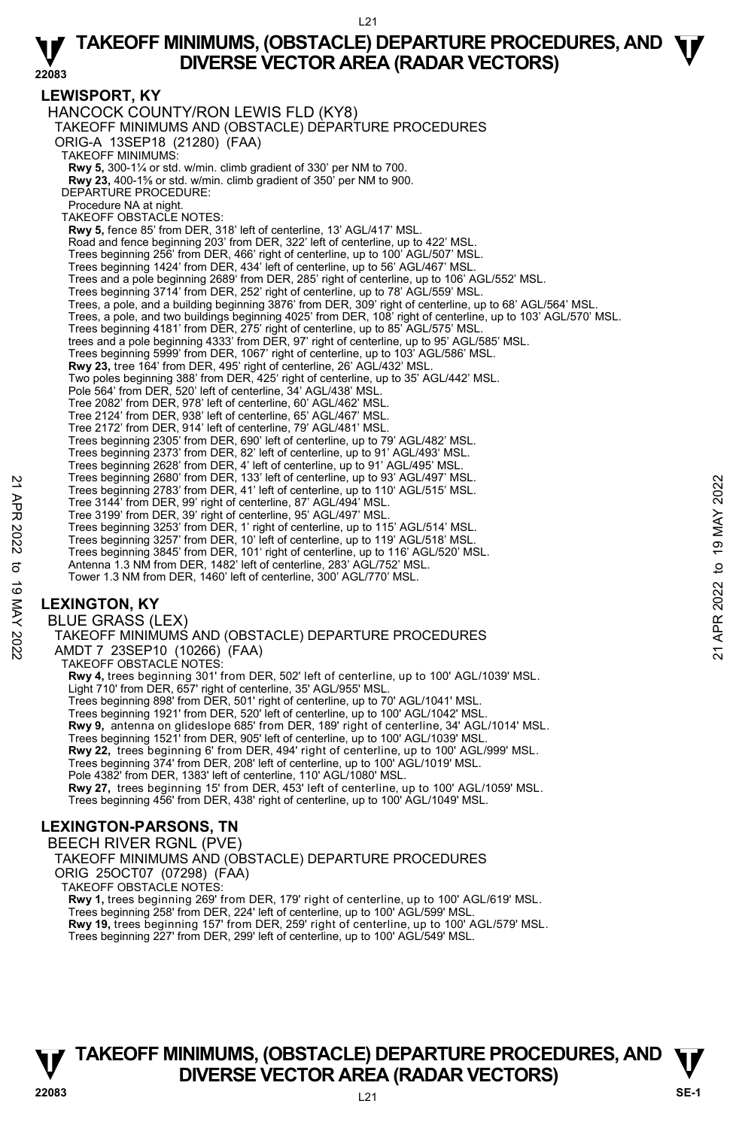#### **LEWISPORT, KY**

HANCOCK COUNTY/RON LEWIS FLD (KY8) TAKEOFF MINIMUMS AND (OBSTACLE) DEPARTURE PROCEDURES ORIG-A 13SEP18 (21280) (FAA) TAKEOFF MINIMUMS: **Rwy 5,** 300-1¼ or std. w/min. climb gradient of 330' per NM to 700. **Rwy 23,** 400-1⅝ or std. w/min. climb gradient of 350' per NM to 900. DEPARTURE PROCEDURE: Procedure NA at night. TAKEOFF OBSTACLE NOTES: **Rwy 5,** fence 85' from DER, 318' left of centerline, 13' AGL/417' MSL. Road and fence beginning 203' from DER, 322' left of centerline, up to 422' MSL. Trees beginning 256' from DER, 466' right of centerline, up to 100' AGL/507' MSL. Trees beginning 1424' from DER, 434' left of centerline, up to 56' AGL/467' MSL. Trees and a pole beginning 2689' from DER, 285' right of centerline, up to 106' AGL/552' MSL. Trees beginning 3714' from DER, 252' right of centerline, up to 78' AGL/559' MSL. Trees, a pole, and a building beginning 3876' from DER, 309' right of centerline, up to 68' AGL/564' MSL. Trees, a pole, and two buildings beginning 4025' from DER, 108' right of centerline, up to 103' AGL/570' MSL. Trees beginning 4181' from DER, 275' right of centerline, up to 85' AGL/575' MSL. trees and a pole beginning 4333' from DER, 97' right of centerline, up to 95' AGL/585' MSL.<br>Trees beginning 5999' from DER, 1067' right of centerline, up to 103' AGL/586' MSL.<br>**Rwy 23,** tree 164' from DER, 495' right of c Two poles beginning 388' from DER, 425' right of centerline, up to 35' AGL/442' MSL. Pole 564' from DER, 520' left of centerline, 34' AGL/438' MSL. Tree 2082' from DER, 978' left of centerline, 60' AGL/462' MSL. Tree 2124' from DER, 938' left of centerline, 65' AGL/467' MSL. Tree 2172' from DER, 914' left of centerline, 79' AGL/481' MSL. Trees beginning 2305' from DER, 690' left of centerline, up to 79' AGL/482' MSL. Trees beginning 2373' from DER, 82' left of centerline, up to 91' AGL/493' MSL. Trees beginning 2628' from DER, 4' left of centerline, up to 91' AGL/495' MSL. Trees beginning 2680' from DER, 133' left of centerline, up to 93' AGL/497' MSL. Trees beginning 2783' from DER, 41' left of centerline, up to 110' AGL/515' MSL. Tree 3144' from DER, 99' right of centerline, 87' AGL/494' MSL. Tree 3199' from DER, 39' right of centerline, 95' AGL/497' MSL. Trees beginning 3253' from DER, 1' right of centerline, up to 115' AGL/514' MSL. Trees beginning 3257' from DER, 10' left of centerline, up to 119' AGL/518' MSL. Trees beginning 3845' from DER, 101' right of centerline, up to 116' AGL/520' MSL. Antenna 1.3 NM from DER, 1482' left of centerline, 283' AGL/752' MSL. Tower 1.3 NM from DER, 1460' left of centerline, 300' AGL/770' MSL. Trees beginning 2680' from DER, 13' left of centerline, up to 110' AGL/497' MSL.<br>
Tree 3144' from DER, 99' right of centerline, 87' AGL/494' MSL.<br>
Tree 3199' from DER, 99' right of centerline, 87' AGL/494' MSL.<br>
Tree 3199'

### **LEXINGTON, KY**

BLUE GRASS (LEX) TAKEOFF MINIMUMS AND (OBSTACLE) DEPARTURE PROCEDURES AMDT 7 23SEP10 (10266) (FAA) TAKEOFF OBSTACLE NOTES: **Rwy 4,** trees beginning 301' from DER, 502' left of centerline, up to 100' AGL/1039' MSL. Light 710' from DER, 657' right of centerline, 35' AGL/955' MSL. Trees beginning 898' from DER, 501' right of centerline, up to 70' AGL/1041' MSL. Trees beginning 1921' from DER, 520' left of centerline, up to 100' AGL/1042' MSL. **Rwy 9,** antenna on glideslope 685' from DER, 189' right of centerline, 34' AGL/1014' MSL. Trees beginning 1521' from DER, 905' left of centerline, up to 100' AGL/1039' MSL. **Rwy 22,** trees beginning 6' from DER, 494' right of centerline, up to 100' AGL/999' MSL. Trees beginning 374' from DER, 208' left of centerline, up to 100' AGL/1019' MSL. Pole 4382' from DER, 1383' left of centerline, 110' AGL/1080' MSL. **Rwy 27,** trees beginning 15' from DER, 453' left of centerline, up to 100' AGL/1059' MSL. Trees beginning 456' from DER, 438' right of centerline, up to 100' AGL/1049' MSL.

#### **LEXINGTON-PARSONS, TN**

BEECH RIVER RGNL (PVE)

TAKEOFF MINIMUMS AND (OBSTACLE) DEPARTURE PROCEDURES ORIG 25OCT07 (07298) (FAA)

TAKEOFF OBSTACLE NOTES:

**Rwy 1,** trees beginning 269' from DER, 179' right of centerline, up to 100' AGL/619' MSL. Trees beginning 258' from DER, 224' left of centerline, up to 100' AGL/599' MSL.

**Rwy 19,** trees beginning 157' from DER, 259' right of centerline, up to 100' AGL/579' MSL. Trees beginning 227' from DER, 299' left of centerline, up to 100' AGL/549' MSL.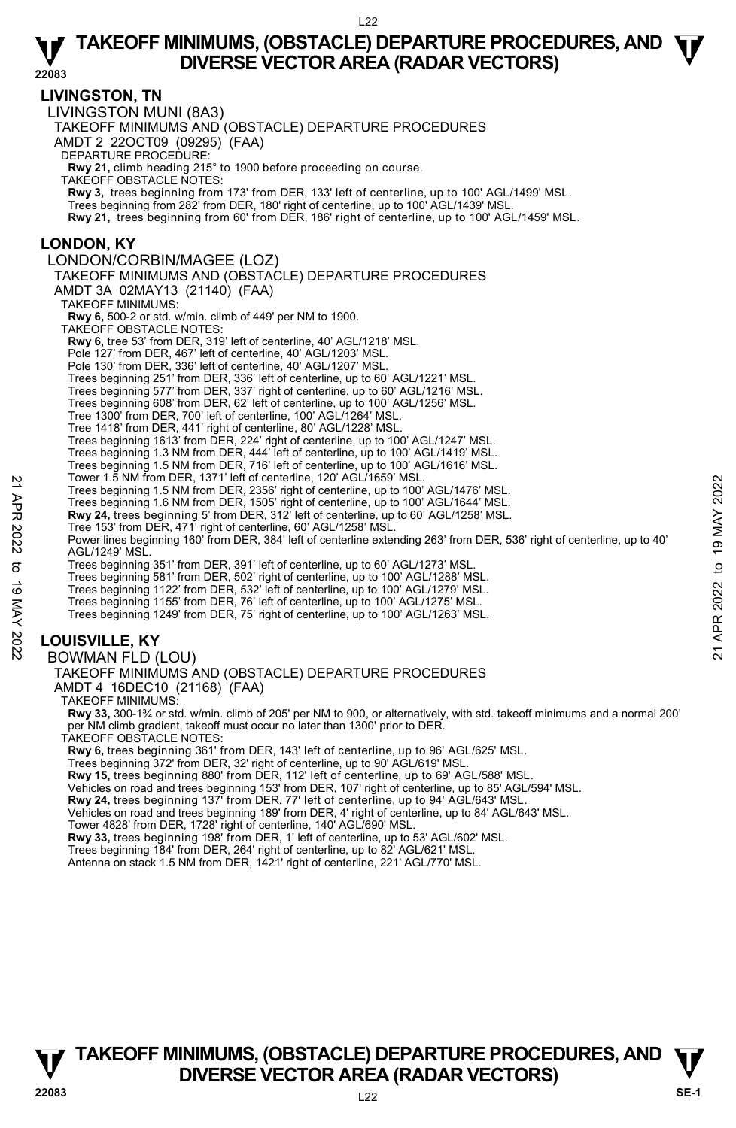**22083** 

#### **LIVINGSTON, TN**

LIVINGSTON MUNI (8A3) TAKEOFF MINIMUMS AND (OBSTACLE) DEPARTURE PROCEDURES AMDT 2 22OCT09 (09295) (FAA) DEPARTURE PROCEDURE: **Rwy 21,** climb heading 215° to 1900 before proceeding on course. TAKEOFF OBSTACLE NOTES: **Rwy 3,** trees beginning from 173' from DER, 133' left of centerline, up to 100' AGL/1499' MSL. Trees beginning from 282' from DER, 180' right of centerline, up to 100' AGL/1439' MSL. **Rwy 21,** trees beginning from 60' from DER, 186' right of centerline, up to 100' AGL/1459' MSL. **LONDON, KY**  LONDON/CORBIN/MAGEE (LOZ) TAKEOFF MINIMUMS AND (OBSTACLE) DEPARTURE PROCEDURES AMDT 3A 02MAY13 (21140) (FAA) TAKEOFF MINIMUMS: **Rwy 6,** 500-2 or std. w/min. climb of 449' per NM to 1900. TAKEOFF OBSTACLE NOTES: **Rwy 6,** tree 53' from DER, 319' left of centerline, 40' AGL/1218' MSL. Pole 127' from DER, 467' left of centerline, 40' AGL/1203' MSL. Pole 130' from DER, 336' left of centerline, 40' AGL/1207' MSL. Trees beginning 251' from DER, 336' left of centerline, up to 60' AGL/1221' MSL. Trees beginning 577' from DER, 337' right of centerline, up to 60' AGL/1216' MSL. Trees beginning 608' from DER, 62' left of centerline, up to 100' AGL/1256' MSL. Tree 1300' from DER, 700' left of centerline, 100' AGL/1264' MSL. Tree 1418' from DER, 441' right of centerline, 80' AGL/1228' MSL. Trees beginning 1613' from DER, 224' right of centerline, up to 100' AGL/1247' MSL. Trees beginning 1.3 NM from DER, 444' left of centerline, up to 100' AGL/1419' MSL. Trees beginning 1.5 NM from DER, 716' left of centerline, up to 100' AGL/1616' MSL. Tower 1.5 NM from DER, 1371' left of centerline, 120' AGL/1659' MSL. Trees beginning 1.5 NM from DER, 2356' right of centerline, up to 100' AGL/1476' MSL. Trees beginning 1.6 NM from DER, 1505' right of centerline, up to 100' AGL/1644' MSL. **Rwy 24,** trees beginning 5' from DER, 312' left of centerline, up to 60' AGL/1258' MSL. Tree 153' from DER, 471' right of centerline, 60' AGL/1258' MSL. Power lines beginning 160' from DER, 384' left of centerline extending 263' from DER, 536' right of centerline, up to 40' AGL/1249' MSL. Trees beginning 351' from DER, 391' left of centerline, up to 60' AGL/1273' MSL. Trees beginning 581' from DER, 502' right of centerline, up to 100' AGL/1288' MSL. Trees beginning 1122' from DER, 532' left of centerline, up to 100' AGL/1279' MSL. Trees beginning 1155' from DER, 76' left of centerline, up to 100' AGL/1275' MSL. Trees beginning 1249' from DER, 75' right of centerline, up to 100' AGL/1263' MSL. **LOUISVILLE, KY**  BOWMAN FLD (LOU) TAKEOFF MINIMUMS AND (OBSTACLE) DEPARTURE PROCEDURES AMDT 4 16DEC10 (21168) (FAA) TAKEOFF MINIMUMS: **Rwy 33,** 300-1¾ or std. w/min. climb of 205' per NM to 900, or alternatively, with std. takeoff minimums and a normal 200' per NM climb gradient, takeoff must occur no later than 1300' prior to DER. TAKEOFF OBSTACLE NOTES: **Rwy 6,** trees beginning 361' from DER, 143' left of centerline, up to 96' AGL/625' MSL. Trees beginning 372' from DER, 32' right of centerline, up to 90' AGL/619' MSL. Trees beginning 15.8 M Tom DER, 1371 Tert of center tine, 120 AGL/1659 MSL.<br>
Trees beginning 1.5 NM from DER, 1505' right of centerline, up to 100' AGL/1476' MSL.<br>
Trees beginning 1.6 NM from DER, 1505' right of centerlin

**Rwy 15,** trees beginning 880' from DER, 112' left of centerline, up to 69' AGL/588' MSL.

Vehicles on road and trees beginning 153' from DER, 107' right of centerline, up to 85' AGL/594' MSL.

**Rwy 24,** trees beginning 137' from DER, 77' left of centerline, up to 94' AGL/643' MSL.

Vehicles on road and trees beginning 189' from DER, 4' right of centerline, up to 84' AGL/643' MSL.

Tower 4828' from DER, 1728' right of centerline, 140' AGL/690' MSL.

**Rwy 33,** trees beginning 198' from DER, 1' left of centerline, up to 53' AGL/602' MSL.

Trees beginning 184' from DER, 264' right of centerline, up to 82' AGL/621' MSL.<br>Antenna on stack 1.5 NM from DER, 1421' right of centerline, 221' AGL/770' MSL.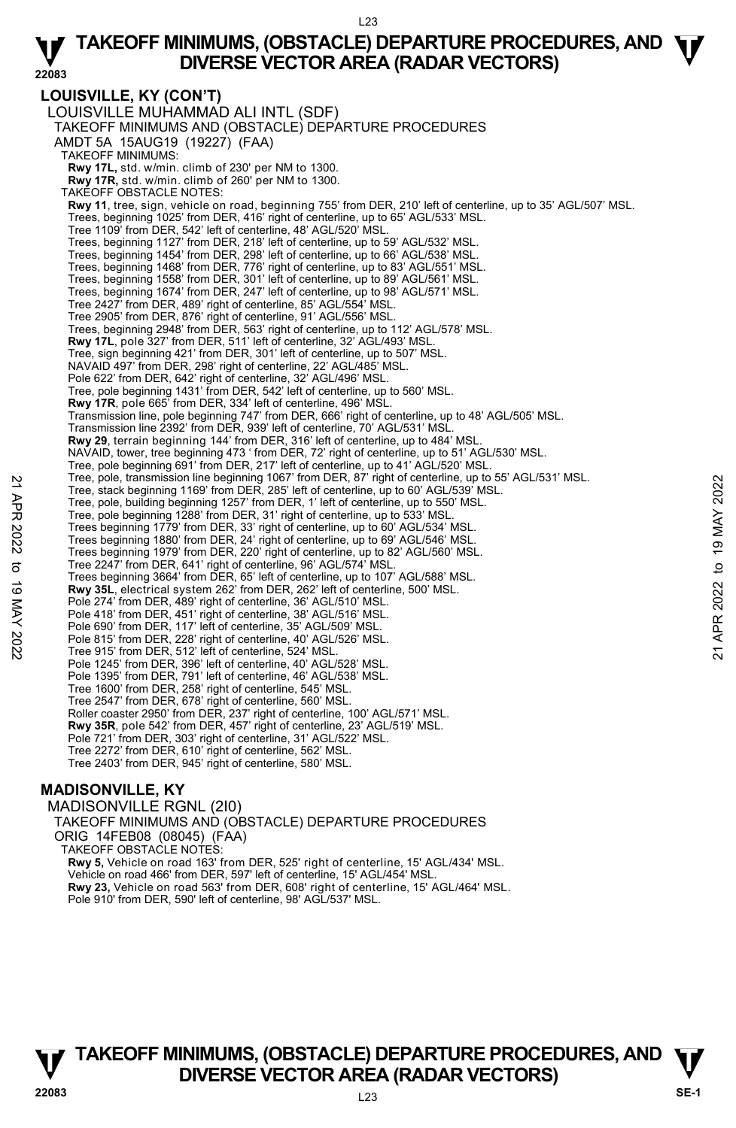**LOUISVILLE, KY (CON'T)**  LOUISVILLE MUHAMMAD ALI INTL (SDF) TAKEOFF MINIMUMS AND (OBSTACLE) DEPARTURE PROCEDURES AMDT 5A 15AUG19 (19227) (FAA) TAKEOFF MINIMUMS: **Rwy 17L,** std. w/min. climb of 230' per NM to 1300. **Rwy 17R,** std. w/min. climb of 260' per NM to 1300. TAKEOFF OBSTACLE NOTES: **Rwy 11**, tree, sign, vehicle on road, beginning 755' from DER, 210' left of centerline, up to 35' AGL/507' MSL. Trees, beginning 1025' from DER, 416' right of centerline, up to 65' AGL/533' MSL. Tree 1109' from DER, 542' left of centerline, 48' AGL/520' MSL. Trees, beginning 1127' from DER, 218' left of centerline, up to 59' AGL/532' MSL. Trees, beginning 1454' from DER, 298' left of centerline, up to 66' AGL/538' MSL. Trees, beginning 1468' from DER, 776' right of centerline, up to 83' AGL/551' MSL. Trees, beginning 1558' from DER, 301' left of centerline, up to 89' AGL/561' MSL. Trees, beginning 1674' from DER, 247' left of centerline, up to 98' AGL/571' MSL. Tree 2427' from DER, 489' right of centerline, 85' AGL/554' MSL. Tree 2905' from DER, 876' right of centerline, 91' AGL/556' MSL. Trees, beginning 2948' from DER, 563' right of centerline, up to 112' AGL/578' MSL. **Rwy 17L**, pole 327' from DER, 511' left of centerline, 32' AGL/493' MSL. Tree, sign beginning 421' from DER, 301' left of centerline, up to 507' MSL. NAVAID 497' from DER, 298' right of centerline, 22' AGL/485' MSL. Pole 622' from DER, 642' right of centerline, 32' AGL/496' MSL. Tree, pole beginning 1431' from DER, 542' left of centerline, up to 560' MSL. **Rwy 17R**, pole 665' from DER, 334' left of centerline, 496' MSL. Transmission line, pole beginning 747' from DER, 666' right of centerline, up to 48' AGL/505' MSL. Transmission line 2392' from DER, 939' left of centerline, 70' AGL/531' MSI **Rwy 29**, terrain beginning 144' from DER, 316' left of centerline, up to 484' MSL. NAVAID, tower, tree beginning 473 ' from DER, 72' right of centerline, up to 51' AGL/530' MSL. Tree, pole beginning 691' from DER, 217' left of centerline, up to 41' AGL/520' MSL.<br>Tree, pole, transmission line beginning 1067' from DER, 87' right of centerline, up to 55' AGL/531' MSL. Tree, stack beginning 1169' from DER, 285' left of centerline, up to 60' AGL/539' MSL. Tree, pole, building beginning 1257' from DER, 1' left of centerline, up to 550' MSL. Tree, pole beginning 1288' from DER, 31' right of centerline, up to 533' MSL. Trees beginning 1779' from DER, 33' right of centerline, up to 60' AGL/534' MSL. Trees beginning 1880' from DER, 24' right of centerline, up to 69' AGL/546' MSL. Trees beginning 1979' from DER, 220' right of centerline, up to 82' AGL/560' MSL. Tree 2247' from DER, 641' right of centerline, 96' AGL/574' MSL. Trees beginning 3664' from DER, 65' left of centerline, up to 107' AGL/588' MSL. **Rwy 35L**, electrical system 262' from DER, 262' left of centerline, 500' MSL. Pole 274' from DER, 489' right of centerline, 36' AGL/510' MSL. Pole 418' from DER, 451' right of centerline, 38' AGL/516' MSL. Pole 690' from DER, 117' left of centerline, 35' AGL/509' MSL. Pole 815' from DER, 228' right of centerline, 40' AGL/526' MSL. Tree 915' from DER, 512' left of centerline, 524' MSL. Pole 1245' from DER, 396' left of centerline, 40' AGL/528' MSL. Pole 1395' from DER, 791' left of centerline, 46' AGL/538' MSL. Tree 1600' from DER, 258' right of centerline, 545' MSL. Tree 2547' from DER, 678' right of centerline, 560' MSL. Roller coaster 2950' from DER, 237' right of centerline, 100' AGL/571' MSL. **Rwy 35R**, pole 542' from DER, 457' right of centerline, 23' AGL/519' MSL. Pole 721' from DER, 303' right of centerline, 31' AGL/522' MSL. Tree 2272' from DER, 610' right of centerline, 562' MSL. Tree 2403' from DER, 945' right of centerline, 580' MSL. Tree, stack beginning 169 if mm Degraphing 1067 if multi-R, 87 if girl of centerline, up to 50 AGL/539 MSL.<br>
Tree, pole, building beginning 1257' from DER, 1' left of centerline, up to 550' MSL.<br>
Tree, pole beginning 1283

#### **MADISONVILLE, KY**

MADISONVILLE RGNL (2I0) TAKEOFF MINIMUMS AND (OBSTACLE) DEPARTURE PROCEDURES ORIG 14FEB08 (08045) (FAA) TAKEOFF OBSTACLE NOTES: **Rwy 5,** Vehicle on road 163' from DER, 525' right of centerline, 15' AGL/434' MSL. Vehicle on road 466' from DER, 597' left of centerline, 15' AGL/454' MSL. **Rwy 23,** Vehicle on road 563' from DER, 608' right of centerline, 15' AGL/464' MSL. Pole 910' from DER, 590' left of centerline, 98' AGL/537' MSL.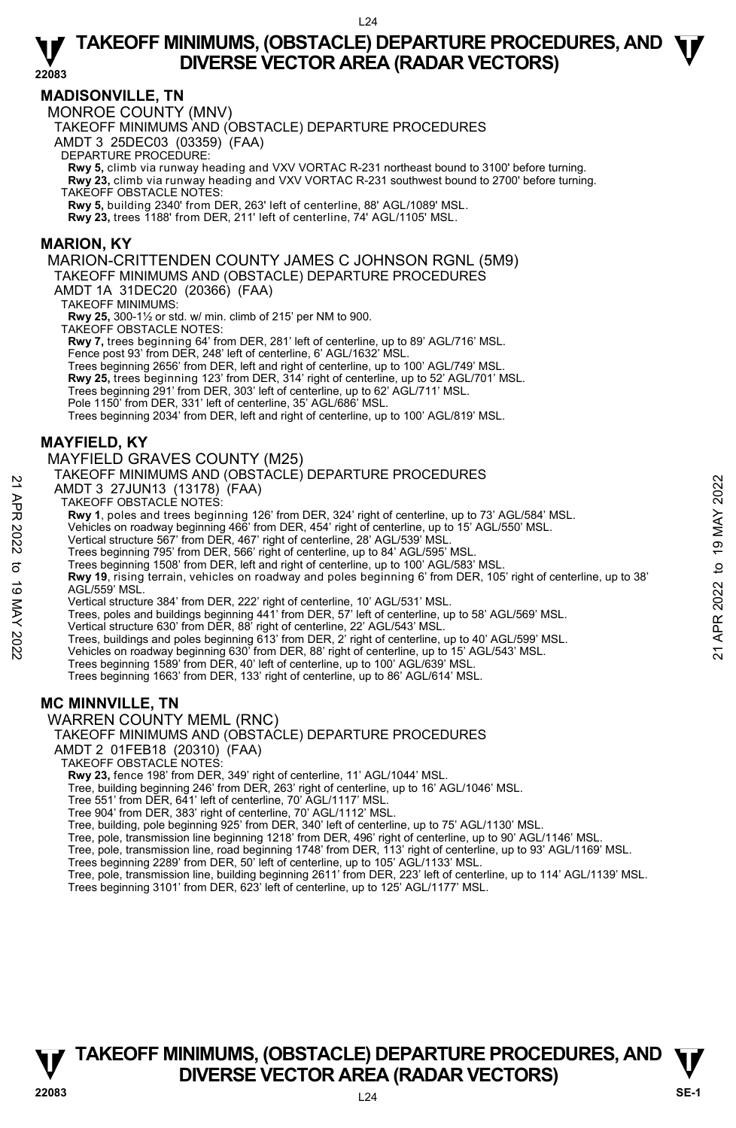#### **MADISONVILLE, TN**

MONROE COUNTY (MNV)

TAKEOFF MINIMUMS AND (OBSTACLE) DEPARTURE PROCEDURES

AMDT 3 25DEC03 (03359) (FAA)

DEPARTURE PROCEDURE:

**Rwy 5,** climb via runway heading and VXV VORTAC R-231 northeast bound to 3100' before turning. **Rwy 23,** climb via runway heading and VXV VORTAC R-231 southwest bound to 2700' before turning. TAKEOFF OBSTACLE NOTES:

**Rwy 5,** building 2340' from DER, 263' left of centerline, 88' AGL/1089' MSL.

**Rwy 23,** trees 1188' from DER, 211' left of centerline, 74' AGL/1105' MSL.

#### **MARION, KY**

MARION-CRITTENDEN COUNTY JAMES C JOHNSON RGNL (5M9) TAKEOFF MINIMUMS AND (OBSTACLE) DEPARTURE PROCEDURES

AMDT 1A 31DEC20 (20366) (FAA)

TAKEOFF MINIMUMS:

**Rwy 25,** 300-1½ or std. w/ min. climb of 215' per NM to 900.

TAKEOFF OBSTACLE NOTES:

**Rwy 7,** trees beginning 64' from DER, 281' left of centerline, up to 89' AGL/716' MSL.<br>Fence post 93' from DER, 248' left of centerline, 6' AGL/1632' MSL.

Trees beginning 2656' from DER, left and right of centerline, up to 100' AGL/749' MSL.

- **Rwy 25,** trees beginning 123' from DER, 314' right of centerline, up to 52' AGL/701' MSL.
- Trees beginning 291' from DER, 303' left of centerline, up to 62' AGL/711' MSL.
- Pole 1150' from DER, 331' left of centerline, 35' AGL/686' MSL.

Trees beginning 2034' from DER, left and right of centerline, up to 100' AGL/819' MSL.

#### **MAYFIELD, KY**

#### MAYFIELD GRAVES COUNTY (M25)

#### TAKEOFF MINIMUMS AND (OBSTACLE) DEPARTURE PROCEDURES

AMDT 3 27JUN13 (13178) (FAA)

TAKEOFF OBSTACLE NOTES:

**Rwy 1**, poles and trees beginning 126' from DER, 324' right of centerline, up to 73' AGL/584' MSL.

Vehicles on roadway beginning 466' from DER, 454' right of centerline, up to 15' AGL/550' MSL.

Vertical structure 567' from DER, 467' right of centerline, 28' AGL/539' MSL.

Trees beginning 795' from DER, 566' right of centerline, up to 84' AGL/595' MSL.

Trees beginning 1508' from DER, left and right of centerline, up to 100' AGL/583' MSL.

**Rwy 19**, rising terrain, vehicles on roadway and poles beginning 6' from DER, 105' right of centerline, up to 38' AGL/559' MSL. AMDT 3 27JUN13 (13178) (FAA)<br>
TAKEOFF OBSTACLE NOTES:<br>
TAKEOFF OBSTACLE NOTES:<br>
Revised and trees beginning 126' from DER, 324' right of centerline, up to 13' AGL/584' MSL.<br>
Vehicles on roadway beginning 466' from DER, 454

Vertical structure 384' from DER, 222' right of centerline, 10' AGL/531' MSL.

Trees, poles and buildings beginning 441' from DER, 57' left of centerline, up to 58' AGL/569' MSL.

Vertical structure 630' from DER, 88' right of centerline, 22' AGL/543' MSL.

Trees, buildings and poles beginning 613' from DER, 2' right of centerline, up to 40' AGL/599' MSL. Vehicles on roadway beginning 630' from DER, 88' right of centerline, up to 15' AGL/543' MSL.

Trees beginning 1589' from DER, 40' left of centerline, up to 100' AGL/639' MSL.

Trees beginning 1663' from DER, 133' right of centerline, up to 86' AGL/614' MSL.

### **MC MINNVILLE, TN**

WARREN COUNTY MEML (RNC)

#### TAKEOFF MINIMUMS AND (OBSTACLE) DEPARTURE PROCEDURES

AMDT 2 01FEB18 (20310) (FAA)

TAKEOFF OBSTACLE NOTES:

**Rwy 23,** fence 198' from DER, 349' right of centerline, 11' AGL/1044' MSL.

Tree, building beginning 246' from DER, 263' right of centerline, up to 16' AGL/1046' MSL.

Tree 551' from DER, 641' left of centerline, 70' AGL/1117' MSL.

Tree 904' from DER, 383' right of centerline, 70' AGL/1112' MSL.

Tree, building, pole beginning 925' from DER, 340' left of centerline, up to 75' AGL/1130' MSL.

Tree, pole, transmission line beginning 1218' from DER, 496' right of centerline, up to 90' AGL/1146' MSL.

Tree, pole, transmission line, road beginning 1748' from DER, 113' right of centerline, up to 93' AGL/1169' MSL.<br>Trees beginning 2289' from DER, 50' left of centerline, up to 105' AGL/1133' MSL.

Tree, pole, transmission line, building beginning 2611' from DER, 223' left of centerline, up to 114' AGL/1139' MSL. Trees beginning 3101' from DER, 623' left of centerline, up to 125' AGL/1177' MSL.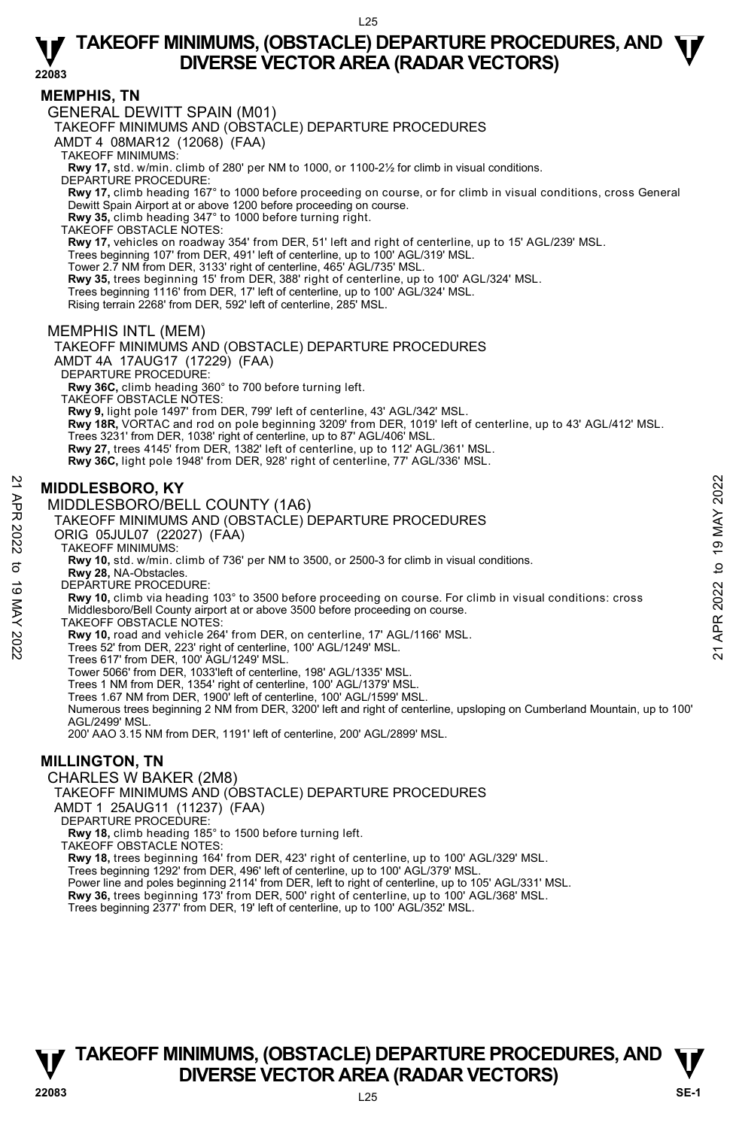### **MEMPHIS, TN**

GENERAL DEWITT SPAIN (M01)

TAKEOFF MINIMUMS AND (OBSTACLE) DEPARTURE PROCEDURES

AMDT 4 08MAR12 (12068) (FAA)

TAKEOFF MINIMUMS:

**Rwy 17,** std. w/min. climb of 280' per NM to 1000, or 1100-2½ for climb in visual conditions.

DEPARTURE PROCEDURE: **Rwy 17,** climb heading 167° to 1000 before proceeding on course, or for climb in visual conditions, cross General

Dewitt Spain Airport at or above 1200 before proceeding on course.

**Rwy 35,** climb heading 347° to 1000 before turning right. TAKEOFF OBSTACLE NOTES:

**Rwy 17,** vehicles on roadway 354' from DER, 51' left and right of centerline, up to 15' AGL/239' MSL.

Trees beginning 107' from DER, 491' left of centerline, up to 100' AGL/319' MSL. Tower 2.7 NM from DER, 3133' right of centerline, 465' AGL/735' MSL.

**Rwy 35,** trees beginning 15' from DER, 388' right of centerline, up to 100' AGL/324' MSL.

Trees beginning 1116' from DER, 17' left of centerline, up to 100' AGL/324' MSL.

Rising terrain 2268' from DER, 592' left of centerline, 285' MSL.

#### MEMPHIS INTL (MEM)

TAKEOFF MINIMUMS AND (OBSTACLE) DEPARTURE PROCEDURES AMDT 4A 17AUG17 (17229) (FAA)

DEPARTURE PROCEDURE:

**Rwy 36C,** climb heading 360° to 700 before turning left. TAKEOFF OBSTACLE NOTES:

**Rwy 9,** light pole 1497' from DER, 799' left of centerline, 43' AGL/342' MSL.

**Rwy 18R,** VORTAC and rod on pole beginning 3209' from DER, 1019' left of centerline, up to 43' AGL/412' MSL. Trees 3231' from DER, 1038' right of centerline, up to 87' AGL/406' MSL.

**Rwy 27,** trees 4145' from DER, 1382' left of centerline, up to 112' AGL/361' MSL.

**Rwy 36C,** light pole 1948' from DER, 928' right of centerline, 77' AGL/336' MSL.

#### **MIDDLESBORO, KY**

MIDDLESBORO/BELL COUNTY (1A6)

TAKEOFF MINIMUMS AND (OBSTACLE) DEPARTURE PROCEDURES

ORIG 05JUL07 (22027) (FAA)

TAKEOFF MINIMUMS:

**Rwy 10,** std. w/min. climb of 736' per NM to 3500, or 2500-3 for climb in visual conditions.

- **Rwy 28,** NA-Obstacles.
- DEPARTURE PROCEDURE:

**Rwy 10,** climb via heading 103° to 3500 before proceeding on course. For climb in visual conditions: cross Middlesboro/Bell County airport at or above 3500 before proceeding on course. **MIDDLESBORO, KY**<br>
MIDDLESBORO/BELL COUNTY (1A6)<br>
TAKEOFF MINIMUMS AND (OBSTACLE) DEPARTURE PROCEDURES<br>
ORIG 05JUL07 (22027) (FAA)<br>
TAKEOFF MINIMUMS.<br>
TAKEOFF MINIMUMS AND (OBSTACLE) DEPARTURE PROCEDURES<br>
ORIG 05JUL07 (22

TAKEOFF OBSTACLE NOTES:

**Rwy 10,** road and vehicle 264' from DER, on centerline, 17' AGL/1166' MSL.

Trees 52' from DER, 223' right of centerline, 100' AGL/1249' MSL.

Trees 617' from DER, 100' AGL/1249' MSL.

Tower 5066' from DER, 1033'left of centerline, 198' AGL/1335' MSL.

Trees 1 NM from DER, 1354' right of centerline, 100' AGL/1379' MSL. Trees 1.67 NM from DER, 1900' left of centerline, 100' AGL/1599' MSL.

Numerous trees beginning 2 NM from DER, 3200' left and right of centerline, upsloping on Cumberland Mountain, up to 100' AGL/2499' MSL.

200' AAO 3.15 NM from DER, 1191' left of centerline, 200' AGL/2899' MSL.

### **MILLINGTON, TN**

CHARLES W BAKER (2M8)

TAKEOFF MINIMUMS AND (OBSTACLE) DEPARTURE PROCEDURES

AMDT 1 25AUG11 (11237) (FAA)

DEPARTURE PROCEDURE

**Rwy 18,** climb heading 185° to 1500 before turning left.

TAKEOFF OBSTACLE NOTES:

**Rwy 18,** trees beginning 164' from DER, 423' right of centerline, up to 100' AGL/329' MSL.

Trees beginning 1292' from DER, 496' left of centerline, up to 100' AGL/379' MSL.

Power line and poles beginning 2114' from DER, left to right of centerline, up to 105' AGL/331' MSL.

**Rwy 36,** trees beginning 173' from DER, 500' right of centerline, up to 100' AGL/368' MSL.

Trees beginning 2377' from DER, 19' left of centerline, up to 100' AGL/352' MSL.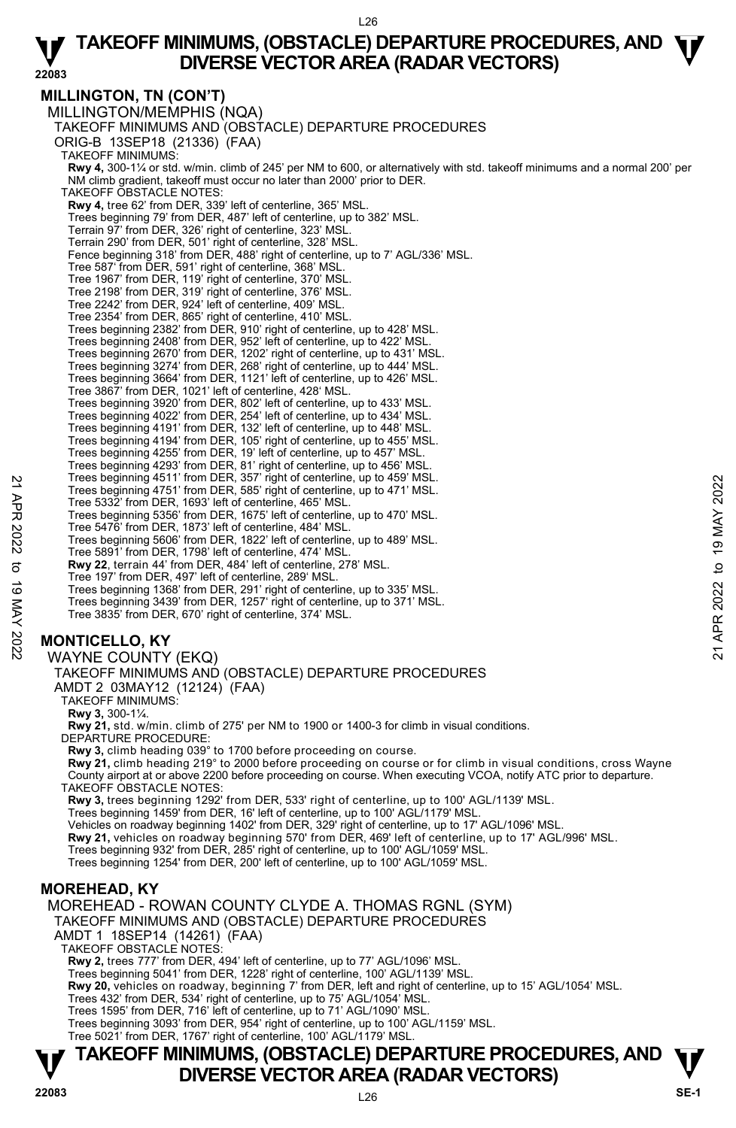#### **MILLINGTON, TN (CON'T)**

MILLINGTON/MEMPHIS (NQA) TAKEOFF MINIMUMS AND (OBSTACLE) DEPARTURE PROCEDURES ORIG-B 13SEP18 (21336) (FAA) TAKEOFF MINIMUMS: **Rwy 4,** 300-1¼ or std. w/min. climb of 245' per NM to 600, or alternatively with std. takeoff minimums and a normal 200' per NM climb gradient, takeoff must occur no later than 2000' prior to DER. TAKEOFF OBSTACLE NOTES: **Rwy 4,** tree 62' from DER, 339' left of centerline, 365' MSL. Trees beginning 79' from DER, 487' left of centerline, up to 382' MSL. Terrain 97' from DER, 326' right of centerline, 323' MSL. Terrain 290' from DER, 501' right of centerline, 328' MSL. Fence beginning 318' from DER, 488' right of centerline, up to 7' AGL/336' MSL. Tree 587' from DER, 591' right of centerline, 368' MSL. Tree 1967' from DER, 119' right of centerline, 370' MSL. Tree 2198' from DER, 319' right of centerline, 376' MSL. Tree 2242' from DER, 924' left of centerline, 409' MSL. Tree 2354' from DER, 865' right of centerline, 410' MSL. Trees beginning 2382' from DER, 910' right of centerline, up to 428' MSL. Trees beginning 2408' from DER, 952' left of centerline, up to 422' MSL. Trees beginning 2670' from DER, 1202' right of centerline, up to 431' MSL. Trees beginning 3274' from DER, 268' right of centerline, up to 444' MSL. Trees beginning 3664' from DER, 1121' left of centerline, up to 426' MSL. Tree 3867' from DER, 1021' left of centerline, 428' MSL. Trees beginning 3920' from DER, 802' left of centerline, up to 433' MSL. Trees beginning 4022' from DER, 254' left of centerline, up to 434' MSL. Trees beginning 4191' from DER, 132' left of centerline, up to 448' MSL. Trees beginning 4194' from DER, 105' right of centerline, up to 455' MSL. Trees beginning 4255' from DER, 19' left of centerline, up to 457' MSL. Trees beginning 4293' from DER, 81' right of centerline, up to 456' MSL. Trees beginning 4511' from DER, 357' right of centerline, up to 459' MSL. Trees beginning 4751' from DER, 585' right of centerline, up to 471' MSL. Tree 5332' from DER, 1693' left of centerline, 465' MSL. Trees beginning 5356' from DER, 1675' left of centerline, up to 470' MSL. Tree 5476' from DER, 1873' left of centerline, 484' MSL. Trees beginning 5606' from DER, 1822' left of centerline, up to 489' MSL. Tree 5891' from DER, 1798' left of centerline, 474' MSL. **Rwy 22**, terrain 44' from DER, 484' left of centerline, 278' MSL. Tree 197' from DER, 497' left of centerline, 289' MSL. Trees beginning 1368' from DER, 291' right of centerline, up to 335' MSL. Trees beginning 3439' from DER, 1257' right of centerline, up to 371' MSL. Tree 3835' from DER, 670' right of centerline, 374' MSL. Trees beginning 4751' from DER, 35<sup>7</sup> right of centerline, up to 439' MSL.<br>
Trees beginning 4751' from DER, 1693' left of centerline, up to 471' MSL.<br>
Trees beginning 5366' from DER, 1675' left of centerline, up to 470' M

### **MONTICELLO, KY**

#### WAYNE COUNTY (EKQ)

TAKEOFF MINIMUMS AND (OBSTACLE) DEPARTURE PROCEDURES

AMDT 2 03MAY12 (12124) (FAA)

TAKEOFF MINIMUMS:

**Rwy 3,** 300-1¼.

**Rwy 21,** std. w/min. climb of 275' per NM to 1900 or 1400-3 for climb in visual conditions. DEPARTURE PROCEDURE:

**Rwy 3,** climb heading 039° to 1700 before proceeding on course.

**Rwy 21,** climb heading 219° to 2000 before proceeding on course or for climb in visual conditions, cross Wayne County airport at or above 2200 before proceeding on course. When executing VCOA, notify ATC prior to departure.

TAKEOFF OBSTACLE NOTES:

**Rwy 3,** trees beginning 1292' from DER, 533' right of centerline, up to 100' AGL/1139' MSL.

Trees beginning 1459' from DER, 16' left of centerline, up to 100' AGL/1179' MSL.

Vehicles on roadway beginning 1402' from DER, 329' right of centerline, up to 17' AGL/1096' MSL.

**Rwy 21,** vehicles on roadway beginning 570' from DER, 469' left of centerline, up to 17' AGL/996' MSL.

Trees beginning 932' from DER, 285' right of centerline, up to 100' AGL/1059' MSL. Trees beginning 1254' from DER, 200' left of centerline, up to 100' AGL/1059' MSL.

#### **MOREHEAD, KY**

MOREHEAD - ROWAN COUNTY CLYDE A. THOMAS RGNL (SYM) TAKEOFF MINIMUMS AND (OBSTACLE) DEPARTURE PROCEDURES AMDT 1 18SEP14 (14261) (FAA) TAKEOFF OBSTACLE NOTES: **Rwy 2,** trees 777' from DER, 494' left of centerline, up to 77' AGL/1096' MSL.

Trees beginning 5041' from DER, 1228' right of centerline, 100' AGL/1139' MSL.

**Rwy 20,** vehicles on roadway, beginning 7' from DER, left and right of centerline, up to 15' AGL/1054' MSL.

Trees 432' from DER, 534' right of centerline, up to 75' AGL/1054' MSL.

Trees 1595' from DER, 716' left of centerline, up to 71' AGL/1090' MSL.

Trees beginning 3093' from DER, 954' right of centerline, up to 100' AGL/1159' MSL. Tree 5021' from DER, 1767' right of centerline, 100' AGL/1179' MSL.

### **T T TAKEOFF MINIMUMS, (OBSTACLE) DEPARTURE PROCEDURES, AND DIVERSE VECTOR AREA (RADAR VECTORS) With a set of the SE-1**  $\frac{1}{22083}$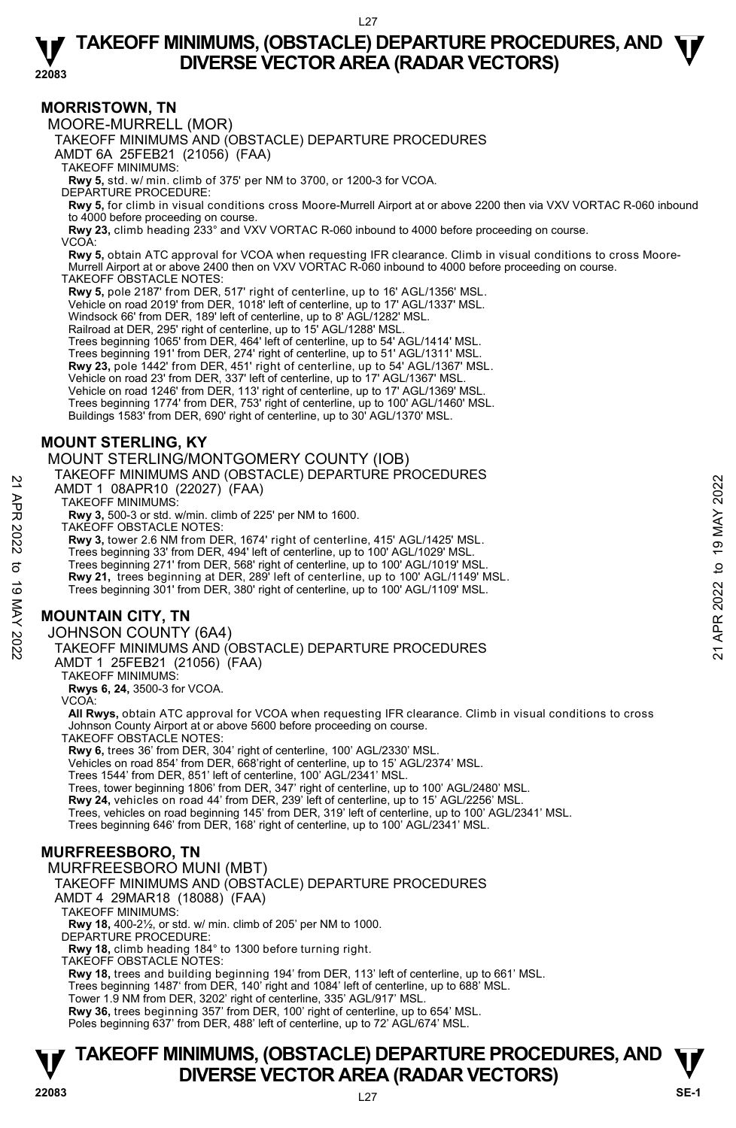#### **MORRISTOWN, TN**

MOORE-MURRELL (MOR)

TAKEOFF MINIMUMS AND (OBSTACLE) DEPARTURE PROCEDURES

AMDT 6A 25FEB21 (21056) (FAA)

TAKEOFF MINIMUMS:

**Rwy 5,** std. w/ min. climb of 375' per NM to 3700, or 1200-3 for VCOA.

DEPARTURE PROCEDURE:

**Rwy 5,** for climb in visual conditions cross Moore-Murrell Airport at or above 2200 then via VXV VORTAC R-060 inbound

to 4000 before proceeding on course. **Rwy 23,** climb heading 233° and VXV VORTAC R-060 inbound to 4000 before proceeding on course. VCOA:

 **Rwy 5,** obtain ATC approval for VCOA when requesting IFR clearance. Climb in visual conditions to cross Moore-Murrell Airport at or above 2400 then on VXV VORTAC R-060 inbound to 4000 before proceeding on course. TAKEOFF OBSTACLE NOTES:

**Rwy 5,** pole 2187' from DER, 517' right of centerline, up to 16' AGL/1356' MSL.

Vehicle on road 2019' from DER, 1018' left of centerline, up to 17' AGL/1337' MSL.

Windsock 66' from DER, 189' left of centerline, up to 8' AGL/1282' MSL.

Railroad at DER, 295' right of centerline, up to 15' AGL/1288' MSL.

Trees beginning 1065' from DER, 464' left of centerline, up to 54' AGL/1414' MSL.

Trees beginning 191' from DER, 274' right of centerline, up to 51' AGL/1311' MSL.

**Rwy 23,** pole 1442' from DER, 451' right of centerline, up to 54' AGL/1367' MSL.

Vehicle on road 23' from DER, 337' left of centerline, up to 17' AGL/1367' MSL.

Vehicle on road 1246' from DER, 113' right of centerline, up to 17' AGL/1369' MSL.

Trees beginning 1774' from DER, 753' right of centerline, up to 100' AGL/1460' MSL.

Buildings 1583' from DER, 690' right of centerline, up to 30' AGL/1370' MSL.

#### **MOUNT STERLING, KY**

MOUNT STERLING/MONTGOMERY COUNTY (IOB)

TAKEOFF MINIMUMS AND (OBSTACLE) DEPARTURE PROCEDURES

AMDT 1 08APR10 (22027) (FAA)

TAKEOFF MINIMUMS:

**Rwy 3,** 500-3 or std. w/min. climb of 225' per NM to 1600.

TAKEOFF OBSTACLE NOTES:

**Rwy 3,** tower 2.6 NM from DER, 1674' right of centerline, 415' AGL/1425' MSL.

Trees beginning 33' from DER, 494' left of centerline, up to 100' AGL/1029' MSL.

Trees beginning 271' from DER, 568' right of centerline, up to 100' AGL/1019' MSL.

**Rwy 21,** trees beginning at DER, 289' left of centerline, up to 100' AGL/1149' MSL.

Trees beginning 301' from DER, 380' right of centerline, up to 100' AGL/1109' MSL.

#### **MOUNTAIN CITY, TN**

JOHNSON COUNTY (6A4)

TAKEOFF MINIMUMS AND (OBSTACLE) DEPARTURE PROCEDURES AMDT 1 08APR10 (22027) (FAA)<br>
TAKEOFF MINIMUMS:<br>
TAKEOFF MINIMUMS:<br>
RWY 3, 500-3 or std. w/min. climb of 225' per NM to 1600.<br>
RWY 3, 500-3 or std. winn. climb of 225' per NM to 1600.<br>
TAKEOFF OBSTACLE NOTES:<br>
RWY 3, tower

AMDT 1 25FEB21 (21056) (FAA)

TAKEOFF MINIMUMS:

**Rwys 6, 24,** 3500-3 for VCOA.

VCOA:

**All Rwys,** obtain ATC approval for VCOA when requesting IFR clearance. Climb in visual conditions to cross Johnson County Airport at or above 5600 before proceeding on course.

TAKEOFF OBSTACLE NOTES:

**Rwy 6,** trees 36' from DER, 304' right of centerline, 100' AGL/2330' MSL.

Vehicles on road 854' from DER, 668'right of centerline, up to 15' AGL/2374' MSL.

Trees 1544' from DER, 851' left of centerline, 100' AGL/2341' MSL. Trees, tower beginning 1806' from DER, 347' right of centerline, up to 100' AGL/2480' MSL.

**Rwy 24,** vehicles on road 44' from DER, 239' left of centerline, up to 15' AGL/2256' MSL.

Trees, vehicles on road beginning 145' from DER, 319' left of centerline, up to 100' AGL/2341' MSL.

Trees beginning 646' from DER, 168' right of centerline, up to 100' AGL/2341' MSL.

#### **MURFREESBORO, TN**

MURFREESBORO MUNI (MBT)

TAKEOFF MINIMUMS AND (OBSTACLE) DEPARTURE PROCEDURES

AMDT 4 29MAR18 (18088) (FAA)

TAKEOFF MINIMUMS:

**Rwy 18,** 400-2½, or std. w/ min. climb of 205' per NM to 1000.

DEPARTURE PROCEDURE:

**Rwy 18,** climb heading 184° to 1300 before turning right.

TAKEOFF OBSTACLE NOTES:

**Rwy 18,** trees and building beginning 194' from DER, 113' left of centerline, up to 661' MSL.<br>Trees beginning 1487' from DER, 140' right and 1084' left of centerline, up to 688' MSL.

Tower 1.9 NM from DER, 3202' right of centerline, 335' AGL/917' MSL.

**Rwy 36,** trees beginning 357' from DER, 100' right of centerline, up to 654' MSL. Poles beginning 637' from DER, 488' left of centerline, up to 72' AGL/674' MSL.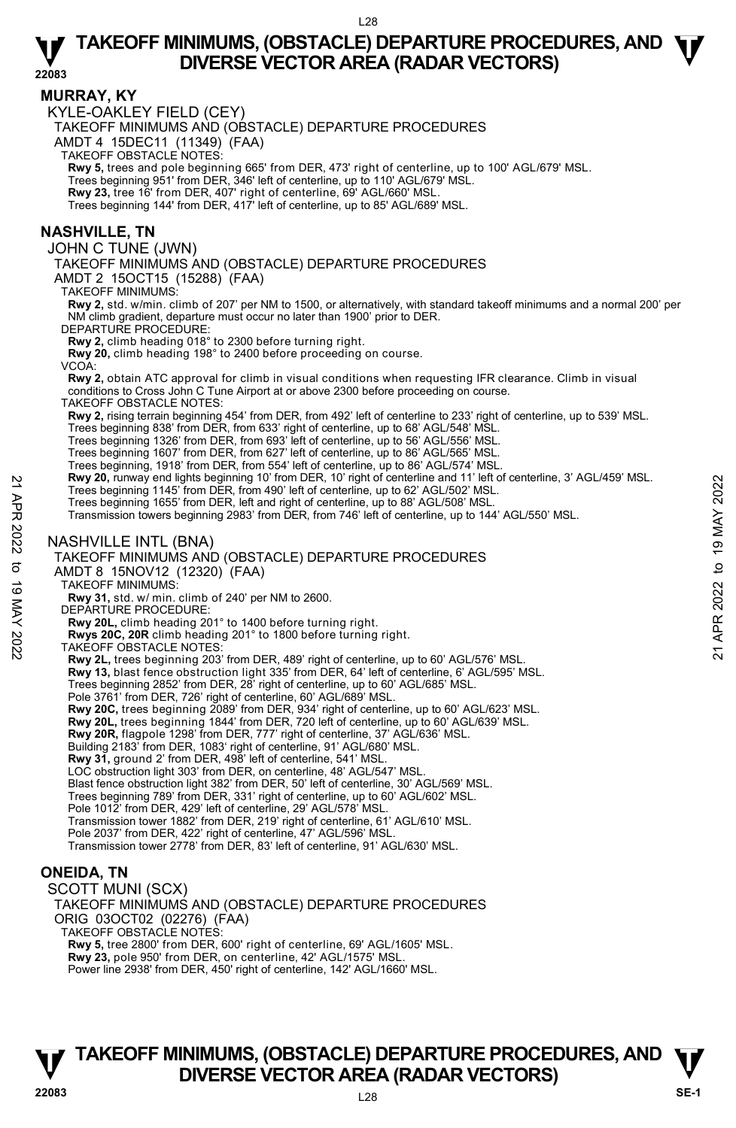**22083** 

#### **MURRAY, KY**

KYLE-OAKLEY FIELD (CEY)

TAKEOFF MINIMUMS AND (OBSTACLE) DEPARTURE PROCEDURES

AMDT 4 15DEC11 (11349) (FAA)

TAKEOFF OBSTACLE NOTES:

**Rwy 5,** trees and pole beginning 665' from DER, 473' right of centerline, up to 100' AGL/679' MSL.<br>Trees beginning 951' from DER, 346' left of centerline, up to 110' AGL/679' MSL.

**Rwy 23,** tree 16' from DER, 407' right of centerline, 69' AGL/660' MSL.

Trees beginning 144' from DER, 417' left of centerline, up to 85' AGL/689' MSL.

#### **NASHVILLE, TN**

JOHN C TUNE (JWN)

TAKEOFF MINIMUMS AND (OBSTACLE) DEPARTURE PROCEDURES

AMDT 2 15OCT15 (15288) (FAA)

TAKEOFF MINIMUMS:

**Rwy 2,** std. w/min. climb of 207' per NM to 1500, or alternatively, with standard takeoff minimums and a normal 200' per NM climb gradient, departure must occur no later than 1900' prior to DER.

DEPARTURE PROCEDURE:

**Rwy 2,** climb heading 018° to 2300 before turning right. **Rwy 20,** climb heading 198° to 2400 before proceeding on course.

VCOA:

**Rwy 2,** obtain ATC approval for climb in visual conditions when requesting IFR clearance. Climb in visual conditions to Cross John C Tune Airport at or above 2300 before proceeding on course.

TAKEOFF OBSTACLE NOTES:

**Rwy 2,** rising terrain beginning 454' from DER, from 492' left of centerline to 233' right of centerline, up to 539' MSL.

Trees beginning 838' from DER, from 633' right of centerline, up to 68' AGL/548' MSL. Trees beginning 1326' from DER, from 693' left of centerline, up to 56' AGL/556' MSL.

Trees beginning 1607' from DER, from 627' left of centerline, up to 86' AGL/565' MSL.

Trees beginning, 1918' from DER, from 554' left of centerline, up to 86' AGL/574' MSL.

**Rwy 20,** runway end lights beginning 10' from DER, 10' right of centerline and 11' left of centerline, 3' AGL/459' MSL. 22 Rwy 20, runway end lights beginning 10 to 19 MAY 2022 to 19 may be 62 AGL/502' MSL.<br>
Trees beginning 145' from DER, from 490' left of centerline, up to 62' AGL/502' MSL.<br>
Trees beginning 1655' from DER, left and right

Trees beginning 1145' from DER, from 490' left of centerline, up to 62' AGL/502' MSL.

Trees beginning 1655' from DER, left and right of centerline, up to 88' AGL/508' MSL. Transmission towers beginning 2983' from DER, from 746' left of centerline, up to 144' AGL/550' MSL.

#### NASHVILLE INTL (BNA)

TAKEOFF MINIMUMS AND (OBSTACLE) DEPARTURE PROCEDURES

AMDT 8 15NOV12 (12320) (FAA)

TAKEOFF MINIMUMS:

**Rwy 31,** std. w/ min. climb of 240' per NM to 2600. DEPARTURE PROCEDURE:

**Rwy 20L,** climb heading 201° to 1400 before turning right.

**Rwys 20C, 20R** climb heading 201° to 1800 before turning right.

TAKEOFF OBSTACLE NOTES:

**Rwy 2L,** trees beginning 203' from DER, 489' right of centerline, up to 60' AGL/576' MSL.

**Rwy 13,** blast fence obstruction light 335' from DER, 64' left of centerline, 6' AGL/595' MSL.

Trees beginning 2852' from DER, 28' right of centerline, up to 60' AGL/685' MSL. Pole 3761' from DER, 726' right of centerline, 60' AGL/689' MSL.

**Rwy 20C,** trees beginning 2089' from DER, 934' right of centerline, up to 60' AGL/623' MSL.

**Rwy 20L,** trees beginning 1844' from DER, 720 left of centerline, up to 60' AGL/639' MSL.<br>**Rwy 20R,** flagpole 1298' from DER, 777' right of centerline, 37' AGL/636' MSL.

Building 2183' from DER, 1083' right of centerline, 91' AGL/680' MSL.

**Rwy 31,** ground 2' from DER, 498' left of centerline, 541' MSL. LOC obstruction light 303' from DER, on centerline, 48' AGL/547' MSL.

Blast fence obstruction light 382' from DER, 50' left of centerline, 30' AGL/569' MSL.

Trees beginning 789' from DER, 331' right of centerline, up to 60' AGL/602' MSL.

Pole 1012' from DER, 429' left of centerline, 29' AGL/578' MSL.

Transmission tower 1882' from DER, 219' right of centerline, 61' AGL/610' MSL.

Pole 2037' from DER, 422' right of centerline, 47' AGL/596' MSL.

Transmission tower 2778' from DER, 83' left of centerline, 91' AGL/630' MSL.

#### **ONEIDA, TN**

SCOTT MUNI (SCX)

TAKEOFF MINIMUMS AND (OBSTACLE) DEPARTURE PROCEDURES ORIG 03OCT02 (02276) (FAA)

TAKEOFF OBSTACLE NOTES:

**Rwy 5,** tree 2800' from DER, 600' right of centerline, 69' AGL/1605' MSL.

**Rwy 23,** pole 950' from DER, on centerline, 42' AGL/1575' MSL.

Power line 2938' from DER, 450' right of centerline, 142' AGL/1660' MSL.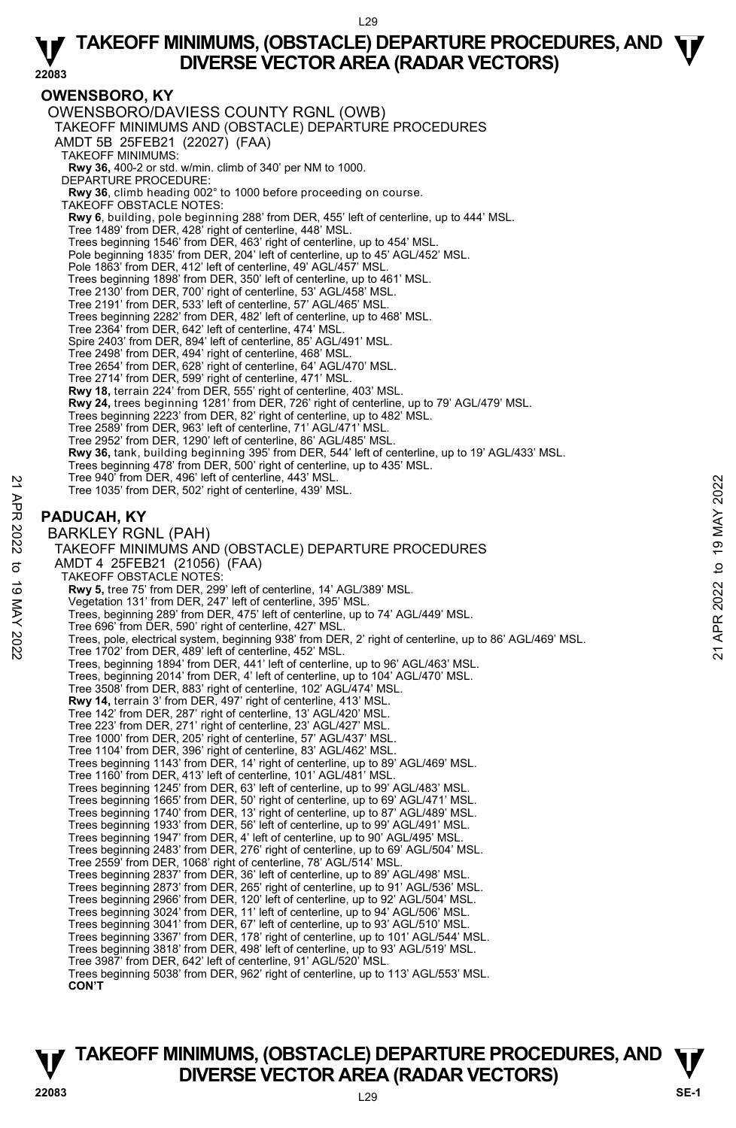#### **22083 OWENSBORO, KY**  OWENSBORO/DAVIESS COUNTY RGNL (OWB) TAKEOFF MINIMUMS AND (OBSTACLE) DEPARTURE PROCEDURES AMDT 5B 25FEB21 (22027) (FAA) TAKEOFF MINIMUMS: **Rwy 36,** 400-2 or std. w/min. climb of 340' per NM to 1000. DEPARTURE PROCEDURE: **Rwy 36**, climb heading 002° to 1000 before proceeding on course. TAKEOFF OBSTACLE NOTES: **Rwy 6**, building, pole beginning 288' from DER, 455' left of centerline, up to 444' MSL.<br>Tree 1489' from DER, 428' right of centerline, 448' MSL. Trees beginning 1546' from DER, 463' right of centerline, up to 454' MSL. Pole beginning 1835' from DER, 204' left of centerline, up to 45' AGL/452' MSL. Pole 1863' from DER, 412' left of centerline, 49' AGL/457' MSL. Trees beginning 1898' from DER, 350' left of centerline, up to 461' MSL. Tree 2130' from DER, 700' right of centerline, 53' AGL/458' MSL. Tree 2191' from DER, 533' left of centerline, 57' AGL/465' MSL. Trees beginning 2282' from DER, 482' left of centerline, up to 468' MSL. Tree 2364' from DER, 642' left of centerline, 474' MSL. Spire 2403' from DER, 894' left of centerline, 85' AGL/491' MSL. Tree 2498' from DER, 494' right of centerline, 468' MSL. Tree 2654' from DER, 628' right of centerline, 64' AGL/470' MSL. Tree 2714' from DER, 599' right of centerline, 471' MSL. **Rwy 18,** terrain 224' from DER, 555' right of centerline, 403' MSL. **Rwy 24,** trees beginning 1281' from DER, 726' right of centerline, up to 79' AGL/479' MSL. Trees beginning 2223' from DER, 82' right of centerline, up to 482' MSL. Tree 2589' from DER, 963' left of centerline, 71' AGL/471' MSL. Tree 2952' from DER, 1290' left of centerline, 86' AGL/485' MSL. **Rwy 36,** tank, building beginning 395' from DER, 544' left of centerline, up to 19' AGL/433' MSL. Trees beginning 478' from DER, 500' right of centerline, up to 435' MSL. Tree 940' from DER, 496' left of centerline, 443' MSL. Tree 1035' from DER, 502' right of centerline, 439' MSL. **PADUCAH, KY**  BARKLEY RGNL (PAH) TAKEOFF MINIMUMS AND (OBSTACLE) DEPARTURE PROCEDURES AMDT 4 25FEB21 (21056) (FAA) TAKEOFF OBSTACLE NOTES: **Rwy 5,** tree 75' from DER, 299' left of centerline, 14' AGL/389' MSL. Vegetation 131' from DER, 247' left of centerline, 395' MSL. Trees, beginning 289' from DER, 475' left of centerline, up to 74' AGL/449' MSL. Tree 696' from DER, 590' right of centerline, 427' MSL. Tree 940 Trom DER, 496' left of centerline, 443' MSL.<br>
The 1035' from DER, 502' right of centerline, 439' MSL.<br> **PADUCAH, KY**<br>
BARKLEY RGNL (PAH)<br>
TAKEOFF MINIMUMS AND (OBSTACLE) DEPARTURE PROCEDURES<br>
AMDT 4 25FEB21 (21056 Trees, beginning 1894' from DER, 441' left of centerline, up to 96' AGL/463' MSL. Trees, beginning 2014' from DER, 4' left of centerline, up to 104' AGL/470' MSL. Tree 3508' from DER, 883' right of centerline, 102' AGL/474' MSL. **Rwy 14,** terrain 3' from DER, 497' right of centerline, 413' MSL. Tree 142' from DER, 287' right of centerline, 13' AGL/420' MSL. Tree 223' from DER, 271' right of centerline, 23' AGL/427' MSL. Tree 1000' from DER, 205' right of centerline, 57' AGL/437' MSL. Tree 1104' from DER, 396' right of centerline, 83' AGL/462' MSL. Trees beginning 1143' from DER, 14' right of centerline, up to 89' AGL/469' MSL. Tree 1160' from DER, 413' left of centerline, 101' AGL/481' MSL. Trees beginning 1245' from DER, 63' left of centerline, up to 99' AGL/483' MSL. Trees beginning 1665' from DER, 50' right of centerline, up to 69' AGL/471' MSL. Trees beginning 1740' from DER, 13' right of centerline, up to 87' AGL/489' MSL. Trees beginning 1933' from DER, 56' left of centerline, up to 99' AGL/491' MSL. Trees beginning 1947' from DER, 4' left of centerline, up to 90' AGL/495' MSL. Trees beginning 2483' from DER, 276' right of centerline, up to 69' AGL/504' MSL. Tree 2559' from DER, 1068' right of centerline, 78' AGL/514' MSL. Trees beginning 2837' from DER, 36' left of centerline, up to 89' AGL/498' MSL. Trees beginning 2873' from DER, 265' right of centerline, up to 91' AGL/536' MSL. Trees beginning 2966' from DER, 120' left of centerline, up to 92' AGL/504' MSL. Trees beginning 3024' from DER, 11' left of centerline, up to 94' AGL/506' MSL. Trees beginning 3041' from DER, 67' left of centerline, up to 93' AGL/510' MSL. Trees beginning 3367' from DER, 178' right of centerline, up to 101' AGL/544' MSL. Trees beginning 3818' from DER, 498' left of centerline, up to 93' AGL/519' MSL. Tree 3987' from DER, 642' left of centerline, 91' AGL/520' MSL. Trees beginning 5038' from DER, 962' right of centerline, up to 113' AGL/553' MSL.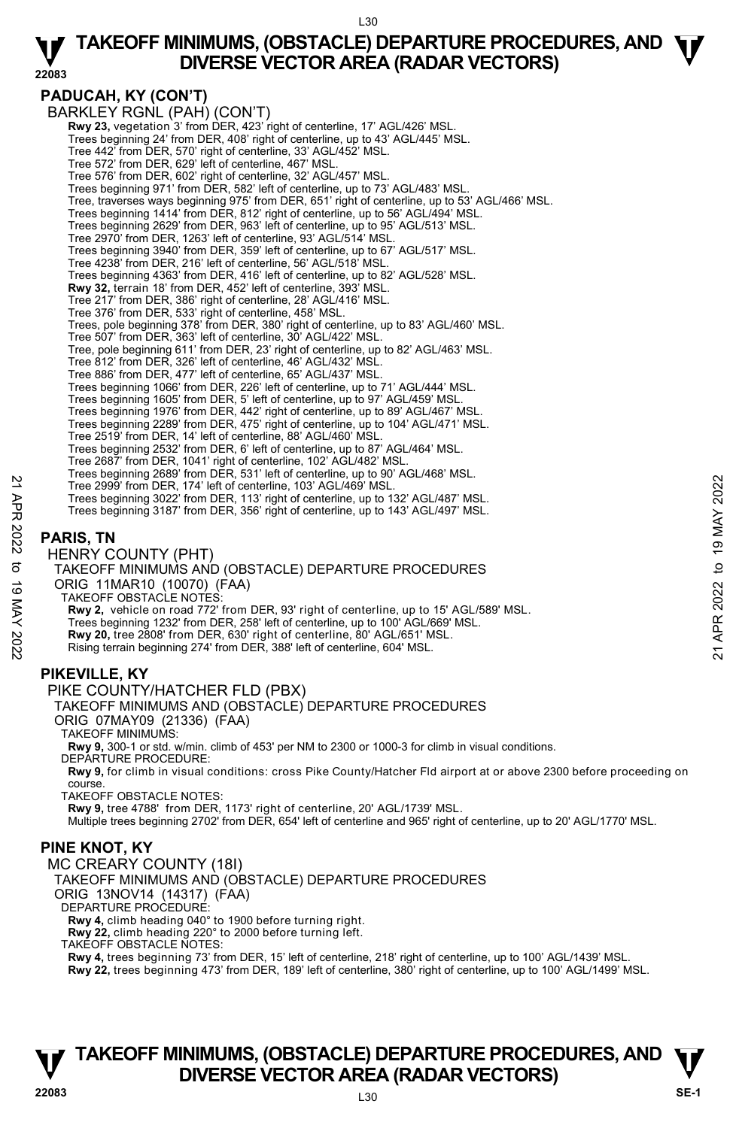**22083** 

#### **PADUCAH, KY (CON'T)**  BARKLEY RGNL (PAH) (CON'T) **Rwy 23, vegetation 3' from DER, 423' right of centerline, 17' AGL/426' MSL** Trees beginning 24' from DER, 408' right of centerline, up to 43' AGL/445' MSL. Tree 442' from DER, 570' right of centerline, 33' AGL/452' MSL. Tree 572' from DER, 629' left of centerline, 467' MSL. Tree 576' from DER, 602' right of centerline, 32' AGL/457' MSL. Trees beginning 971' from DER, 582' left of centerline, up to 73' AGL/483' MSL. Tree, traverses ways beginning 975' from DER, 651' right of centerline, up to 53' AGL/466' MSL. Trees beginning 1414' from DER, 812' right of centerline, up to 56' AGL/494' MSL. Trees beginning 2629' from DER, 963' left of centerline, up to 95' AGL/513' MSL. Tree 2970' from DER, 1263' left of centerline, 93' AGL/514' MSL. Trees beginning 3940' from DER, 359' left of centerline, up to 67' AGL/517' MSL. Tree 4238' from DER, 216' left of centerline, 56' AGL/518' MSL. Trees beginning 4363' from DER, 416' left of centerline, up to 82' AGL/528' MSL.  **Rwy 32,** terrain 18' from DER, 452' left of centerline, 393' MSL. Tree 217' from DER, 386' right of centerline, 28' AGL/416' MSL. Tree 376' from DER, 533' right of centerline, 458' MSL. Trees, pole beginning 378' from DER, 380' right of centerline, up to 83' AGL/460' MSL. Tree 507' from DER, 363' left of centerline, 30' AGL/422' MSL. Tree, pole beginning 611' from DER, 23' right of centerline, up to 82' AGL/463' MSL. Tree 812' from DER, 326' left of centerline, 46' AGL/432' MSL. Tree 886' from DER, 477' left of centerline, 65' AGL/437' MSL. Trees beginning 1066' from DER, 226' left of centerline, up to 71' AGL/444' MSL. Trees beginning 1605' from DER, 5' left of centerline, up to 97' AGL/459' MSL. Trees beginning 1976' from DER, 442' right of centerline, up to 89' AGL/467' MSL. Trees beginning 2289' from DER, 475' right of centerline, up to 104' AGL/471' MSL. Tree 2519' from DER, 14' left of centerline, 88' AGL/460' MSL. Trees beginning 2532' from DER, 6' left of centerline, up to 87' AGL/464' MSL. Tree 2687' from DER, 1041' right of centerline, 102' AGL/482' MSL. Trees beginning 2689' from DER, 531' left of centerline, up to 90' AGL/468' MSL. Tree 2999' from DER, 174' left of centerline, 103' AGL/469' MSL. Trees beginning 3022' from DER, 113' right of centerline, up to 132' AGL/487' MSL. Trees beginning 3187' from DER, 356' right of centerline, up to 143' AGL/497' MSL. **PARIS, TN**  HENRY COUNTY (PHT) TAKEOFF MINIMUMS AND (OBSTACLE) DEPARTURE PROCEDURES ORIG 11MAR10 (10070) (FAA) TAKEOFF OBSTACLE NOTES: **Rwy 2,** vehicle on road 772' from DER, 93' right of centerline, up to 15' AGL/589' MSL. Trees beginning 1232' from DER, 258' left of centerline, up to 100' AGL/669' MSL. **Rwy 20,** tree 2808' from DER, 630' right of centerline, 80' AGL/651' MSL. Rising terrain beginning 274' from DER, 388' left of centerline, 604' MSL. **PIKEVILLE, KY**  PIKE COUNTY/HATCHER FLD (PBX) TAKEOFF MINIMUMS AND (OBSTACLE) DEPARTURE PROCEDURES ORIG 07MAY09 (21336) (FAA) TAKEOFF MINIMUMS: **Rwy 9,** 300-1 or std. w/min. climb of 453' per NM to 2300 or 1000-3 for climb in visual conditions. DEPARTURE PROCEDURE: **Rwy 9,** for climb in visual conditions: cross Pike County/Hatcher Fld airport at or above 2300 before proceeding on course. TAKEOFF OBSTACLE NOTES: **Rwy 9,** tree 4788' from DER, 1173' right of centerline, 20' AGL/1739' MSL.<br>Multiple trees beginning 2702' from DER, 654' left of centerline and 965' right of centerline, up to 20' AGL/1770' MSL. **PINE KNOT, KY**  MC CREARY COUNTY (18I) TAKEOFF MINIMUMS AND (OBSTACLE) DEPARTURE PROCEDURES ORIG 13NOV14 (14317) (FAA) DEPARTURE PROCEDURE: **Rwy 4,** climb heading 040° to 1900 before turning right. **Rwy 22,** climb heading 220° to 2000 before turning left. TAKEOFF OBSTACLE NOTES: **Rwy 4,** trees beginning 73' from DER, 15' left of centerline, 218' right of centerline, up to 100' AGL/1439' MSL. **Rwy 22,** trees beginning 473' from DER, 189' left of centerline, 380' right of centerline, up to 100' AGL/1499' MSL. Tree 2999' from DER, 174' left of centerline, 103' AGL/469' MSL.<br>
Tree 2029' from DER, 174' left of centerline, 103' AGL/469' MSL.<br>
Trees beginning 3022' from DER, 356' right of centerline, up to 132' AGL/487' MSL.<br>
Trees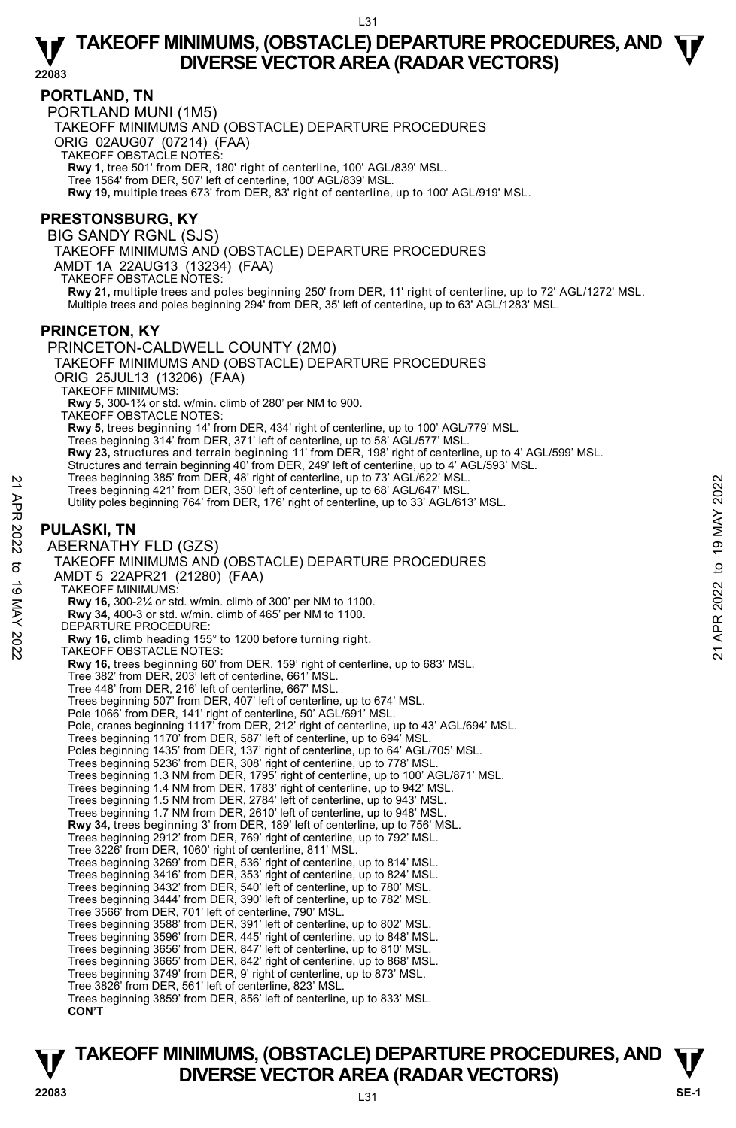#### **PORTLAND, TN**

PORTLAND MUNI (1M5) TAKEOFF MINIMUMS AND (OBSTACLE) DEPARTURE PROCEDURES ORIG 02AUG07 (07214) (FAA) TAKEOFF OBSTACLE NOTES: **Rwy 1,** tree 501' from DER, 180' right of centerline, 100' AGL/839' MSL. Tree 1564' from DER, 507' left of centerline, 100' AGL/839' MSL. **Rwy 19,** multiple trees 673' from DER, 83' right of centerline, up to 100' AGL/919' MSL.

#### **PRESTONSBURG, KY**

BIG SANDY RGNL (SJS)

TAKEOFF MINIMUMS AND (OBSTACLE) DEPARTURE PROCEDURES

AMDT 1A 22AUG13 (13234) (FAA)

TAKEOFF OBSTACLE NOTES:

**Rwy 21,** multiple trees and poles beginning 250' from DER, 11' right of centerline, up to 72' AGL/1272' MSL.<br>Multiple trees and poles beginning 294' from DER, 35' left of centerline, up to 63' AGL/1283' MSL.

#### **PRINCETON, KY**

PRINCETON-CALDWELL COUNTY (2M0) TAKEOFF MINIMUMS AND (OBSTACLE) DEPARTURE PROCEDURES ORIG 25JUL13 (13206) (FAA) TAKEOFF MINIMUMS: **Rwy 5,** 300-1¾ or std. w/min. climb of 280' per NM to 900. TAKEOFF OBSTACLE NOTES: **Rwy 5,** trees beginning 14' from DER, 434' right of centerline, up to 100' AGL/779' MSL.<br>Trees beginning 314' from DER, 371' left of centerline, up to 58' AGL/577' MSL. **Rwy 23,** structures and terrain beginning 11' from DER, 198' right of centerline, up to 4' AGL/599' MSL. Structures and terrain beginning 40' from DER, 249' left of centerline, up to 4' AGL/593' MSL.<br>Trees beginning 385' from DER, 48' right of centerline, up to 73' AGL/622' MSL. Trees beginning 421' from DER, 350' left of centerline, up to 68' AGL/647' MSL. Utility poles beginning 764' from DER, 176' right of centerline, up to 33' AGL/613' MSL. **PULASKI, TN**  ABERNATHY FLD (GZS) TAKEOFF MINIMUMS AND (OBSTACLE) DEPARTURE PROCEDURES AMDT 5 22APR21 (21280) (FAA) TAKEOFF MINIMUMS: **Rwy 16,** 300-2¼ or std. w/min. climb of 300' per NM to 1100. **Rwy 34,** 400-3 or std. w/min. climb of 465' per NM to 1100. DEPARTURE PROCEDURE: **Rwy 16,** climb heading 155° to 1200 before turning right. TAKEOFF OBSTACLE NOTES: **Rwy 16,** trees beginning 60' from DER, 159' right of centerline, up to 683' MSL. Tree 382' from DER, 203' left of centerline, 661' MSL. Tree 448' from DER, 216' left of centerline, 667' MSL. Trees beginning 507' from DER, 407' left of centerline, up to 674' MSL. Pole 1066' from DER, 141' right of centerline, 50' AGL/691' MSL. Pole, cranes beginning 1117' from DER, 212' right of centerline, up to 43' AGL/694' MSL. Trees beginning 1170' from DER, 587' left of centerline, up to 694' MSL. Poles beginning 1435' from DER, 137' right of centerline, up to 64' AGL/705' MSL. Trees beginning 5236' from DER, 308' right of centerline, up to 778' MSL.<br>Trees beginning 1.3 NM from DER, 1795' right of centerline, up to 100' AGL/871' MSL.<br>Trees beginning 1.4 NM from DER, 1783' right of centerline, up Trees beginning 1.5 NM from DER, 2784' left of centerline, up to 943' MSL. Trees beginning 1.7 NM from DER, 2610' left of centerline, up to 948' MSL. **Rwy 34,** trees beginning 3' from DER, 189' left of centerline, up to 756' MSL. Trees beginning 2912' from DER, 769' right of centerline, up to 792' MSL. Tree 3226' from DER, 1060' right of centerline, 811' MSL. Trees beginning 3269' from DER, 536' right of centerline, up to 814' MSL. Trees beginning 3416' from DER, 353' right of centerline, up to 824' MSL. Trees beginning 3432' from DER, 540' left of centerline, up to 780' MSL. Trees beginning 3444' from DER, 390' left of centerline, up to 782' MSL. Tree 3566' from DER, 701' left of centerline, 790' MSL. Trees beginning 3588' from DER, 391' left of centerline, up to 802' MSL. Trees beginning 3596' from DER, 445' right of centerline, up to 848' MSL. Trees beginning 3656' from DER, 847' left of centerline, up to 810' MSL. Trees beginning 3665' from DER, 842' right of centerline, up to 868' MSL. Trees beginning 3749' from DER, 9' right of centerline, up to 873' MSL. Tree 3826' from DER, 561' left of centerline, 823' MSL. Trees beginning 3859' from DER, 856' left of centerline, up to 833' MSL. **CON'T** Trees beginning 385 'nom DER, 48' right of centerline, up to 68' AGL/647' MSL.<br>
Trees beginning 421' from DER, 350' left of centerline, up to 68' AGL/647' MSL.<br>
Utility poles beginning 764' from DER, 176' right of centerl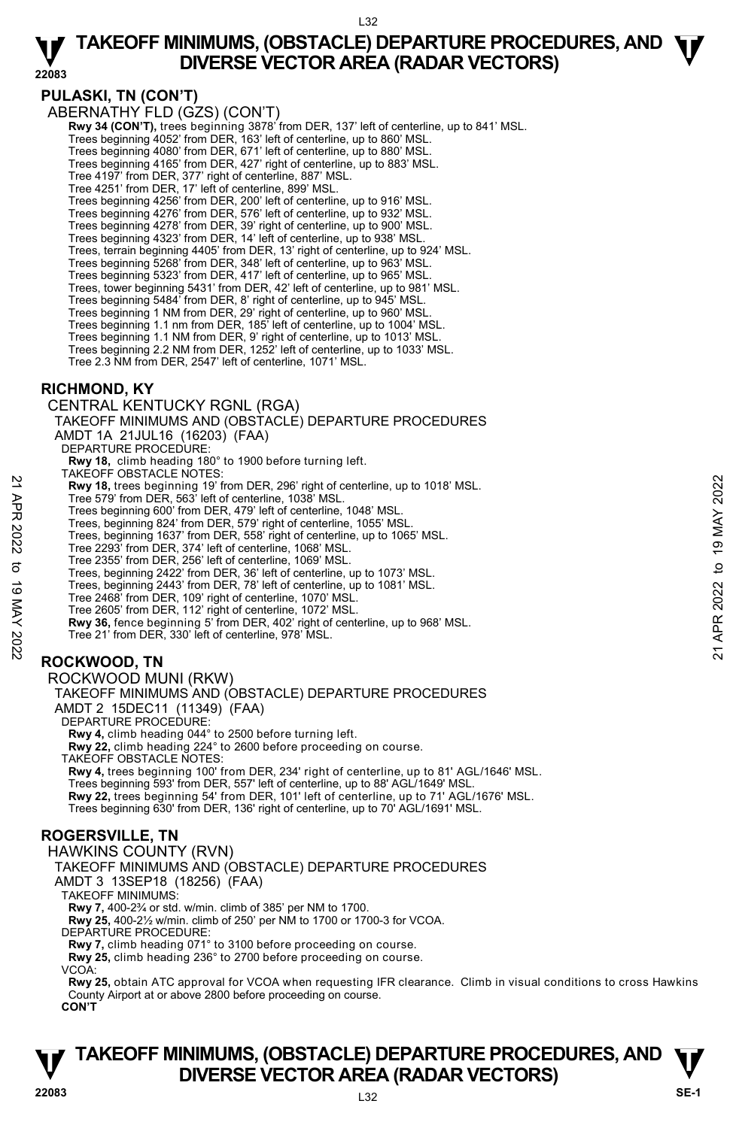**22083** 

#### **PULASKI, TN (CON'T)**

ABERNATHY FLD (GZS) (CON'T)

 **Rwy 34 (CON'T),** trees beginning 3878' from DER, 137' left of centerline, up to 841' MSL. Trees beginning 4052' from DER, 163' left of centerline, up to 860' MSL.

Trees beginning 4080' from DER, 671' left of centerline, up to 880' MSL.

Trees beginning 4165' from DER, 427' right of centerline, up to 883' MSL.

Tree 4197' from DER, 377' right of centerline, 887' MSL.

Tree 4251' from DER, 17' left of centerline, 899' MSL. Trees beginning 4256' from DER, 200' left of centerline, up to 916' MSL.

Trees beginning 4276' from DER, 576' left of centerline, up to 932' MSL. Trees beginning 4278' from DER, 39' right of centerline, up to 900' MSL.

Trees beginning 4323' from DER, 14' left of centerline, up to 938' MSL.

Trees, terrain beginning 4405' from DER, 13' right of centerline, up to 924' MSL. Trees beginning 5268' from DER, 348' left of centerline, up to 963' MSL.

Trees beginning 5323' from DER, 417' left of centerline, up to 965' MSL.

Trees, tower beginning 5431' from DER, 42' left of centerline, up to 981' MSL.

Trees beginning 5484' from DER, 8' right of centerline, up to 945' MSL. Trees beginning 1 NM from DER, 29' right of centerline, up to 960' MSL.

Trees beginning 1.1 nm from DER, 185' left of centerline, up to 1004' MSL.

Trees beginning 1.1 NM from DER, 9' right of centerline, up to 1013' MSL. Trees beginning 2.2 NM from DER, 1252' left of centerline, up to 1033' MSL.

Tree 2.3 NM from DER, 2547' left of centerline, 1071' MSL.

#### **RICHMOND, KY**

CENTRAL KENTUCKY RGNL (RGA) TAKEOFF MINIMUMS AND (OBSTACLE) DEPARTURE PROCEDURES AMDT 1A 21JUL16 (16203) (FAA) DEPARTURE PROCEDURE: **Rwy 18,** climb heading 180° to 1900 before turning left. TAKEOFF OBSTACLE NOTES: **Rwy 18,** trees beginning 19' from DER, 296' right of centerline, up to 1018' MSL. Tree 579' from DER, 563' left of centerline, 1038' MSL. Trees beginning 600' from DER, 479' left of centerline, 1048' MSL. Trees, beginning 824' from DER, 579' right of centerline, 1055' MSL. Trees, beginning 1637' from DER, 558' right of centerline, up to 1065' MSL. Tree 2293' from DER, 374' left of centerline, 1068' MSL. Tree 2355' from DER, 256' left of centerline, 1069' MSL. Trees, beginning 2422' from DER, 36' left of centerline, up to 1073' MSL. Trees, beginning 2443' from DER, 78' left of centerline, up to 1081' MSL. Tree 2468' from DER, 109' right of centerline, 1070' MSL. Tree 2605' from DER, 112' right of centerline, 1072' MSL. **Rwy 36,** fence beginning 5' from DER, 402' right of centerline, up to 968' MSL. Tree 21' from DER, 330' left of centerline, 978' MSL. **ROCKWOOD, TN**  ROCKWOOD MUNI (RKW) TAKEOFF MINIMUMS AND (OBSTACLE) DEPARTURE PROCEDURES AMDT 2 15DEC11 (11349) (FAA) **EVALUAT FROM 10.000 SET AND THE STATE SOMET AND THE STATE OF SOMETHING 1000 STATE CONDUCT THE SPOND OF A STATE AND STATE THE SUBDINING 000 TO DER, 579 right of centerline, 1048' MSL.<br>
Trees heginning 600' from DER, 579 r** 

DEPARTURE PROCEDURE:

**Rwy 4,** climb heading 044° to 2500 before turning left.

**Rwy 22,** climb heading 224° to 2600 before proceeding on course.

TAKEOFF OBSTACLE NOTES:

**Rwy 4,** trees beginning 100' from DER, 234' right of centerline, up to 81' AGL/1646' MSL. Trees beginning 593' from DER, 557' left of centerline, up to 88' AGL/1649' MSL. **Rwy 22,** trees beginning 54' from DER, 101' left of centerline, up to 71' AGL/1676' MSL. Trees beginning 630' from DER, 136' right of centerline, up to 70' AGL/1691' MSL.

#### **ROGERSVILLE, TN**

HAWKINS COUNTY (RVN) TAKEOFF MINIMUMS AND (OBSTACLE) DEPARTURE PROCEDURES AMDT 3 13SEP18 (18256) (FAA) TAKEOFF MINIMUMS: **Rwy 7,** 400-2¾ or std. w/min. climb of 385' per NM to 1700. **Rwy 25,** 400-2½ w/min. climb of 250' per NM to 1700 or 1700-3 for VCOA. DEPARTURE PROCEDURE: **Rwy 7,** climb heading 071° to 3100 before proceeding on course. **Rwy 25,** climb heading 236° to 2700 before proceeding on course. VCOA: **Rwy 25,** obtain ATC approval for VCOA when requesting IFR clearance. Climb in visual conditions to cross Hawkins County Airport at or above 2800 before proceeding on course. **CON'T**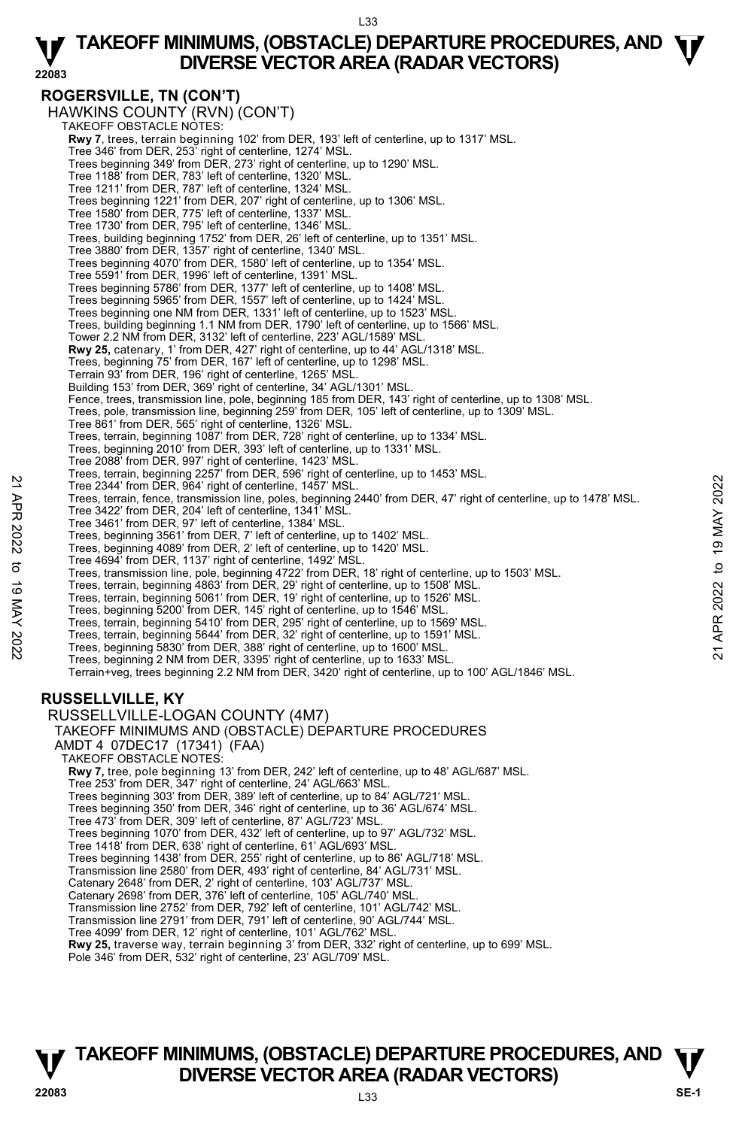#### **ROGERSVILLE, TN (CON'T)**

HAWKINS COUNTY (RVN) (CON'T) TAKEOFF OBSTACLE NOTES: **Rwy 7**, trees, terrain beginning 102' from DER, 193' left of centerline, up to 1317' MSL. Tree 346' from DER, 253' right of centerline, 1274' MSL. Trees beginning 349' from DER, 273' right of centerline, up to 1290' MSL. Tree 1188' from DER, 783' left of centerline, 1320' MSL. Tree 1211' from DER, 787' left of centerline, 1324' MSL. Trees beginning 1221' from DER, 207' right of centerline, up to 1306' MSL. Tree 1580' from DER, 775' left of centerline, 1337' MSL. Tree 1730' from DER, 795' left of centerline, 1346' MSL. Trees, building beginning 1752' from DER, 26' left of centerline, up to 1351' MSL. Tree 3880' from DER, 1357' right of centerline, 1340' MSL. Trees beginning 4070' from DER, 1580' left of centerline, up to 1354' MSL. Tree 5591' from DER, 1996' left of centerline, 1391' MSL. Trees beginning 5786' from DER, 1377' left of centerline, up to 1408' MSL. Trees beginning 5965' from DER, 1557' left of centerline, up to 1424' MSL. Trees beginning one NM from DER, 1331' left of centerline, up to 1523' MSL. Trees, building beginning 1.1 NM from DER, 1790' left of centerline, up to 1566' MSL. Tower 2.2 NM from DER, 3132' left of centerline, 223' AGL/1589' MSL. **Rwy 25,** catenary, 1' from DER, 427' right of centerline, up to 44' AGL/1318' MSL. Trees, beginning 75' from DER, 167' left of centerline, up to 1298' MSL. Terrain 93' from DER, 196' right of centerline, 1265' MSL. Building 153' from DER, 369' right of centerline, 34' AGL/1301' MSL. Fence, trees, transmission line, pole, beginning 185 from DER, 143' right of centerline, up to 1308' MSL. Trees, pole, transmission line, beginning 259' from DER, 105' left of centerline, up to 1309' MSL. Tree 861' from DER, 565' right of centerline, 1326' MSL. Trees, terrain, beginning 1087' from DER, 728' right of centerline, up to 1334' MSL. Trees, beginning 2010' from DER, 393' left of centerline, up to 1331' MSL. Tree 2088' from DER, 997' right of centerline, 1423' MSL. Trees, terrain, beginning 2257' from DER, 596' right of centerline, up to 1453' MSL. Tree 2344' from DER, 964' right of centerline, 1457' MSL. Trees, terrain, fence, transmission line, poles, beginning 2440' from DER, 47' right of centerline, up to 1478' MSL. Tree 3422' from DER, 204' left of centerline, 1341' MSL. Tree 3461' from DER, 97' left of centerline, 1384' MSL. Trees, beginning 3561' from DER, 7' left of centerline, up to 1402' MSL. Trees, beginning 4089' from DER, 2' left of centerline, up to 1420' MSL. Tree 4694' from DER, 1137' right of centerline, 1492' MSL. Trees, transmission line, pole, beginning 4722' from DER, 18' right of centerline, up to 1503' MSL. Trees, terrain, beginning 4863' from DER, 29' right of centerline, up to 1508' MSL. Trees, terrain, beginning 5061' from DER, 19' right of centerline, up to 1526' MSL. Trees, beginning 5200' from DER, 145' right of centerline, up to 1546' MSL. Trees, terrain, beginning 5410' from DER, 295' right of centerline, up to 1569' MSL. Tree 2344 from DER, 964 right of centerline, 1457 MSL.<br>Tree 2344 from DER, 964 right of centerline, 1457 MSL.<br>Tree 3422 from DER, 97 left of centerline, 1384 MSL.<br>Tree 3421 from DER, 97 left of centerline, 1384 MSL.<br>Tree 3 Terrain+veg, trees beginning 2.2 NM from DER, 3420' right of centerline, up to 100' AGL/1846' MSL. **RUSSELLVILLE, KY**  RUSSELLVILLE-LOGAN COUNTY (4M7) TAKEOFF MINIMUMS AND (OBSTACLE) DEPARTURE PROCEDURES AMDT 4 07DEC17 (17341) (FAA) TAKEOFF OBSTACLE NOTES: **Rwy 7,** tree, pole beginning 13' from DER, 242' left of centerline, up to 48' AGL/687' MSL. Tree 253' from DER, 347' right of centerline, 24' AGL/663' MSL. Trees beginning 303' from DER, 389' left of centerline, up to 84' AGL/721' MSL. Trees beginning 350' from DER, 346' right of centerline, up to 36' AGL/674' MSL. Tree 473' from DER, 309' left of centerline, 87' AGL/723' MSL Trees beginning 1070' from DER, 432' left of centerline, up to 97' AGL/732' MSL. Tree 1418' from DER, 638' right of centerline, 61' AGL/693' MSL. Trees beginning 1438' from DER, 255' right of centerline, up to 86' AGL/718' MSL. Transmission line 2580' from DER, 493' right of centerline, 84' AGL/731' MSL. Catenary 2648' from DER, 2' right of centerline, 103' AGL/737' MSL. Catenary 2698' from DER, 376' left of centerline, 105' AGL/740' MSL. Transmission line 2752' from DER, 792' left of centerline, 101' AGL/742' MSL.

Transmission line 2791' from DER, 791' left of centerline, 90' AGL/744' MSL.

Tree 4099' from DER, 12' right of centerline, 101' AGL/762' MSL.<br>**Rwy 25,** traverse way, terrain beginning 3' from DER, 332' right of centerline, up to 699' MSL.

Pole 346' from DER, 532' right of centerline, 23' AGL/709' MSL.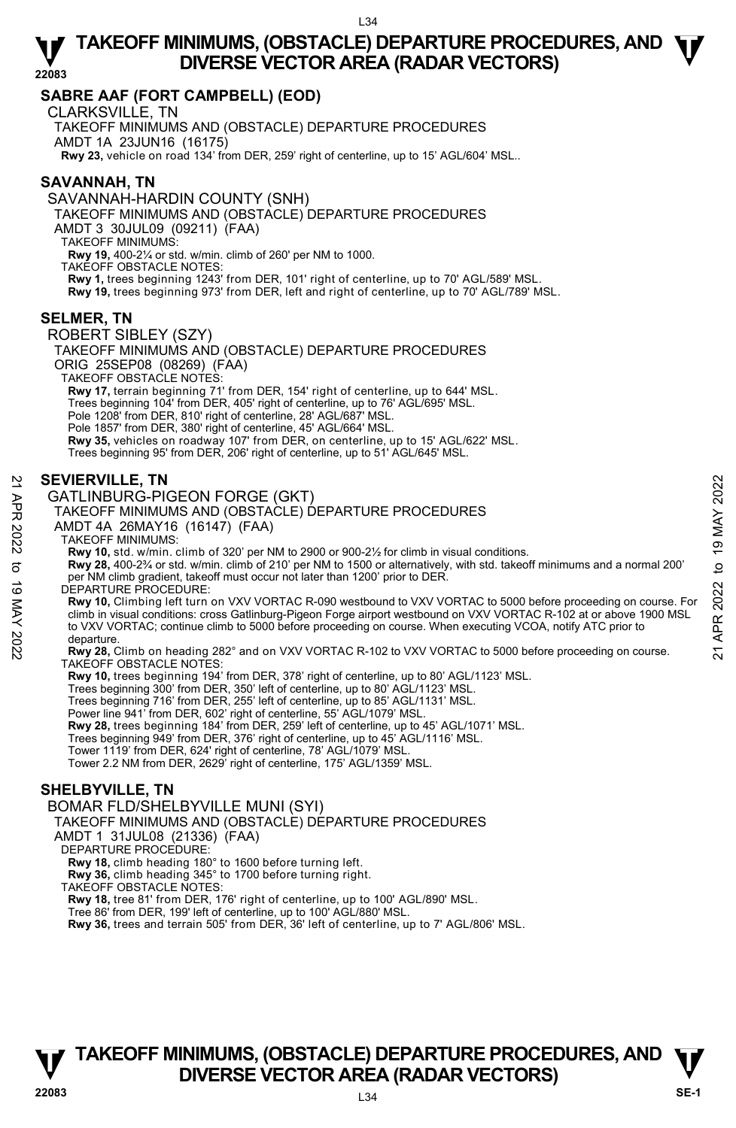#### **SABRE AAF (FORT CAMPBELL) (EOD)**

CLARKSVILLE, TN

TAKEOFF MINIMUMS AND (OBSTACLE) DEPARTURE PROCEDURES AMDT 1A 23JUN16 (16175) **Rwy 23,** vehicle on road 134' from DER, 259' right of centerline, up to 15' AGL/604' MSL..

#### **SAVANNAH, TN**

SAVANNAH-HARDIN COUNTY (SNH)

TAKEOFF MINIMUMS AND (OBSTACLE) DEPARTURE PROCEDURES

AMDT 3 30JUL09 (09211) (FAA)

TAKEOFF MINIMUMS:

**Rwy 19,** 400-2¼ or std. w/min. climb of 260' per NM to 1000. TAKEOFF OBSTACLE NOTES: **Rwy 1,** trees beginning 1243' from DER, 101' right of centerline, up to 70' AGL/589' MSL. **Rwy 19,** trees beginning 973' from DER, left and right of centerline, up to 70' AGL/789' MSL.

#### **SELMER, TN**

ROBERT SIBLEY (SZY) TAKEOFF MINIMUMS AND (OBSTACLE) DEPARTURE PROCEDURES ORIG 25SEP08 (08269) (FAA) TAKEOFF OBSTACLE NOTES: **Rwy 17,** terrain beginning 71' from DER, 154' right of centerline, up to 644' MSL. Trees beginning 104' from DER, 405' right of centerline, up to 76' AGL/695' MSL. Pole 1208' from DER, 810' right of centerline, 28' AGL/687' MSL. Pole 1857' from DER, 380' right of centerline, 45' AGL/664' MSL. **Rwy 35,** vehicles on roadway 107' from DER, on centerline, up to 15' AGL/622' MSL. Trees beginning 95' from DER, 206' right of centerline, up to 51' AGL/645' MSL.

#### **SEVIERVILLE, TN**

#### GATLINBURG-PIGEON FORGE (GKT)

#### TAKEOFF MINIMUMS AND (OBSTACLE) DEPARTURE PROCEDURES

AMDT 4A 26MAY16 (16147) (FAA)

#### TAKEOFF MINIMUMS:

**Rwy 10,** std. w/min. climb of 320' per NM to 2900 or 900-2½ for climb in visual conditions. **Rwy 28,** 400-2¾ or std. w/min. climb of 210' per NM to 1500 or alternatively, with std. takeoff minimums and a normal 200' per NM climb gradient, takeoff must occur not later than 1200' prior to DER. DEPARTURE PROCEDURE:

**Rwy 10,** Climbing left turn on VXV VORTAC R-090 westbound to VXV VORTAC to 5000 before proceeding on course. For climb in visual conditions: cross Gatlinburg-Pigeon Forge airport westbound on VXV VORTAC R-102 at or above 1900 MSL to VXV VORTAC; continue climb to 5000 before proceeding on course. When executing VCOA, notify ATC prior to departure **EVIERVILLE, TN**<br> **21 GATLINBURG-PIGEON FORGE (GKT)**<br>
TAKEOFF MINIMUMS AND (OBSTACLE) DEPARTURE PROCEDURES<br>
AMDT 4A 26MAY16 (16147) (FAA)<br>
TAKEOFF MINIMUMS:<br> **2022**<br> **22** TAKEOFF MINIMUMS:<br> **22** TAKEOFF MINIMUMS:<br> **22** TA

#### **Rwy 28,** Climb on heading 282° and on VXV VORTAC R-102 to VXV VORTAC to 5000 before proceeding on course. TAKEOFF OBSTACLE NOTES:

**Rwy 10,** trees beginning 194' from DER, 378' right of centerline, up to 80' AGL/1123' MSL.<br>Trees beginning 300' from DER, 350' left of centerline, up to 80' AGL/1123' MSL. Trees beginning 716' from DER, 255' left of centerline, up to 85' AGL/1131' MSL. Power line 941' from DER, 602' right of centerline, 55' AGL/1079' MSL. **Rwy 28,** trees beginning 184' from DER, 259' left of centerline, up to 45' AGL/1071' MSL. Trees beginning 949' from DER, 376' right of centerline, up to 45' AGL/1116' MSL. Tower 1119' from DER, 624' right of centerline, 78' AGL/1079' MSL. Tower 2.2 NM from DER, 2629' right of centerline, 175' AGL/1359' MSL.

#### **SHELBYVILLE, TN**

BOMAR FLD/SHELBYVILLE MUNI (SYI)

TAKEOFF MINIMUMS AND (OBSTACLE) DÉPARTURE PROCEDURES

- AMDT 1 31JUL08 (21336) (FAA)
- DEPARTURE PROCEDURE:
- **Rwy 18,** climb heading 180° to 1600 before turning left.
- **Rwy 36,** climb heading 345° to 1700 before turning right.
- TAKEOFF OBSTACLE NOTES:
- **Rwy 18,** tree 81' from DER, 176' right of centerline, up to 100' AGL/890' MSL.
- Tree 86' from DER, 199' left of centerline, up to 100' AGL/880' MSL.

**Rwy 36,** trees and terrain 505' from DER, 36' left of centerline, up to 7' AGL/806' MSL.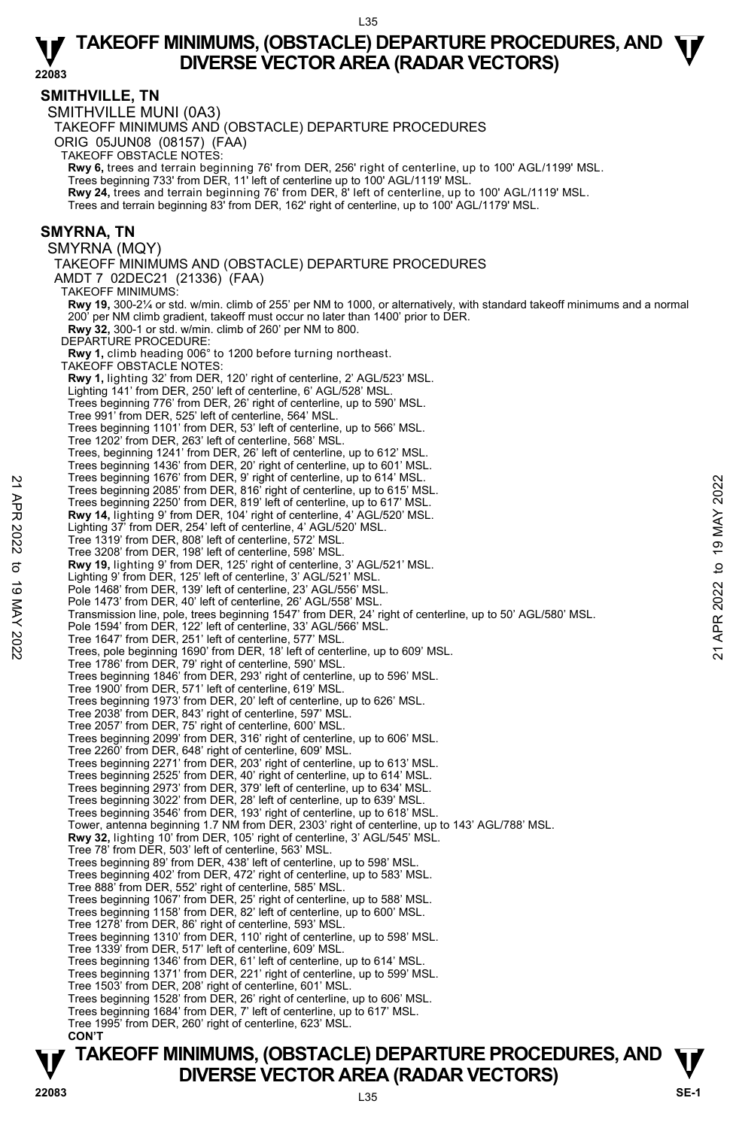**22083** 

**SMITHVILLE, TN**  SMITHVILLE MUNI (0A3) TAKEOFF MINIMUMS AND (OBSTACLE) DEPARTURE PROCEDURES ORIG 05JUN08 (08157) (FAA) TAKEOFF OBSTACLE NOTES: **Rwy 6,** trees and terrain beginning 76' from DER, 256' right of centerline, up to 100' AGL/1199' MSL.<br>Trees beginning 733' from DER, 11' left of centerline up to 100' AGL/1119' MSL. **Rwy 24,** trees and terrain beginning 76' from DER, 8' left of centerline, up to 100' AGL/1119' MSL. Trees and terrain beginning 83' from DER, 162' right of centerline, up to 100' AGL/1179' MSL. **SMYRNA, TN**  SMYRNA (MQY) TAKEOFF MINIMUMS AND (OBSTACLE) DEPARTURE PROCEDURES AMDT 7 02DEC21 (21336) (FAA) TAKEOFF MINIMUMS: **Rwy 19,** 300-2¼ or std. w/min. climb of 255' per NM to 1000, or alternatively, with standard takeoff minimums and a normal 200' per NM climb gradient, takeoff must occur no later than 1400' prior to DER. **Rwy 32,** 300-1 or std. w/min. climb of 260' per NM to 800. DEPARTURE PROCEDURE **Rwy 1,** climb heading 006° to 1200 before turning northeast. TAKEOFF OBSTACLE NOTES: **Rwy 1,** lighting 32' from DER, 120' right of centerline, 2' AGL/523' MSL. Lighting 141' from DER, 250' left of centerline, 6' AGL/528' MSL. Trees beginning 776' from DER, 26' right of centerline, up to 590' MSL. Tree 991' from DER, 525' left of centerline, 564' MSL. Trees beginning 1101' from DER, 53' left of centerline, up to 566' MSL. Tree 1202' from DER, 263' left of centerline, 568' MSL. Trees, beginning 1241' from DER, 26' left of centerline, up to 612' MSL. Trees beginning 1436' from DER, 20' right of centerline, up to 601' MSL. Trees beginning 1676' from DER, 9' right of centerline, up to 614' MSL. Trees beginning 2085' from DER, 816' right of centerline, up to 615' MSL. Trees beginning 2250' from DER, 819' left of centerline, up to 617' MSL. **Rwy 14,** lighting 9' from DER, 104' right of centerline, 4' AGL/520' MSL. Lighting 37' from DER, 254' left of centerline, 4' AGL/520' MSL. Tree 1319' from DER, 808' left of centerline, 572' MSL. Tree 3208' from DER, 198' left of centerline, 598' MSL. **Rwy 19,** lighting 9' from DER, 125' right of centerline, 3' AGL/521' MSL. Lighting 9' from DER, 125' left of centerline, 3' AGL/521' MSL. Pole 1468' from DER, 139' left of centerline, 23' AGL/556' MSL Pole 1473' from DER, 40' left of centerline, 26' AGL/558' MSL. Transmission line, pole, trees beginning 1547' from DER, 24' right of centerline, up to 50' AGL/580' MSL. Pole 1594' from DER, 122' left of centerline, 33' AGL/566' MSL Tree 1647' from DER, 251' left of centerline, 577' MSL. Trees, pole beginning 1690' from DER, 18' left of centerline, up to 609' MSL. Tree 1786' from DER, 79' right of centerline, 590' MSL. Trees beginning 1846' from DER, 293' right of centerline, up to 596' MSL. Tree 1900' from DER, 571' left of centerline, 619' MSL. Trees beginning 1973' from DER, 20' left of centerline, up to 626' MSL. Tree 2038' from DER, 843' right of centerline, 597' MSL. Tree 2057' from DER, 75' right of centerline, 600' MSL. Trees beginning 2099' from DER, 316' right of centerline, up to 606' MSL. Tree 2260' from DER, 648' right of centerline, 609' MSL. Trees beginning 2271' from DER, 203' right of centerline, up to 613' MSL. Trees beginning 2525' from DER, 40' right of centerline, up to 614' MSL. Trees beginning 2973' from DER, 379' left of centerline, up to 634' MSL. Trees beginning 3022' from DER, 28' left of centerline, up to 639' MSL. Trees beginning 3546' from DER, 193' right of centerline, up to 618' MSL. Tower, antenna beginning 1.7 NM from DER, 2303' right of centerline, up to 143' AGL/788' MSL. **Rwy 32,** lighting 10' from DER, 105' right of centerline, 3' AGL/545' MSL. Tree 78' from DER, 503' left of centerline, 563' MSL. Trees beginning 89' from DER, 438' left of centerline, up to 598' MSL. Trees beginning 402' from DER, 472' right of centerline, up to 583' MSL. Tree 888' from DER, 552' right of centerline, 585' MSL. Trees beginning 1067' from DER, 25' right of centerline, up to 588' MSL. Trees beginning 1158' from DER, 82' left of centerline, up to 600' MSL. Tree 1278' from DER, 86' right of centerline, 593' MSL. Trees beginning 1310' from DER, 110' right of centerline, up to 598' MSL. Tree 1339' from DER, 517' left of centerline, 609' MSL. Trees beginning 1346' from DER, 61' left of centerline, up to 614' MSL. Trees beginning 1371' from DER, 221' right of centerline, up to 599' MSL. Tree 1503' from DER, 208' right of centerline, 601' MSL. Trees beginning 1528' from DER, 26' right of centerline, up to 606' MSL. Trees beginning 1684' from DER, 7' left of centerline, up to 617' MSL. Tree 1995' from DER, 260' right of centerline, 623' MSL. **CON'T** Trees beginning 10/6' trom DER, 9' right of centerline, up to 613' MSL.<br>
Trees beginning 2085' from DER, 816' right of centerline, up to 617' MSL.<br>
Trees beginning 2250' from DER, 819' left of centerline, up to 617' MSL.<br>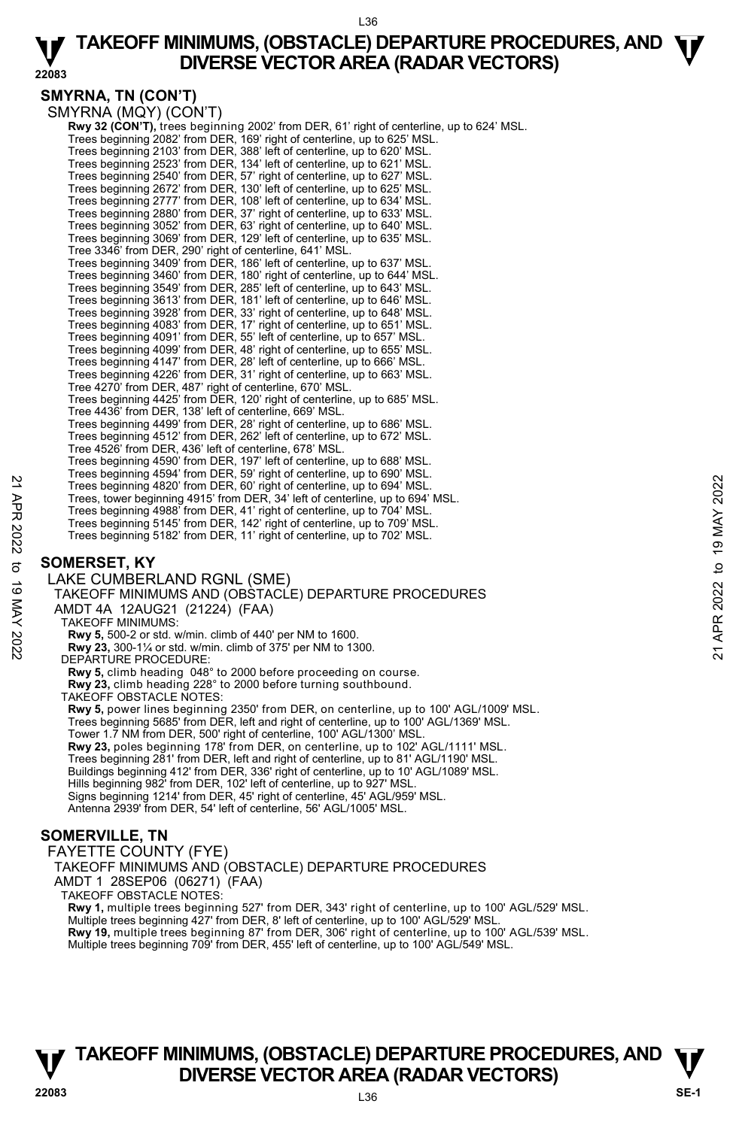#### L36

### **TAKEOFF MINIMUMS, (OBSTACLE) DEPARTURE PROCEDURES, AND**  $\Psi$ **<br>DIVERSE VECTOR AREA (RADAR VECTORS) DIVERSE VECTOR AREA (RADAR VECTORS)**

#### **SMYRNA, TN (CON'T)**

SMYRNA (MQY) (CON'T) **Rwy 32 (CON'T),** trees beginning 2002' from DER, 61' right of centerline, up to 624' MSL.<br>Trees beginning 2082' from DER, 169' right of centerline, up to 625' MSL. Trees beginning 2103' from DER, 388' left of centerline, up to 620' MSL. Trees beginning 2523' from DER, 134' left of centerline, up to 621' MSL. Trees beginning 2540' from DER, 57' right of centerline, up to 627' MSL. Trees beginning 2672' from DER, 130' left of centerline, up to 625' MSL.<br>Trees beginning 2777' from DER, 108' left of centerline, up to 634' MSL.<br>Trees beginning 2880' from DER, 37' right of centerline, up to 633' MSL.<br>Tre Trees beginning 3069' from DER, 129' left of centerline, up to 635' MSL. Tree 3346' from DER, 290' right of centerline, 641' MSL. Trees beginning 3409' from DER, 186' left of centerline, up to 637' MSL. Trees beginning 3460' from DER, 180' right of centerline, up to 644' MSL. Trees beginning 3549' from DER, 285' left of centerline, up to 643' MSL. Trees beginning 3613' from DER, 181' left of centerline, up to 646' MSL. Trees beginning 3928' from DER, 33' right of centerline, up to 648' MSL. Trees beginning 4083' from DER, 17' right of centerline, up to 651' MSL. Trees beginning 4091' from DER, 55' left of centerline, up to 657' MSL. Trees beginning 4099' from DER, 48' right of centerline, up to 655' MSL. Trees beginning 4147' from DER, 28' left of centerline, up to 666' MSL. Trees beginning 4226' from DER, 31' right of centerline, up to 663' MSL. Tree 4270' from DER, 487' right of centerline, 670' MSL. Trees beginning 4425' from DER, 120' right of centerline, up to 685' MSL. Tree 4436' from DER, 138' left of centerline, 669' MSL. Trees beginning 4499' from DER, 28' right of centerline, up to 686' MSL. Trees beginning 4512' from DER, 262' left of centerline, up to 672' MSL. Tree 4526' from DER, 436' left of centerline, 678' MSL. Trees beginning 4590' from DER, 197' left of centerline, up to 688' MSL. Trees beginning 4594' from DER, 59' right of centerline, up to 690' MSL. Trees beginning 4820' from DER, 60' right of centerline, up to 694' MSL. Trees, tower beginning 4915' from DER, 34' left of centerline, up to 694' MSL. Trees beginning 4988' from DER, 41' right of centerline, up to 704' MSL. Trees beginning 5145' from DER, 142' right of centerline, up to 709' MSL. Trees beginning 5182' from DER, 11' right of centerline, up to 702' MSL. Trees beginning 4820' from DER, 60' right of centerline, up to 694' MSL.<br>
Trees beginning 4820' from DER, 34' left of centerline, up to 694' MSL.<br>
Trees beginning 4888' from DER, 14' right of centerline, up to 709' MSL.<br>

#### **SOMERSET, KY**

LAKE CUMBERLAND RGNL (SME) TAKEOFF MINIMUMS AND (OBSTACLE) DEPARTURE PROCEDURES AMDT 4A 12AUG21 (21224) (FAA) TAKEOFF MINIMUMS: **Rwy 5,** 500-2 or std. w/min. climb of 440' per NM to 1600. **Rwy 23,** 300-1¼ or std. w/min. climb of 375' per NM to 1300. DEPARTURE PROCEDURE: **Rwy 5,** climb heading 048° to 2000 before proceeding on course. **Rwy 23,** climb heading 228° to 2000 before turning southbound. TAKEOFF OBSTACLE NOTES: **Rwy 5,** power lines beginning 2350' from DER, on centerline, up to 100' AGL/1009' MSL. Trees beginning 5685' from DER, left and right of centerline, up to 100' AGL/1369' MSL. Tower 1.7 NM from DER, 500' right of centerline, 100' AGL/1300' MSL. **Rwy 23,** poles beginning 178' from DER, on centerline, up to 102' AGL/1111' MSL. Trees beginning 281' from DER, left and right of centerline, up to 81' AGL/1190' MSL. Buildings beginning 412' from DER, 336' right of centerline, up to 10' AGL/1089' MSL. Hills beginning 982' from DER, 102' left of centerline, up to 927' MSL. Signs beginning 1214' from DER, 45' right of centerline, 45' AGL/959' MSL. Antenna 2939' from DER, 54' left of centerline, 56' AGL/1005' MSL.

#### **SOMERVILLE, TN**

FAYETTE COUNTY (FYE)

TAKEOFF MINIMUMS AND (OBSTACLE) DEPARTURE PROCEDURES

AMDT 1 28SEP06 (06271) (FAA)

TAKEOFF OBSTACLE NOTES:

**Rwy 1,** multiple trees beginning 527' from DER, 343' right of centerline, up to 100' AGL/529' MSL. Multiple trees beginning 427' from DER, 8' left of centerline, up to 100' AGL/529' MSL. **Rwy 19,** multiple trees beginning 87' from DER, 306' right of centerline, up to 100' AGL/539' MSL.<br>Multiple trees beginning 709' from DER, 455' left of centerline, up to 100' AGL/549' MSL.

### **T T TAKEOFF MINIMUMS, (OBSTACLE) DEPARTURE PROCEDURES, AND V** DIVERSE VECTOR AREA (RADAR VECTORS) **V**<br>22083 SE-1

**22083**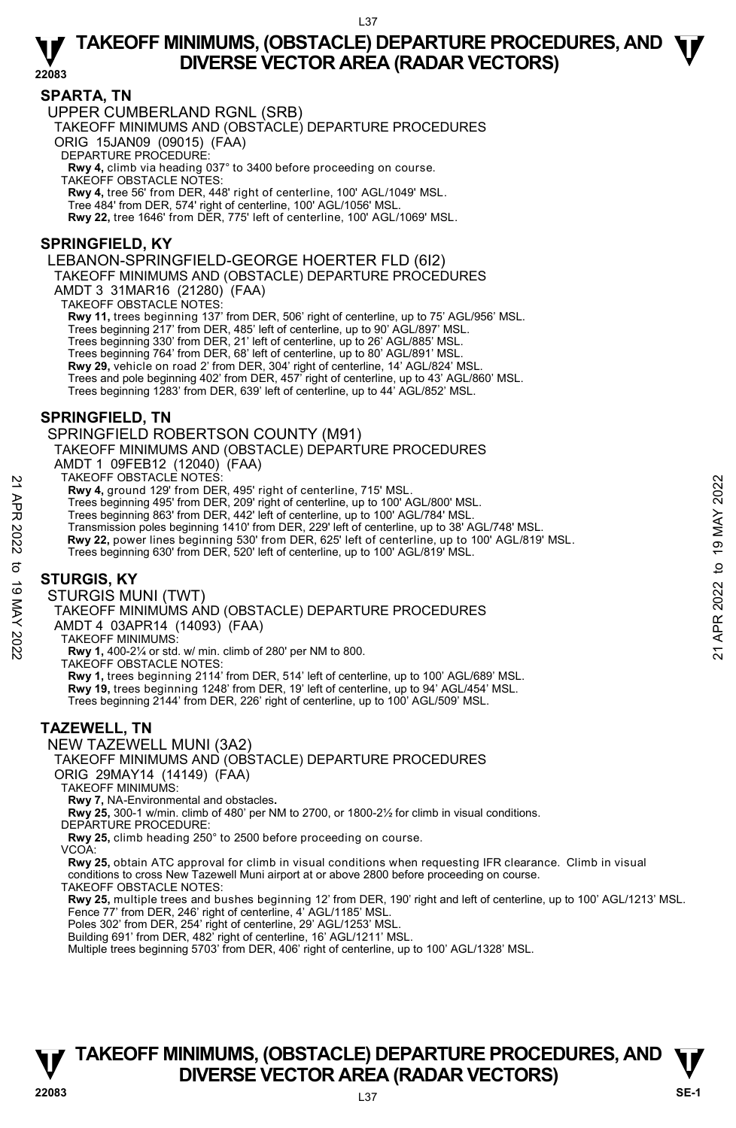**22083** 

#### **SPARTA, TN**

UPPER CUMBERLAND RGNL (SRB)

TAKEOFF MINIMUMS AND (OBSTACLE) DEPARTURE PROCEDURES ORIG 15JAN09 (09015) (FAA)

DEPARTURE PROCEDURE:

**Rwy 4,** climb via heading 037° to 3400 before proceeding on course. TAKEOFF OBSTACLE NOTES: **Rwy 4,** tree 56' from DER, 448' right of centerline, 100' AGL/1049' MSL.

Tree 484' from DER, 574' right of centerline, 100' AGL/1056' MSL.

**Rwy 22,** tree 1646' from DER, 775' left of centerline, 100' AGL/1069' MSL.

#### **SPRINGFIELD, KY**

LEBANON-SPRINGFIELD-GEORGE HOERTER FLD (6I2)

TAKEOFF MINIMUMS AND (OBSTACLE) DEPARTURE PROCEDURES

AMDT 3 31MAR16 (21280) (FAA)

TAKEOFF OBSTACLE NOTES:

**Rwy 11,** trees beginning 137' from DER, 506' right of centerline, up to 75' AGL/956' MSL.

Trees beginning 217' from DER, 485' left of centerline, up to 90' AGL/897' MSL.

Trees beginning 330' from DER, 21' left of centerline, up to 26' AGL/885' MSL. Trees beginning 764' from DER, 68' left of centerline, up to 80' AGL/891' MSL.

**Rwy 29,** vehicle on road 2' from DER, 304' right of centerline, 14' AGL/824' MSL.

Trees and pole beginning 402' from DER, 457' right of centerline, up to 43' AGL/860' MSL.<br>Trees beginning 1283' from DER, 639' left of centerline, up to 44' AGL/852' MSL.

#### **SPRINGFIELD, TN**

SPRINGFIELD ROBERTSON COUNTY (M91)

TAKEOFF MINIMUMS AND (OBSTACLE) DEPARTURE PROCEDURES AMDT 1 09FEB12 (12040) (FAA)

TAKEOFF OBSTACLE NOTES:

**Rwy 4,** ground 129' from DER, 495' right of centerline, 715' MSL.

Trees beginning 495' from DER, 209' right of centerline, up to 100' AGL/800' MSL. Trees beginning 863' from DER, 442' left of centerline, up to 100' AGL/784' MSL.

Transmission poles beginning 1410' from DER, 229' left of centerline, up to 38' AGL/748' MSL. PIARCOFF MISHIACLE NOTEST<br>
21 ARCOF OBSTACLE NOT DER, 495' right of centerline, up to 100' AGL/800' MSL.<br>
Trees beginning 495' from DER, 209' right of centerline, up to 100' AGL/800' MSL.<br>
Trees beginning 830' from DER, 2

**Rwy 22,** power lines beginning 530' from DER, 625' left of centerline, up to 100' AGL/819' MSL.

Trees beginning 630' from DER, 520' left of centerline, up to 100' AGL/819' MSL.

#### **STURGIS, KY**

STURGIS MUNI (TWT)

TAKEOFF MINIMUMS AND (OBSTACLE) DEPARTURE PROCEDURES

AMDT 4 03APR14 (14093) (FAA)

TAKEOFF MINIMUMS:

**Rwy 1,** 400-2¼ or std. w/ min. climb of 280' per NM to 800.

TAKEOFF OBSTACLE NOTES:

**Rwy 1,** trees beginning 2114' from DER, 514' left of centerline, up to 100' AGL/689' MSL. **Rwy 19,** trees beginning 1248' from DER, 19' left of centerline, up to 94' AGL/454' MSL. Trees beginning 2144' from DER, 226' right of centerline, up to 100' AGL/509' MSL.

#### **TAZEWELL, TN**

NEW TAZEWELL MUNI (3A2)

TAKEOFF MINIMUMS AND (OBSTACLE) DEPARTURE PROCEDURES

ORIG 29MAY14 (14149) (FAA)

TAKEOFF MINIMUMS:

**Rwy 7,** NA-Environmental and obstacles**.** 

**Rwy 25,** 300-1 w/min. climb of 480' per NM to 2700, or 1800-2½ for climb in visual conditions.

DEPARTURE PROCEDURE:

**Rwy 25,** climb heading 250° to 2500 before proceeding on course.

VCOA:

**Rwy 25,** obtain ATC approval for climb in visual conditions when requesting IFR clearance. Climb in visual conditions to cross New Tazewell Muni airport at or above 2800 before proceeding on course.

TAKEOFF OBSTACLE NOTES:

**Rwy 25,** multiple trees and bushes beginning 12' from DER, 190' right and left of centerline, up to 100' AGL/1213' MSL. Fence 77' from DER, 246' right of centerline, 4' AGL/1185' MSL.

Poles 302' from DER, 254' right of centerline, 29' AGL/1253' MSL.

Building 691' from DER, 482' right of centerline, 16' AGL/1211' MSL. Multiple trees beginning 5703' from DER, 406' right of centerline, up to 100' AGL/1328' MSL.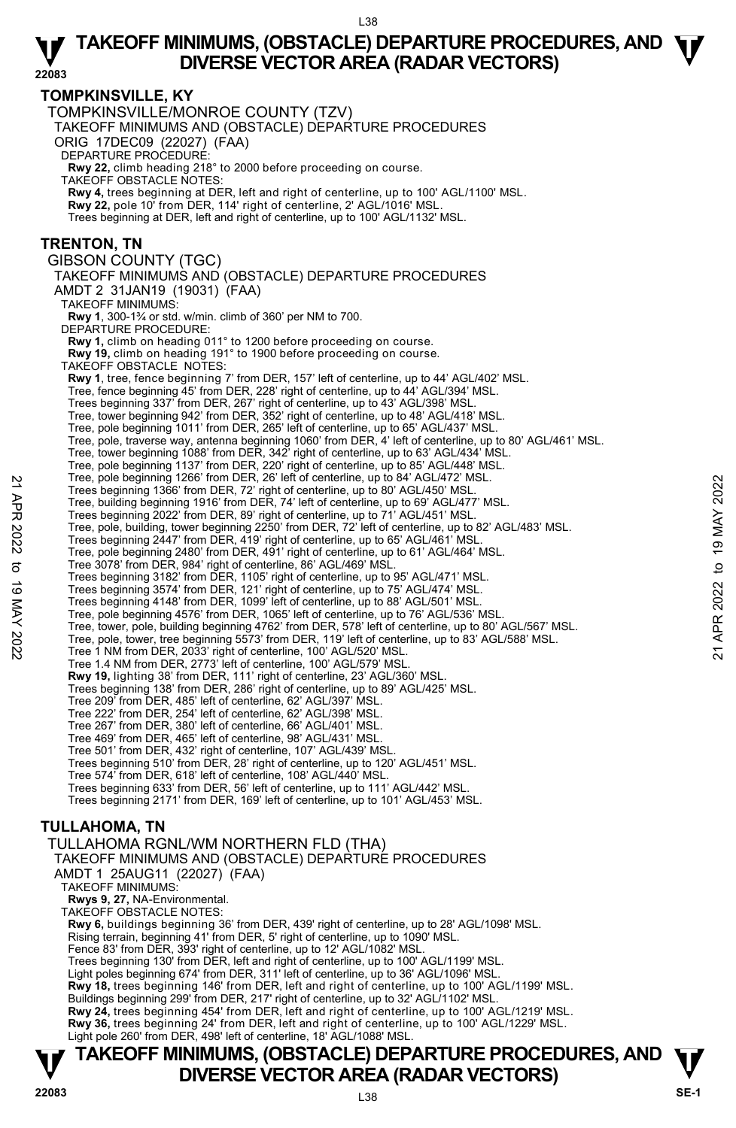**T T TAKEOFF MINIMUMS, (OBSTACLE) DEPARTURE PROCEDURES, AND V** DIVERSE VECTOR AREA (RADAR VECTORS) **V**<br>22083 SE-1 **TOMPKINSVILLE, KY**  TOMPKINSVILLE/MONROE COUNTY (TZV) TAKEOFF MINIMUMS AND (OBSTACLE) DEPARTURE PROCEDURES ORIG 17DEC09 (22027) (FAA) DEPARTURE PROCEDURE: **Rwy 22,** climb heading 218° to 2000 before proceeding on course. TAKEOFF OBSTACLE NOTES: **Rwy 4,** trees beginning at DER, left and right of centerline, up to 100' AGL/1100' MSL. **Rwy 22,** pole 10' from DER, 114' right of centerline, 2' AGL/1016' MSL. Trees beginning at DER, left and right of centerline, up to 100' AGL/1132' MSL. **TRENTON, TN**  GIBSON COUNTY (TGC) TAKEOFF MINIMUMS AND (OBSTACLE) DEPARTURE PROCEDURES AMDT 2 31JAN19 (19031) (FAA) TAKEOFF MINIMUMS: **Rwy 1**, 300-1¾ or std. w/min. climb of 360' per NM to 700. DEPARTURE PROCEDURE: **Rwy 1,** climb on heading 011° to 1200 before proceeding on course. **Rwy 19,** climb on heading 191° to 1900 before proceeding on course. TAKEOFF OBSTACLE NOTES: **Rwy 1**, tree, fence beginning 7' from DER, 157' left of centerline, up to 44' AGL/402' MSL. Tree, fence beginning 45' from DER, 228' right of centerline, up to 44' AGL/394' MSL. Trees beginning 337' from DER, 267' right of centerline, up to 43' AGL/398' MSL. Tree, tower beginning 942' from DER, 352' right of centerline, up to 48' AGL/418' MSL. Tree, pole beginning 1011' from DER, 265' left of centerline, up to 65' AGL/437' MSL.<br>Tree, pole, traverse way, antenna beginning 1060' from DER, 4' left of centerline, up to 80' AGL/461' MSL. Tree, tower beginning 1088' from DER, 342' right of centerline, up to 63' AGL/434' MSL. Tree, pole beginning 1137' from DER, 220' right of centerline, up to 85' AGL/448' MSL.<br>Tree, pole beginning 1266' from DER, 26' left of centerline, up to 84' AGL/472' MSL. Trees beginning 1366' from DER, 72' right of centerline, up to 80' AGL/450' MSL. Tree, building beginning 1916' from DER, 74' left of centerline, up to 69' AGL/477' MSL. Trees beginning 2022' from DER, 89' right of centerline, up to 71' AGL/451' MSL. Tree, pole, building, tower beginning 2250' from DER, 72' left of centerline, up to 82' AGL/483' MSL. Trees beginning 2447' from DER, 419' right of centerline, up to 65' AGL/461' MSL. Tree, pole beginning 2480' from DER, 491' right of centerline, up to 61' AGL/464' MSL. Tree 3078' from DER, 984' right of centerline, 86' AGL/469' MSL. Trees beginning 3182' from DER, 1105' right of centerline, up to 95' AGL/471' MSL. Trees beginning 3574' from DER, 121' right of centerline, up to 75' AGL/474' MSL. Trees beginning 4148' from DER, 1099' left of centerline, up to 88' AGL/501' MSL. Tree, pole beginning 4576' from DER, 1065' left of centerline, up to 76' AGL/536' MSL. Tree, tower, pole, building beginning 4762' from DER, 578' left of centerline, up to 80' AGL/567' MSL. Tree, pole, tower, tree beginning 5573' from DER, 119' left of centerline, up to 83' AGL/588' MSL. Tree 1 NM from DER, 2033' right of centerline, 100' AGL/520' MSL. Tree 1.4 NM from DER, 2773' left of centerline, 100' AGL/579' MSL. **Rwy 19,** lighting 38' from DER, 111' right of centerline, 23' AGL/360' MSL.<br>Trees beginning 138' from DER, 286' right of centerline, up to 89' AGL/425' MSL. Tree 209' from DER, 485' left of centerline, 62' AGL/397' MSL. Tree 222' from DER, 254' left of centerline, 62' AGL/398' MSL. Tree 267' from DER, 380' left of centerline, 66' AGL/401' MSL. Tree 469' from DER, 465' left of centerline, 98' AGL/431' MSL. Tree 501' from DER, 432' right of centerline, 107' AGL/439' MSL. Trees beginning 510' from DER, 28' right of centerline, up to 120' AGL/451' MSL. Tree 574' from DER, 618' left of centerline, 108' AGL/440' MSL. Trees beginning 633' from DER, 56' left of centerline, up to 111' AGL/442' MSL. Trees beginning 2171' from DER, 169' left of centerline, up to 101' AGL/453' MSL. **TULLAHOMA, TN**  TULLAHOMA RGNL/WM NORTHERN FLD (THA) TAKEOFF MINIMUMS AND (OBSTACLE) DEPARTURE PROCEDURES AMDT 1 25AUG11 (22027) (FAA) TAKEOFF MINIMUMS: **Rwys 9, 27,** NA-Environmental. TAKEOFF OBSTACLE NOTES: **Rwy 6,** buildings beginning 36' from DER, 439' right of centerline, up to 28' AGL/1098' MSL. Rising terrain, beginning 41' from DER, 5' right of centerline, up to 1090' MSL. Fence 83' from DER, 393' right of centerline, up to 12' AGL/1082' MSL. Trees beginning 130' from DER, left and right of centerline, up to 100' AGL/1199' MSL. Light poles beginning 674' from DER, 311' left of centerline, up to 36' AGL/1096' MSL. **Rwy 18,** trees beginning 146' from DER, left and right of centerline, up to 100' AGL/1199' MSL. Buildings beginning 299' from DER, 217' right of centerline, up to 32' AGL/1102' MSL. **Rwy 24,** trees beginning 454' from DER, left and right of centerline, up to 100' AGL/1219' MSL. **Rwy 36,** trees beginning 24' from DER, left and right of centerline, up to 100' AGL/1229' MSL.<br>Light pole 260' from DER, 498' left of centerline, 18' AGL/1088' MSL. Tree, bee leginning 1266 from DER, 26' lett of centerline, up to 80' AGL/450' MSL.<br>
Trees beginning 1966 from DER, 74' left of centerline, up to 80' AGL/450' MSL.<br>
Trees beginning 2022' from DER, 74' left of centerline, up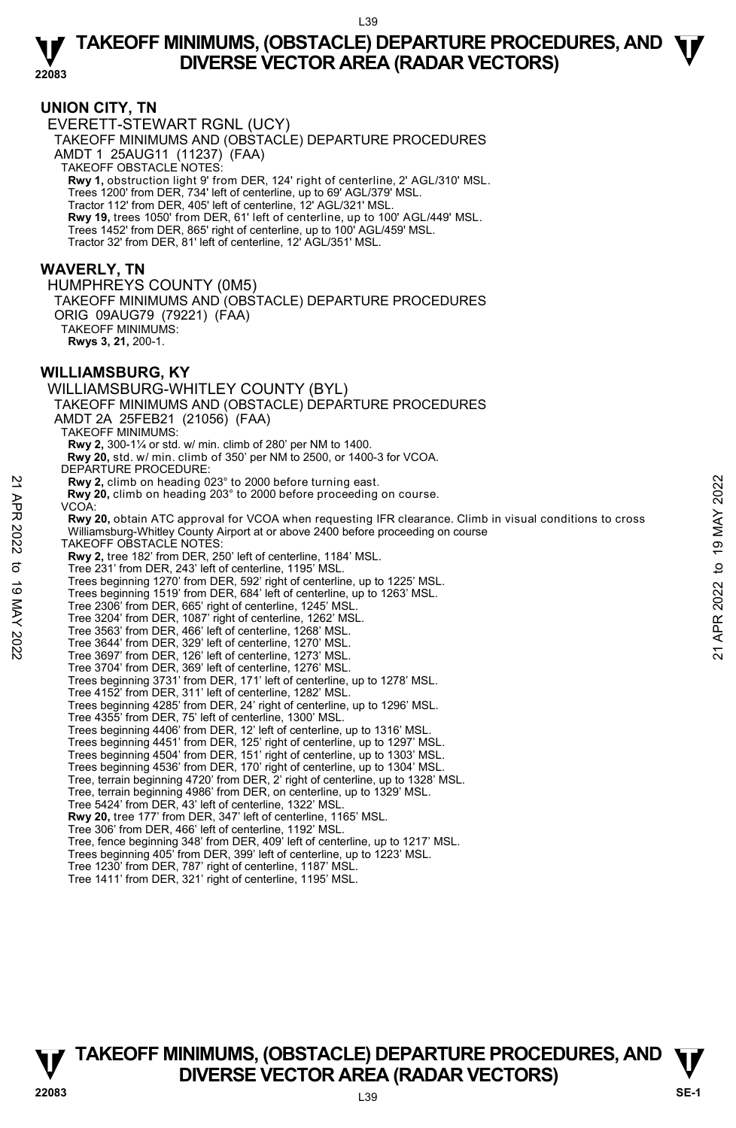#### **UNION CITY, TN**

EVERETT-STEWART RGNL (UCY) TAKEOFF MINIMUMS AND (OBSTACLE) DEPARTURE PROCEDURES AMDT 1 25AUG11 (11237) (FAA) TAKEOFF OBSTACLE NOTES: **Rwy 1,** obstruction light 9' from DER, 124' right of centerline, 2' AGL/310' MSL. Trees 1200' from DER, 734' left of centerline, up to 69' AGL/379' MSL. Tractor 112' from DER, 405' left of centerline, 12' AGL/321' MSL. **Rwy 19,** trees 1050' from DER, 61' left of centerline, up to 100' AGL/449' MSL. Trees 1452' from DER, 865' right of centerline, up to 100' AGL/459' MSL. Tractor 32' from DER, 81' left of centerline, 12' AGL/351' MSL.

#### **WAVERLY, TN**

HUMPHREYS COUNTY (0M5) TAKEOFF MINIMUMS AND (OBSTACLE) DEPARTURE PROCEDURES ORIG 09AUG79 (79221) (FAA)

TAKEOFF MINIMUMS: **Rwys 3, 21,** 200-1.

#### **WILLIAMSBURG, KY**

WILLIAMSBURG-WHITLEY COUNTY (BYL) TAKEOFF MINIMUMS AND (OBSTACLE) DEPARTURE PROCEDURES AMDT 2A 25FEB21 (21056) (FAA) TAKEOFF MINIMUMS: **Rwy 2,** 300-1¼ or std. w/ min. climb of 280' per NM to 1400.  **Rwy 20,** std. w/ min. climb of 350' per NM to 2500, or 1400-3 for VCOA. DEPARTURE PROCEDURE: **Rwy 2,** climb on heading 023° to 2000 before turning east. **Rwy 20,** climb on heading 203° to 2000 before proceeding on course. VCOA: **Rwy 20,** obtain ATC approval for VCOA when requesting IFR clearance. Climb in visual conditions to cross Williamsburg-Whitley County Airport at or above 2400 before proceeding on course TAKEOFF OBSTACLE NOTES: **Rwy 2,** tree 182' from DER, 250' left of centerline, 1184' MSL. Tree 231' from DER, 243' left of centerline, 1195' MSL. Trees beginning 1270' from DER, 592' right of centerline, up to 1225' MSL. Trees beginning 1519' from DER, 684' left of centerline, up to 1263' MSL. Tree 2306' from DER, 665' right of centerline, 1245' MSL. Tree 3204' from DER, 1087' right of centerline, 1262' MSL. Tree 3563' from DER, 466' left of centerline, 1268' MSL. Tree 3644' from DER, 329' left of centerline, 1270' MSL. Tree 3697' from DER, 126' left of centerline, 1273' MSL. Tree 3704' from DER, 369' left of centerline, 1276' MSL. Trees beginning 3731' from DER, 171' left of centerline, up to 1278' MSL. Tree 4152' from DER, 311' left of centerline, 1282' MSL. Trees beginning 4285' from DER, 24' right of centerline, up to 1296' MSL. Tree 4355' from DER, 75' left of centerline, 1300' MSL. Trees beginning 4406' from DER, 12' left of centerline, up to 1316' MSL. Trees beginning 4451' from DER, 125' right of centerline, up to 1297' MSL. Trees beginning 4504' from DER, 151' right of centerline, up to 1303' MSL. Trees beginning 4536' from DER, 170' right of centerline, up to 1304' MSL. Tree, terrain beginning 4720' from DER, 2' right of centerline, up to 1328' MSL. Tree, terrain beginning 4986' from DER, on centerline, up to 1329' MSL. Tree 5424' from DER, 43' left of centerline, 1322' MSL. **Rwy 20,** tree 177' from DER, 347' left of centerline, 1165' MSL. Tree 306' from DER, 466' left of centerline, 1192' MSL. Tree, fence beginning 348' from DER, 409' left of centerline, up to 1217' MSL. Trees beginning 405' from DER, 399' left of centerline, up to 1223' MSL. Tree 1230' from DER, 787' right of centerline, 1187' MSL. Tree 1411' from DER, 321' right of centerline, 1195' MSL. **Example 2022**<br> **Example 2022** to 2000 before turning east.<br> **Example 2022** to 2000 before proceeding on course.<br> **EXAMPLY 20**, obtain ATC approval for VCOA when requesting IFR clearance. Climb in visual conditions to cro